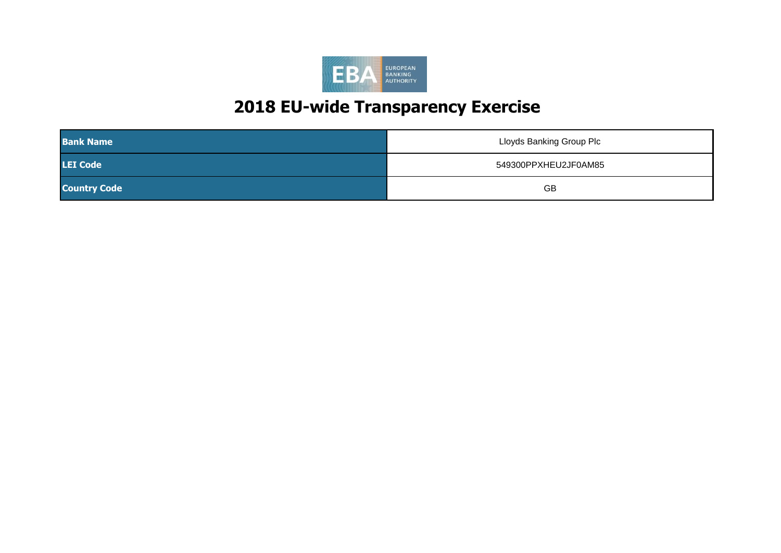

| <b>Bank Name</b>    | Lloyds Banking Group Plc |
|---------------------|--------------------------|
| <b>LEI Code</b>     | 549300PPXHEU2JF0AM85     |
| <b>Country Code</b> | <b>GB</b>                |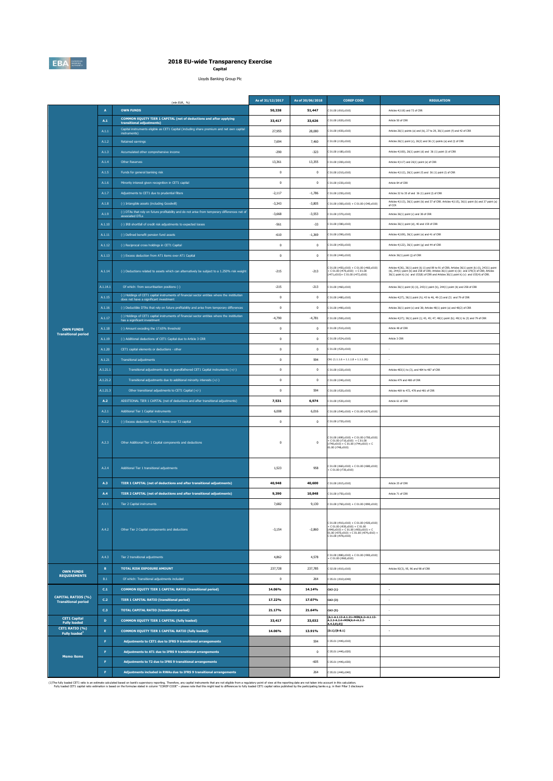

# **2018 EU-wide Transparency Exercise Capital**

**Capital**<br>Lloyds Banking Group Plc

|                                                         |                 | (mln EUR, $%$                                                                                                                          | As of 31/12/2017 | As of 30/06/2018 | <b>COREP CODE</b>                                                                                                                                                                            | <b>REGULATION</b>                                                                                                                                                                                                                    |
|---------------------------------------------------------|-----------------|----------------------------------------------------------------------------------------------------------------------------------------|------------------|------------------|----------------------------------------------------------------------------------------------------------------------------------------------------------------------------------------------|--------------------------------------------------------------------------------------------------------------------------------------------------------------------------------------------------------------------------------------|
|                                                         | $\overline{A}$  | <b>OWN FUNDS</b>                                                                                                                       | 50,338           | 51,447           | 01.00 (r010,c010)                                                                                                                                                                            | Articles 4(118) and 72 of CRR                                                                                                                                                                                                        |
|                                                         | A.1             | COMMON EQUITY TIER 1 CAPITAL (net of deductions and after applying<br>transitional adjustments)                                        | 33,417           | 33,626           | 01.00 (r020,c010)                                                                                                                                                                            | Article 50 of CRR                                                                                                                                                                                                                    |
|                                                         | A.1.1           | Capital instruments eligible as CET1 Capital (including share premium and net own capital<br>instruments)                              | 27,955           | 28,080           | 01.00 (r030,c010)                                                                                                                                                                            | Articles 26(1) points (a) and (b), 27 to 29, 36(1) point (f) and 42 of CRR                                                                                                                                                           |
|                                                         | A.1.2           | Retained earnings                                                                                                                      | 7,694            | 7,460            | 01.00 (r130,c010)                                                                                                                                                                            | Articles 26(1) point (c), 26(2) and 36 (1) points (a) and (l) of CRR                                                                                                                                                                 |
|                                                         | A.1.3           | Accumulated other comprehensive income                                                                                                 | $-290$           | $-323$           | C 01.00 (r180.c010)                                                                                                                                                                          | Articles 4(100), 26(1) point (d) and 36 (1) point (l) of CRR                                                                                                                                                                         |
|                                                         | A.1.4           | <b>Other Reserves</b>                                                                                                                  | 13,361           | 13,355           | 01.00 (r200,c010)                                                                                                                                                                            | Articles 4(117) and 26(1) point (e) of CRR                                                                                                                                                                                           |
|                                                         | A.1.5           | Funds for general banking risk                                                                                                         | $^{\circ}$       | $\mathbf{0}$     | 01.00 (r210, c010)                                                                                                                                                                           | Articles 4(112), 26(1) point (f) and 36 (1) point (l) of CRR                                                                                                                                                                         |
|                                                         | $A.1.6$         | Minority interest given recognition in CET1 capital                                                                                    | $\,0\,$          | $\bf 0$          | 01.00 (r230,c010)                                                                                                                                                                            | Article 84 of CRR                                                                                                                                                                                                                    |
|                                                         | A.1.7           | Adjustments to CET1 due to prudential filters                                                                                          | $-2,117$         | $-1,786$         | 01.00 (r250,c010)                                                                                                                                                                            | Articles 32 to 35 of and 36 (1) point (I) of CRR                                                                                                                                                                                     |
|                                                         | A.1.8           | (-) Intangible assets (including Goodwill)                                                                                             | $-3,343$         | $-3,805$         | C 01.00 (r300,c010) + C 01.00 (r340,c010)                                                                                                                                                    | Articles 4(113), 36(1) point (b) and 37 of CRR. Articles 4(115), 36(1) point (b) and 37 point (a)<br>of CCR                                                                                                                          |
|                                                         | A.1.9           | (-) DTAs that rely on future profitability and do not arise from temporary differences net of<br>associated DTLs                       | $-3,668$         | $-3,553$         | 01.00 (r370,c010)                                                                                                                                                                            | Articles 36(1) point (c) and 38 of CRR                                                                                                                                                                                               |
|                                                         | A.1.10          | (-) IRB shortfall of credit risk adjustments to expected losses                                                                        | $-561$           | $-33$            | C 01.00 (r380,c010)                                                                                                                                                                          | Articles 36(1) point (d), 40 and 159 of CRR                                                                                                                                                                                          |
|                                                         | A.1.11          | (-) Defined benefit pension fund assets                                                                                                | $-610$           | $-1,369$         | 01.00 (r390,c010)                                                                                                                                                                            | Articles 4(109), 36(1) point (e) and 41 of CRR                                                                                                                                                                                       |
|                                                         | A.1.12          | (-) Reciprocal cross holdings in CET1 Capital                                                                                          | $^{\circ}$       | $\mathbf{0}$     | 01.00 (r430, c010)                                                                                                                                                                           | Articles 4(122), 36(1) point (g) and 44 of CRR                                                                                                                                                                                       |
|                                                         | A.1.13          | (-) Excess deduction from AT1 items over AT1 Capital                                                                                   | $\,0\,$          | $\bf 0$          | 01.00 (r440,c010)                                                                                                                                                                            | Article 36(1) point (j) of CRR                                                                                                                                                                                                       |
|                                                         | A.1.14          | (-) Deductions related to assets which can alternatively be subject to a 1.250% risk weight                                            | $-215$           | $-213$           | 01.00 (r450,c010) + C 01.00 (r460,c010)<br>$C$ 01.00 (r470,c010) + $C$ 01.00<br>471,c010)+ C 01.00 (r472,c010)                                                                               | Articles 4(36), 36(1) paint (k) (i) and 89 to 91 of CRR; Articles 36(1) point (k) (ii), 243(1) point<br>(b), 244(1) point (b) and 258 of CRR; Articles 36(1) point k) (iii) and 379(3) of CRR; Articles<br>36(1) point k) (iv) and 1 |
|                                                         | A.1.14.1        | Of which: from securitisation positions (-)                                                                                            | $-215$           | $-213$           | 01.00 (r460.c010)                                                                                                                                                                            | Articles 36(1) point (k) (ii), 243(1) point (b), 244(1) point (b) and 258 of CRR                                                                                                                                                     |
|                                                         | A.1.15          | (-) Holdings of CET1 capital instruments of financial sector entities where the institiution<br>does not have a significant investment | $\,0\,$          | $\bf{0}$         | 01.00 (r480,c010)                                                                                                                                                                            | Articles 4(27), 36(1) point (h); 43 to 46, 49 (2) and (3) and 79 of CRR                                                                                                                                                              |
|                                                         | A.1.16          | (-) Deductible DTAs that rely on future profitability and arise from temporary differences                                             | $\mathbf{0}$     | $^{\circ}$       | 01.00 (r490.c010)                                                                                                                                                                            | Articles 36(1) point (c) and 38; Articles 48(1) point (a) and 48(2) of CRR                                                                                                                                                           |
|                                                         | A.1.17          | (-) Holdings of CET1 capital instruments of financial sector entities where the institution<br>has a significant investment            | $-4,790$         | $-4,781$         | 01.00 (rS00,c010)                                                                                                                                                                            | Articles 4(27); 36(1) point (i); 43, 45; 47; 48(1) point (b); 49(1) to (3) and 79 of CRR                                                                                                                                             |
| <b>OWN FUNDS</b><br><b>Transitional period</b>          | A.1.18          | (-) Amount exceding the 17.65% threshold                                                                                               | $\mathbf{0}$     | $\mathbf{0}$     | 01.00 (r510.c010)                                                                                                                                                                            | Article 48 of CRR                                                                                                                                                                                                                    |
|                                                         | A.1.19          | (-) Additional deductions of CET1 Capital due to Article 3 CRR                                                                         | $\,0\,$          | $\bf 0$          | 01.00 (rS24,c010)                                                                                                                                                                            | Article 3 CRR                                                                                                                                                                                                                        |
|                                                         | A.1.20          | CET1 capital elements or deductions - other                                                                                            | $\,0\,$          | $\bf 0$          | 01.00 (rS29.c010)                                                                                                                                                                            |                                                                                                                                                                                                                                      |
|                                                         | A.1.21          | <b>Transitional adjustments</b>                                                                                                        | $\mathbf 0$      | 594              | $CA1(1.1.1.6 + 1.1.1.8 + 1.1.1.26)$                                                                                                                                                          | ×                                                                                                                                                                                                                                    |
|                                                         | A.1.21.1        | Transitional adjustments due to grandfathered CET1 Capital instruments (+/-)                                                           | $\,0\,$          | $\bf{0}$         | 01.00 (r220,c010)                                                                                                                                                                            | Articles 483(1) to (3), and 484 to 487 of CRR                                                                                                                                                                                        |
|                                                         | A.1.21.2        | Transitional adjustments due to additional minority interests (+/-)                                                                    | $\mathbf{0}$     | $^{\circ}$       | C 01.00 (r240,c010)                                                                                                                                                                          | Articles 479 and 480 of CRR                                                                                                                                                                                                          |
|                                                         | A.1.21.3        | Other transitional adjustments to CET1 Capital (+/-)                                                                                   | $\,0\,$          | 594              | 01.00 (r520,c010)                                                                                                                                                                            | Articles 469 to 472, 478 and 481 of CRR                                                                                                                                                                                              |
|                                                         | A.2             | ADDITIONAL TIER 1 CAPITAL (net of deductions and after transitional adjustments)                                                       | 7,531            | 6,974            | C 01.00 (r530,c010)                                                                                                                                                                          | Article 61 of CRR                                                                                                                                                                                                                    |
|                                                         | A.2.1           | Additional Tier 1 Capital instruments                                                                                                  | 6,008            | 6,016            | $(01.00 (r540, c010) + C 01.00 (r670, c010))$                                                                                                                                                |                                                                                                                                                                                                                                      |
|                                                         | A.2.2           | (-) Excess deduction from T2 items over T2 capital                                                                                     | $\mathbf{0}$     | $\mathbf{0}$     | 01.00 (r720,c010)                                                                                                                                                                            |                                                                                                                                                                                                                                      |
|                                                         | A.2.3           | Other Additional Tier 1 Capital components and deductions                                                                              | $\overline{0}$   | $^{\circ}$       | $\begin{array}{l} (11.00~(r690, c010) + C~01.00~(r700, c010) \\ (11.00~(r710, c010) + C~01.00 \end{array}$<br>740,c010) + C 01.00 (r744,c010) + C<br>1.00 (r748,c010)                        |                                                                                                                                                                                                                                      |
|                                                         | A.2.4           | Additional Tier 1 transitional adjustments                                                                                             | 1,523            | 958              | $01.00$ (r660,c010) + C 01.00 (r680,c010)<br>C 01.00 (r730,c010)                                                                                                                             |                                                                                                                                                                                                                                      |
|                                                         | A.3             | TIER 1 CAPITAL (net of deductions and after transitional adjustments)                                                                  | 40,948           | 40,600           | 01.00 (r015,c010)                                                                                                                                                                            | Article 25 of CRR                                                                                                                                                                                                                    |
|                                                         | A.4             | TIER 2 CAPITAL (net of deductions and after transitional adjustments)                                                                  | 9,390            | 10,848           | 01.00 (r750,c010)                                                                                                                                                                            | Article 71 of CRR                                                                                                                                                                                                                    |
|                                                         | A.4.1           | Tier 2 Capital instruments                                                                                                             | 7.682            | 9.130            | C 01.00 (r760,c010) + C 01.00 (r890,c010)                                                                                                                                                    |                                                                                                                                                                                                                                      |
|                                                         | A.4.2           | Other Tier 2 Capital components and deductions                                                                                         | $-3,154$         | $-2,860$         | $01.00$ (r910,c010) + C 01.00 (r920,c010)<br>$C$ 01.00 (r930.c010) + $C$ 01.00<br>$940, c010) + C 01.00 (r950, c010) + C$<br>1.00 (r970,c010) + C 01.00 (r974,c010) +<br>C 01.00 (r978,c010) |                                                                                                                                                                                                                                      |
|                                                         | A.4.3           | Tier 2 transitional adjustments                                                                                                        | 4.862            | 4,578            | 01.00 (r880,c010) + C 01.00 (r900,c010)<br>C 01.00 (r960,c010)                                                                                                                               |                                                                                                                                                                                                                                      |
| <b>OWN FUNDS</b>                                        | $\, {\bf B} \,$ | <b>TOTAL RISK EXPOSURE AMOUNT</b>                                                                                                      | 237,728          | 237,785          | 202.00 (r010, c010)                                                                                                                                                                          | Articles 92(3), 95, 96 and 98 of CRR                                                                                                                                                                                                 |
| <b>REQUIREMENTS</b>                                     | B.1             | Of which: Transitional adjustments included                                                                                            | $^{\circ}$       | 264              | 05.01 (r010:c040)                                                                                                                                                                            |                                                                                                                                                                                                                                      |
|                                                         | C.1             | COMMON EQUITY TIER 1 CAPITAL RATIO (transitional period)                                                                               | 14.06%           | 14.14%           | CA3 {1}                                                                                                                                                                                      |                                                                                                                                                                                                                                      |
| <b>CAPITAL RATIOS (%)</b><br><b>Transitional period</b> | C.2             | <b>TIER 1 CAPITAL RATIO (transitional period)</b>                                                                                      | 17.22%           | 17.07%           | CA3 (3)                                                                                                                                                                                      |                                                                                                                                                                                                                                      |
|                                                         | C.3             | <b>TOTAL CAPITAL RATIO (transitional period)</b>                                                                                       | 21.17%           | 21.64%           | CA3 {5}                                                                                                                                                                                      | ×                                                                                                                                                                                                                                    |
| <b>CET1 Capital</b><br><b>Fully loaded</b>              | $\mathbf{D}$    | COMMON EQUITY TIER 1 CAPITAL (fully loaded)                                                                                            | 33,417           | 33,032           | A.1-A.1.13-A.1.21+MIN(A.2+A.1.13-<br>\.2.2-A.2.4+MIN(A.4+A.2.2-<br>$(.4.3,0)$ ,0)]                                                                                                           | $\cdot$                                                                                                                                                                                                                              |
| CET1 RATIO (%)<br><b>Fully loaded</b>                   | E.              | COMMON EQUITY TIER 1 CAPITAL RATIO (fully loaded)                                                                                      | 14.06%           | 13.91%           | $[D.1]/[B-B.1]$                                                                                                                                                                              | $\overline{\phantom{a}}$                                                                                                                                                                                                             |
|                                                         | F               | Adjustments to CET1 due to IFRS 9 transitional arrangements                                                                            |                  | 594              | 05.01 (r440,c010)                                                                                                                                                                            |                                                                                                                                                                                                                                      |
| <b>Memo items</b>                                       | F.              | Adjustments to AT1 due to IFRS 9 transitional arrangements                                                                             |                  | $\bf{0}$         | 05.01 (r440,c020)                                                                                                                                                                            |                                                                                                                                                                                                                                      |
|                                                         | F               | Adjustments to T2 due to IFRS 9 transitional arrangements                                                                              |                  | $-605$           | 05.01 (r440,c030)                                                                                                                                                                            |                                                                                                                                                                                                                                      |
|                                                         | F               | Adjustments included in RWAs due to IFRS 9 transitional arrangements                                                                   |                  | 264              | 05.01 (r440,c040)                                                                                                                                                                            |                                                                                                                                                                                                                                      |
|                                                         |                 |                                                                                                                                        |                  |                  |                                                                                                                                                                                              |                                                                                                                                                                                                                                      |

(1)The fully load CETI attack an estimate ackulated based on bank's supervisory reporting. The fully may capital instruments that are not eligible from a requiston, part in its calculation. Develops in the compart of the s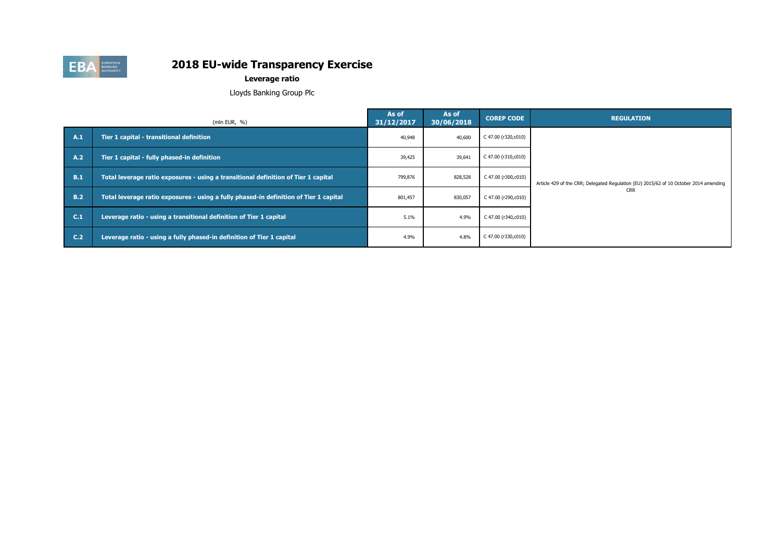

**Leverage ratio**

Lloyds Banking Group Plc

|     | (mln EUR, $%$ )                                                                       | As of<br>31/12/2017 | As of<br>30/06/2018 | <b>COREP CODE</b>   | <b>REGULATION</b>                                                                     |
|-----|---------------------------------------------------------------------------------------|---------------------|---------------------|---------------------|---------------------------------------------------------------------------------------|
| A.1 | Tier 1 capital - transitional definition                                              | 40,948              | 40,600              | C 47.00 (r320,c010) |                                                                                       |
| A.2 | Tier 1 capital - fully phased-in definition                                           | 39,425              | 39,641              | C 47.00 (r310,c010) |                                                                                       |
| B.1 | Total leverage ratio exposures - using a transitional definition of Tier 1 capital    | 799,876             | 828,528             | C 47.00 (r300,c010) | Article 429 of the CRR; Delegated Regulation (EU) 2015/62 of 10 October 2014 amending |
| B.2 | Total leverage ratio exposures - using a fully phased-in definition of Tier 1 capital | 801,457             | 830,057             | C 47.00 (r290,c010) | <b>CRR</b>                                                                            |
| C.1 | Leverage ratio - using a transitional definition of Tier 1 capital                    | 5.1%                | 4.9%                | C 47.00 (r340,c010) |                                                                                       |
| C.2 | Leverage ratio - using a fully phased-in definition of Tier 1 capital                 | 4.9%                | 4.8%                | C 47.00 (r330,c010) |                                                                                       |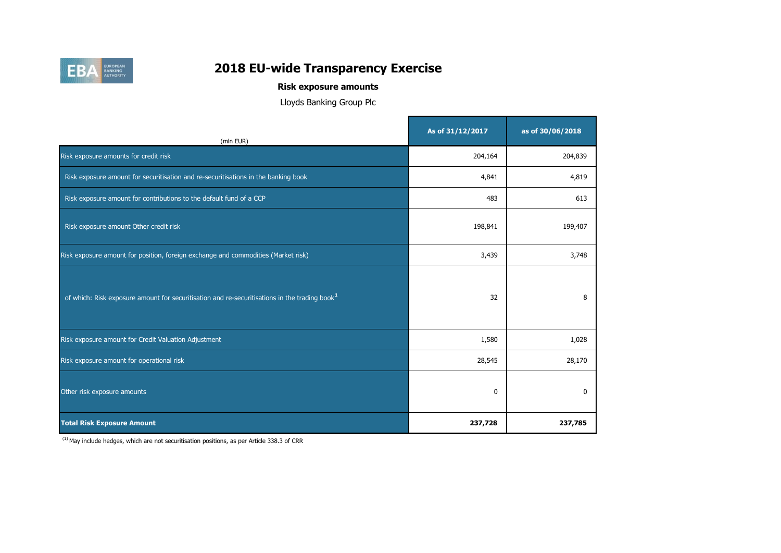

# **Risk exposure amounts**

Lloyds Banking Group Plc

| (mln EUR)                                                                                                 | As of 31/12/2017 | as of 30/06/2018 |
|-----------------------------------------------------------------------------------------------------------|------------------|------------------|
| Risk exposure amounts for credit risk                                                                     | 204,164          | 204,839          |
| Risk exposure amount for securitisation and re-securitisations in the banking book                        | 4,841            | 4,819            |
| Risk exposure amount for contributions to the default fund of a CCP                                       | 483              | 613              |
| Risk exposure amount Other credit risk                                                                    | 198,841          | 199,407          |
| Risk exposure amount for position, foreign exchange and commodities (Market risk)                         | 3,439            | 3,748            |
| of which: Risk exposure amount for securitisation and re-securitisations in the trading book <sup>1</sup> | 32               | 8                |
| Risk exposure amount for Credit Valuation Adjustment                                                      | 1,580            | 1,028            |
| Risk exposure amount for operational risk                                                                 | 28,545           | 28,170           |
| Other risk exposure amounts                                                                               | $\mathbf 0$      | 0                |
| <b>Total Risk Exposure Amount</b>                                                                         | 237,728          | 237,785          |

 $(1)$  May include hedges, which are not securitisation positions, as per Article 338.3 of CRR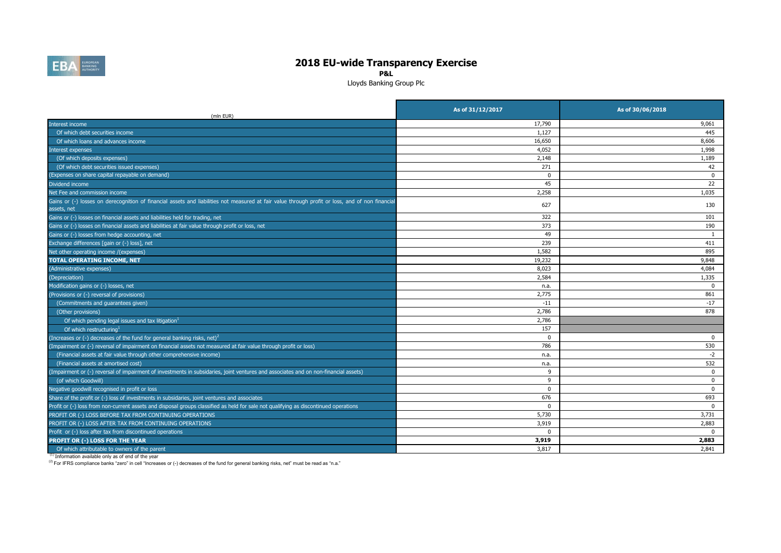

**P&L**

Lloyds Banking Group Plc

| (mln EUR)                                                                                                                                                       | As of 31/12/2017 | As of 30/06/2018 |
|-----------------------------------------------------------------------------------------------------------------------------------------------------------------|------------------|------------------|
| Interest income                                                                                                                                                 | 17,790           | 9,061            |
| Of which debt securities income                                                                                                                                 | 1,127            | 445              |
| Of which loans and advances income                                                                                                                              | 16,650           | 8,606            |
| interest expenses                                                                                                                                               | 4,052            | 1,998            |
| (Of which deposits expenses)                                                                                                                                    | 2,148            | 1,189            |
| (Of which debt securities issued expenses)                                                                                                                      | 271              | 42               |
| (Expenses on share capital repayable on demand)                                                                                                                 | $\Omega$         | $\mathbf 0$      |
| Dividend income                                                                                                                                                 | 45               | 22               |
| Net Fee and commission income                                                                                                                                   | 2,258            | 1,035            |
| Gains or (-) losses on derecognition of financial assets and liabilities not measured at fair value through profit or loss, and of non financial<br>assets, net | 627              | 130              |
| Gains or (-) losses on financial assets and liabilities held for trading, net                                                                                   | 322              | 101              |
| Gains or (-) losses on financial assets and liabilities at fair value through profit or loss, net                                                               | 373              | 190              |
| Gains or (-) losses from hedge accounting, net                                                                                                                  | 49               | -1               |
| Exchange differences [gain or (-) loss], net                                                                                                                    | 239              | 411              |
| Net other operating income /(expenses)                                                                                                                          | 1,582            | 895              |
| TOTAL OPERATING INCOME, NET                                                                                                                                     | 19,232           | 9,848            |
| (Administrative expenses)                                                                                                                                       | 8,023            | 4,084            |
| (Depreciation)                                                                                                                                                  | 2,584            | 1,335            |
| Modification gains or (-) losses, net                                                                                                                           | n.a.             | $\mathbf 0$      |
| (Provisions or (-) reversal of provisions)                                                                                                                      | 2,775            | 861              |
| (Commitments and guarantees given)                                                                                                                              | $-11$            | $-17$            |
| (Other provisions)                                                                                                                                              | 2,786            | 878              |
| Of which pending legal issues and tax litigation <sup>1</sup>                                                                                                   | 2,786            |                  |
| Of which restructuring <sup>1</sup>                                                                                                                             | 157              |                  |
| (Increases or (-) decreases of the fund for general banking risks, net) <sup>2</sup>                                                                            | $\mathbf 0$      | $\mathbf 0$      |
| (Impairment or (-) reversal of impairment on financial assets not measured at fair value through profit or loss)                                                | 786              | 530              |
| (Financial assets at fair value through other comprehensive income)                                                                                             | n.a.             | $-2$             |
| (Financial assets at amortised cost)                                                                                                                            | n.a.             | 532              |
| Impairment or (-) reversal of impairment of investments in subsidaries, joint ventures and associates and on non-financial assets)                              | 9                | $\bf{0}$         |
| (of which Goodwill)                                                                                                                                             | 9                | $\mathbf 0$      |
| Negative goodwill recognised in profit or loss                                                                                                                  | $\Omega$         | $\mathbf 0$      |
| Share of the profit or (-) loss of investments in subsidaries, joint ventures and associates                                                                    | 676              | 693              |
| Profit or (-) loss from non-current assets and disposal groups classified as held for sale not qualifying as discontinued operations                            | $\Omega$         | $\Omega$         |
| PROFIT OR (-) LOSS BEFORE TAX FROM CONTINUING OPERATIONS                                                                                                        | 5,730            | 3,731            |
| PROFIT OR (-) LOSS AFTER TAX FROM CONTINUING OPERATIONS                                                                                                         | 3,919            | 2,883            |
| Profit or (-) loss after tax from discontinued operations                                                                                                       | $\Omega$         | $\Omega$         |
| PROFIT OR (-) LOSS FOR THE YEAR                                                                                                                                 | 3,919            | 2,883            |
| Of which attributable to owners of the parent                                                                                                                   | 3.817            | 2,841            |

(1) Information available only as of end of the year

(2) For IFRS compliance banks "zero" in cell "Increases or (-) decreases of the fund for general banking risks, net" must be read as "n.a."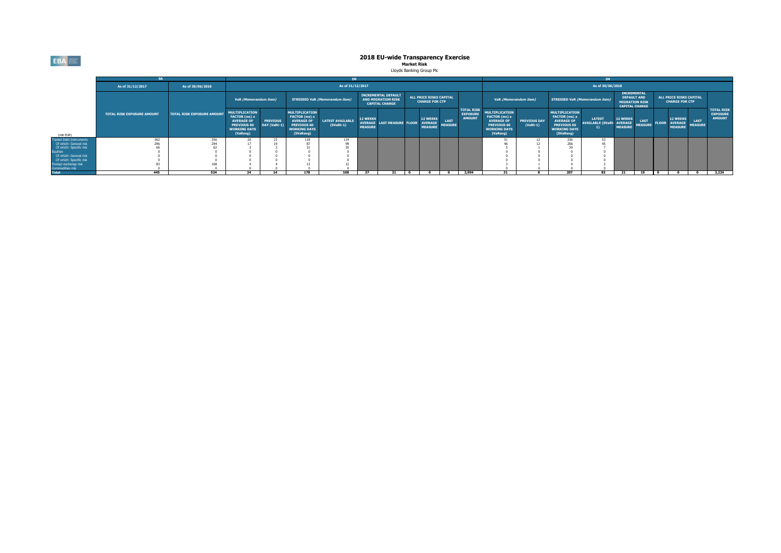**EBA** 

# **2018 EU-wide Transparency Exercise<br>Market Risk<br>Lloyds Banking Group Pic**

|                                                               |                                   |                                   |                                                                                                                      |                                 |                                                                                                                       |                                        |                                   |                                                                                  |                |                                                  |                               | TМ                                                    |                                                                                                                      |                                   |                                                                                                                       |                                                    |                                                                                            |                               |              |                                                     |                               |                                                       |
|---------------------------------------------------------------|-----------------------------------|-----------------------------------|----------------------------------------------------------------------------------------------------------------------|---------------------------------|-----------------------------------------------------------------------------------------------------------------------|----------------------------------------|-----------------------------------|----------------------------------------------------------------------------------|----------------|--------------------------------------------------|-------------------------------|-------------------------------------------------------|----------------------------------------------------------------------------------------------------------------------|-----------------------------------|-----------------------------------------------------------------------------------------------------------------------|----------------------------------------------------|--------------------------------------------------------------------------------------------|-------------------------------|--------------|-----------------------------------------------------|-------------------------------|-------------------------------------------------------|
|                                                               | As of 31/12/2017                  | As of 30/06/2018                  |                                                                                                                      | As of 31/12/2017                |                                                                                                                       |                                        |                                   |                                                                                  |                |                                                  |                               |                                                       | As of 30/06/2018                                                                                                     |                                   |                                                                                                                       |                                                    |                                                                                            |                               |              |                                                     |                               |                                                       |
|                                                               |                                   |                                   | VaR (Memorandum item)                                                                                                |                                 |                                                                                                                       | <b>STRESSED VaR (Memorandum item)</b>  |                                   | <b>INCREMENTAL DEFAULT</b><br><b>AND MIGRATION RISK</b><br><b>CAPITAL CHARGE</b> |                | ALL PRICE RISKS CAPITAL<br><b>CHARGE FOR CTP</b> |                               |                                                       | VaR (Memorandum item)                                                                                                |                                   |                                                                                                                       | <b>STRESSED VaR (Memorandum item)</b>              | <b>INCREMENTAL</b><br><b>DEFAULT AND</b><br><b>MIGRATION RISK</b><br><b>CAPITAL CHARGE</b> |                               |              | ALL PRICE RISKS CAPITAL<br><b>CHARGE FOR CTP</b>    |                               |                                                       |
| (mln EUR)                                                     | <b>TOTAL RISK EXPOSURE AMOUNT</b> | <b>TOTAL RISK EXPOSURE AMOUNT</b> | <b>MULTIPLICATION</b><br>FACTOR (mc) x<br><b>AVERAGE OF</b><br><b>PREVIOUS 60</b><br><b>WORKING DAYS</b><br>(VaRavg) | <b>PREVIOUS</b><br>DAY (VaRt-1) | <b>MULTIPLICATION</b><br>FACTOR (ms) x<br><b>AVERAGE OF</b><br><b>PREVIOUS 60</b><br><b>WORKING DAYS</b><br>(SVaRavg) | <b>LATEST AVAILABLE</b><br>$(SVaRt-1)$ | <b>12 WEEKS</b><br><b>MEASURE</b> | AVERAGE LAST MEASURE FLOOR AVERAGE                                               |                | <b>12 WEEKS</b><br><b>MEASURE</b>                | <b>LAST</b><br><b>MEASURE</b> | <b>TOTAL RISK</b><br><b>EXPOSURE</b><br><b>AMOUNT</b> | <b>MULTIPLICATION</b><br>FACTOR (mc) x<br><b>AVERAGE OF</b><br><b>PREVIOUS 60</b><br><b>WORKING DAYS</b><br>(VaRavg) | <b>PREVIOUS DAY</b><br>$(VaRt-1)$ | <b>MULTIPLICATION</b><br>FACTOR (ms) x<br><b>AVERAGE OF</b><br><b>PREVIOUS 60</b><br><b>WORKING DAYS</b><br>(SVaRavg) | <b>LATEST</b><br><b>AVAILABLE (SVaRt: AVERAGE)</b> | 12 WEEKS<br><b>MEASURE</b>                                                                 | <b>LAST</b><br><b>MEASURE</b> | <b>FLOOR</b> | <b>12 WEEKS</b><br><b>AVERAGE</b><br><b>MEASURE</b> | <b>LAST</b><br><b>MEASURE</b> | <b>TOTAL RISK</b><br><b>EXPOSURE</b><br><b>AMOUNT</b> |
| <b>Traded Debt Instruments</b>                                |                                   | 356                               | ZU.                                                                                                                  | $\overline{25}$                 | 118                                                                                                                   | 134                                    |                                   |                                                                                  |                |                                                  |                               |                                                       |                                                                                                                      |                                   | 236                                                                                                                   |                                                    |                                                                                            |                               |              |                                                     |                               |                                                       |
| Of which: General risk                                        |                                   |                                   |                                                                                                                      |                                 | 87                                                                                                                    |                                        |                                   |                                                                                  |                |                                                  |                               |                                                       |                                                                                                                      |                                   |                                                                                                                       |                                                    |                                                                                            |                               |              |                                                     |                               |                                                       |
|                                                               |                                   |                                   |                                                                                                                      |                                 |                                                                                                                       |                                        |                                   |                                                                                  |                |                                                  |                               |                                                       |                                                                                                                      |                                   |                                                                                                                       |                                                    |                                                                                            |                               |              |                                                     |                               |                                                       |
| Of which: Specific risk<br>Equities<br>Of which: General risk |                                   |                                   |                                                                                                                      |                                 |                                                                                                                       |                                        |                                   |                                                                                  |                |                                                  |                               |                                                       |                                                                                                                      |                                   |                                                                                                                       |                                                    |                                                                                            |                               |              |                                                     |                               |                                                       |
|                                                               |                                   |                                   |                                                                                                                      |                                 |                                                                                                                       |                                        |                                   |                                                                                  |                |                                                  |                               |                                                       |                                                                                                                      |                                   |                                                                                                                       |                                                    |                                                                                            |                               |              |                                                     |                               |                                                       |
| Of which: Specific risk<br>Foreign exchange risk              |                                   | 168                               |                                                                                                                      |                                 |                                                                                                                       |                                        |                                   |                                                                                  |                |                                                  |                               |                                                       |                                                                                                                      |                                   |                                                                                                                       |                                                    |                                                                                            |                               |              |                                                     |                               |                                                       |
| Commodities risk                                              |                                   |                                   |                                                                                                                      |                                 |                                                                                                                       |                                        |                                   |                                                                                  |                |                                                  |                               |                                                       |                                                                                                                      |                                   |                                                                                                                       |                                                    |                                                                                            |                               |              |                                                     |                               |                                                       |
| <b>Total</b>                                                  | 445                               | 524                               | 24                                                                                                                   | 14                              | 178                                                                                                                   | 108                                    | 27                                | 21                                                                               | $\overline{a}$ |                                                  |                               | 2,994                                                 | 31                                                                                                                   |                                   | 207                                                                                                                   | 83                                                 | 21                                                                                         | 19 0                          |              |                                                     |                               | 3.224                                                 |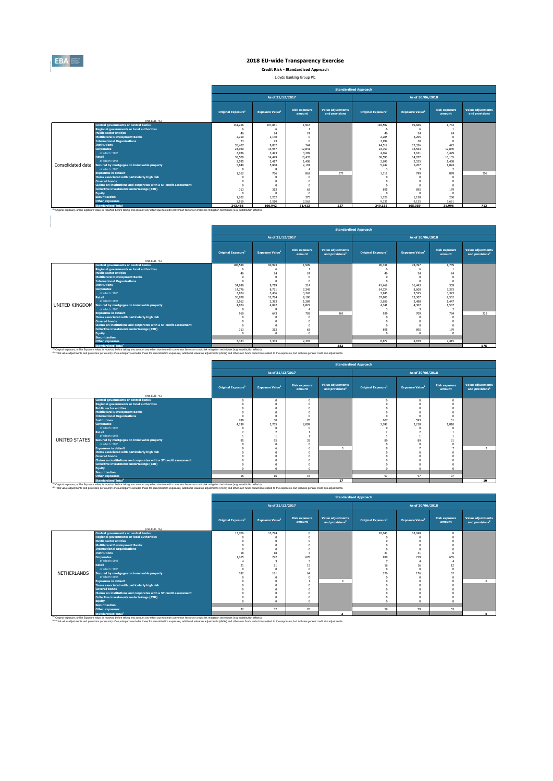

 $\begin{array}{c} \hline \end{array}$ 

# **2018 EU-wide Transparency Exercise**

**Credit Risk - Standardised Approach**

Lloyds Banking Group Plc

|                   |                                                                                                                                                                                                               | <b>Standardised Approach</b>   |                                    |                                |                                            |                                |                                    |                                |                                            |  |  |  |  |
|-------------------|---------------------------------------------------------------------------------------------------------------------------------------------------------------------------------------------------------------|--------------------------------|------------------------------------|--------------------------------|--------------------------------------------|--------------------------------|------------------------------------|--------------------------------|--------------------------------------------|--|--|--|--|
|                   |                                                                                                                                                                                                               |                                | As of 31/12/2017                   |                                |                                            |                                | As of 30/06/2018                   |                                |                                            |  |  |  |  |
|                   | (mln EUR. %)                                                                                                                                                                                                  | Original Exposure <sup>1</sup> | <b>Exposure Value</b> <sup>1</sup> | <b>Risk exposure</b><br>amount | <b>Value adjustments</b><br>and provisions | Original Exposure <sup>1</sup> | <b>Exposure Value</b> <sup>1</sup> | <b>Risk exposure</b><br>amount | <b>Value adjustments</b><br>and provisions |  |  |  |  |
|                   | <b>Central governments or central banks</b>                                                                                                                                                                   | 131,256                        | 107,861                            | 1.918                          |                                            | 118,502                        | 99,666                             | 1.743                          |                                            |  |  |  |  |
|                   | <b>Regional governments or local authorities</b>                                                                                                                                                              |                                |                                    |                                |                                            |                                |                                    |                                |                                            |  |  |  |  |
|                   | <b>Public sector entities</b>                                                                                                                                                                                 | 46                             | 24                                 | 24                             |                                            | 46                             | 74                                 | 24                             |                                            |  |  |  |  |
|                   | <b>Multilateral Development Banks</b>                                                                                                                                                                         | 2.210                          | 2.140                              |                                |                                            | 2.205                          | 2.205                              |                                |                                            |  |  |  |  |
|                   | <b>International Organisations</b>                                                                                                                                                                            | 73                             | 73                                 |                                |                                            | 3,999                          | 30                                 |                                |                                            |  |  |  |  |
|                   | <b>Institutions</b>                                                                                                                                                                                           | 35.407                         | 9.832                              | 244                            |                                            | 44.512                         | 17.326                             | 422                            |                                            |  |  |  |  |
|                   | <b>Corporates</b>                                                                                                                                                                                             | 23,960                         | 14.957                             | 12.841                         |                                            | 23,750                         | 14,563                             | 12,849                         |                                            |  |  |  |  |
|                   | of which: SME                                                                                                                                                                                                 | 3.936                          | 3,493                              | 3.299                          |                                            | 4.062                          | 3.631                              | 3.429                          |                                            |  |  |  |  |
|                   | <b>Retail</b>                                                                                                                                                                                                 | 38,500                         | 14,449                             | 10.433                         |                                            | 38,590                         | 14.077                             | 10.133                         |                                            |  |  |  |  |
|                   | of which: SME                                                                                                                                                                                                 | 2.595                          | 2.417                              | 1.408                          |                                            | 2,696                          | 2.525                              | 1.468                          |                                            |  |  |  |  |
| Consolidated data | Secured by mortgages on immovable property                                                                                                                                                                    | 5.840                          | 5,808                              | 2.191                          |                                            | 5.247                          | 5,207                              | 1.824                          |                                            |  |  |  |  |
|                   | of which: SME                                                                                                                                                                                                 |                                |                                    |                                |                                            |                                |                                    |                                |                                            |  |  |  |  |
|                   | <b>Exposures in default</b>                                                                                                                                                                                   | 1.162                          | 766                                | 862                            | 372                                        | 1.119                          | 799                                | 899                            | 306                                        |  |  |  |  |
|                   | Items associated with particularly high risk                                                                                                                                                                  |                                |                                    |                                |                                            |                                |                                    |                                |                                            |  |  |  |  |
|                   | <b>Covered bonds</b>                                                                                                                                                                                          | $\sqrt{2}$<br>$\sqrt{2}$       |                                    |                                |                                            | $\Omega$                       |                                    |                                |                                            |  |  |  |  |
|                   | Claims on institutions and corporates with a ST credit assessment                                                                                                                                             |                                |                                    |                                |                                            | $\Omega$                       |                                    |                                |                                            |  |  |  |  |
|                   | Collective investments undertakings (CIU)                                                                                                                                                                     | 313<br>$\sqrt{2}$              | 313                                | 63<br>$\Omega$                 |                                            | 895                            | 895                                | 179                            |                                            |  |  |  |  |
|                   | <b>Equity</b><br><b>Securitisation</b>                                                                                                                                                                        |                                |                                    |                                |                                            | $\Omega$                       |                                    |                                |                                            |  |  |  |  |
|                   |                                                                                                                                                                                                               | 1.202<br>3.510                 | 1.202<br>3.510                     | 275<br>2.562                   |                                            | 1.128<br>9.135                 | 1.128<br>9.135                     | 260<br>7.661                   |                                            |  |  |  |  |
|                   | <b>Other exposures</b><br><b>Standardised Total</b>                                                                                                                                                           |                                |                                    |                                |                                            |                                |                                    |                                |                                            |  |  |  |  |
|                   |                                                                                                                                                                                                               | 243,486                        | 160,942                            | 31,413                         | 527                                        | 249.135                        | 165,059                            | 35,996                         | 713                                        |  |  |  |  |
|                   | <sup>(1)</sup> Original exposure, unlike Exposure value, is reported before taking into account any effect due to credit conversion factors or credit risk mitigation techniques (e.g. substitution effects). |                                |                                    |                                |                                            |                                |                                    |                                |                                            |  |  |  |  |

|                                                                   |                                |                                    |                                |                                                         | <b>Standardised Approach</b>   |                        |                                |                                                         |  |
|-------------------------------------------------------------------|--------------------------------|------------------------------------|--------------------------------|---------------------------------------------------------|--------------------------------|------------------------|--------------------------------|---------------------------------------------------------|--|
|                                                                   |                                | As of 31/12/2017                   |                                |                                                         | As of 30/06/2018               |                        |                                |                                                         |  |
| (mln EUR. 96)                                                     | Original Exposure <sup>1</sup> | <b>Exposure Value</b> <sup>1</sup> | <b>Risk exposure</b><br>amount | <b>Value adjustments</b><br>and provisions <sup>2</sup> | Original Exposure <sup>1</sup> | <b>Exposure Value1</b> | <b>Risk exposure</b><br>amount | <b>Value adjustments</b><br>and provisions <sup>2</sup> |  |
| Central governments or central banks                              | 108,589                        | 90,993                             | 1.909                          |                                                         | 96.331                         | 78,397                 | 1.739                          |                                                         |  |
| <b>Regional governments or local authorities</b>                  |                                |                                    |                                |                                                         | 6                              |                        |                                |                                                         |  |
| <b>Public sector entities</b>                                     | 46                             | 74                                 | 74                             |                                                         | 46                             | 24                     | 24                             |                                                         |  |
| <b>Multilateral Development Banks</b>                             | $\Omega$                       |                                    |                                |                                                         |                                |                        | $\Omega$                       |                                                         |  |
| <b>International Organisations</b>                                | $\sqrt{2}$                     |                                    |                                |                                                         |                                |                        | $\theta$                       |                                                         |  |
| <b>Institutions</b>                                               | 34,990                         | 9.719                              | 214                            |                                                         | 41.469                         | 16,443                 | 359                            |                                                         |  |
| <b>Corporates</b>                                                 | 14,776                         | 8.721                              | 7.349                          |                                                         | 14.724                         | 8,600                  | 7.373                          |                                                         |  |
| of which: SME                                                     | 3.874                          | 3,436                              | 3.243                          |                                                         | 3,946                          | 3.525                  | 3.323                          |                                                         |  |
| <b>Retail</b>                                                     | 36,828                         | 12.784                             | 9.190                          |                                                         | 37,806                         | 13.307                 | 9.562                          |                                                         |  |
| of which: SMF                                                     | 2.562                          | 2.383                              | 1.389                          |                                                         | 2.658                          | 2.488                  | 1.447                          |                                                         |  |
| UNITED KINGDOM Secured by mortgages on immovable property         | 4.874                          | 4.842                              | 1.822                          |                                                         | 4.341                          | 4.302                  | 1.507                          |                                                         |  |
| of which: SME                                                     |                                |                                    |                                |                                                         |                                |                        | $\overline{2}$                 |                                                         |  |
| <b>Exposures in default</b>                                       | 910                            | 643                                | 703                            | 261                                                     | 939                            | 709                    | 784                            | 225                                                     |  |
| Items associated with particularly high risk                      |                                |                                    |                                |                                                         |                                |                        | $\Omega$                       |                                                         |  |
| <b>Covered bonds</b>                                              |                                |                                    |                                |                                                         |                                |                        | $\Omega$                       |                                                         |  |
| Claims on institutions and corporates with a ST credit assessment | $\Omega$                       |                                    |                                |                                                         |                                |                        | $\Omega$                       |                                                         |  |
| Collective investments undertakings (CIU)                         | 313                            | 313                                | 63                             |                                                         | 895                            | 895                    | 179                            |                                                         |  |
| Equity                                                            | $\sim$                         |                                    |                                |                                                         |                                |                        | $\sqrt{2}$                     |                                                         |  |
| <b>Securitisation</b>                                             |                                |                                    |                                |                                                         |                                |                        |                                |                                                         |  |
| <b>Other exposures</b>                                            | 3.333                          | 3.333                              | 2.397                          |                                                         | 8,879                          | 8,879                  | 7.415                          |                                                         |  |
| <b>Standardised Total<sup>2</sup></b>                             |                                |                                    |                                | 382                                                     |                                |                        |                                | 575                                                     |  |

Standardised Total<sup>\*</sup><br><sup>17</sup> Original exposure, unlike Exposite of the Standardise taking into account any effect due to credit conversion factors or credit nith milopsion techniques (e.g. substitution effects).<br><sup>22</sup> Total v

|               |                                                                                                                                                                                                                                                                                                                                                                                                                                       | <b>Standardised Approach</b>   |                                    |                                |                                                         |                                |                                    |                                |                                                  |  |  |  |
|---------------|---------------------------------------------------------------------------------------------------------------------------------------------------------------------------------------------------------------------------------------------------------------------------------------------------------------------------------------------------------------------------------------------------------------------------------------|--------------------------------|------------------------------------|--------------------------------|---------------------------------------------------------|--------------------------------|------------------------------------|--------------------------------|--------------------------------------------------|--|--|--|
|               |                                                                                                                                                                                                                                                                                                                                                                                                                                       |                                | As of 31/12/2017                   |                                |                                                         | As of 30/06/2018               |                                    |                                |                                                  |  |  |  |
|               | (mln EUR. %)                                                                                                                                                                                                                                                                                                                                                                                                                          | Original Exposure <sup>1</sup> | <b>Exposure Value</b> <sup>1</sup> | <b>Risk exposure</b><br>amount | <b>Value adjustments</b><br>and provisions <sup>2</sup> | Original Exposure <sup>1</sup> | <b>Exposure Value</b> <sup>1</sup> | <b>Risk exposure</b><br>amount | Value adjustments<br>and provisions <sup>2</sup> |  |  |  |
|               | Central governments or central banks                                                                                                                                                                                                                                                                                                                                                                                                  |                                | $\Omega$                           |                                |                                                         | $\Omega$                       | $\sqrt{2}$                         | $\Omega$                       |                                                  |  |  |  |
|               | <b>Regional governments or local authorities</b>                                                                                                                                                                                                                                                                                                                                                                                      |                                |                                    |                                |                                                         |                                |                                    |                                |                                                  |  |  |  |
|               | <b>Public sector entities</b>                                                                                                                                                                                                                                                                                                                                                                                                         |                                |                                    |                                |                                                         |                                |                                    |                                |                                                  |  |  |  |
|               | <b>Multilateral Development Banks</b>                                                                                                                                                                                                                                                                                                                                                                                                 |                                |                                    |                                |                                                         |                                |                                    |                                |                                                  |  |  |  |
|               | <b>International Organisations</b>                                                                                                                                                                                                                                                                                                                                                                                                    |                                |                                    |                                |                                                         |                                |                                    |                                |                                                  |  |  |  |
|               | <b>Institutions</b>                                                                                                                                                                                                                                                                                                                                                                                                                   | 288                            | 30                                 | 20                             |                                                         | 607                            | 593                                | 51                             |                                                  |  |  |  |
|               | <b>Corporates</b>                                                                                                                                                                                                                                                                                                                                                                                                                     | 4.198                          | 2.765                              | 2,099                          |                                                         | 3,748                          | 2,218                              | 1.810                          |                                                  |  |  |  |
|               | of which: SME                                                                                                                                                                                                                                                                                                                                                                                                                         |                                |                                    |                                |                                                         |                                |                                    |                                |                                                  |  |  |  |
|               | <b>Retail</b>                                                                                                                                                                                                                                                                                                                                                                                                                         |                                |                                    |                                |                                                         |                                |                                    |                                |                                                  |  |  |  |
|               | of which: SME                                                                                                                                                                                                                                                                                                                                                                                                                         |                                |                                    |                                |                                                         |                                |                                    |                                |                                                  |  |  |  |
| UNITED STATES | Secured by mortgages on immovable property                                                                                                                                                                                                                                                                                                                                                                                            | 95                             | 95                                 | 33                             |                                                         | 89                             | $_{\rm RQ}$                        | 31                             |                                                  |  |  |  |
|               | of which: SME                                                                                                                                                                                                                                                                                                                                                                                                                         |                                |                                    |                                |                                                         |                                |                                    |                                |                                                  |  |  |  |
|               | <b>Exposures in default</b>                                                                                                                                                                                                                                                                                                                                                                                                           |                                |                                    |                                | $\overline{\mathbf{z}}$                                 |                                |                                    |                                |                                                  |  |  |  |
|               | Items associated with particularly high risk                                                                                                                                                                                                                                                                                                                                                                                          |                                |                                    |                                |                                                         |                                |                                    |                                |                                                  |  |  |  |
|               | <b>Covered bonds</b>                                                                                                                                                                                                                                                                                                                                                                                                                  |                                |                                    |                                |                                                         |                                |                                    |                                |                                                  |  |  |  |
|               | Claims on institutions and corporates with a ST credit assessment                                                                                                                                                                                                                                                                                                                                                                     |                                |                                    |                                |                                                         |                                |                                    |                                |                                                  |  |  |  |
|               | Collective investments undertakings (CIU)                                                                                                                                                                                                                                                                                                                                                                                             |                                |                                    |                                |                                                         |                                |                                    |                                |                                                  |  |  |  |
|               | <b>Equity</b>                                                                                                                                                                                                                                                                                                                                                                                                                         |                                |                                    |                                |                                                         | $\sim$                         |                                    |                                |                                                  |  |  |  |
|               | <b>Securitisation</b>                                                                                                                                                                                                                                                                                                                                                                                                                 |                                |                                    |                                |                                                         |                                |                                    |                                |                                                  |  |  |  |
|               | <b>Other exposures</b>                                                                                                                                                                                                                                                                                                                                                                                                                | 16                             | 16                                 | 16                             |                                                         | 97                             | 97                                 | 97                             |                                                  |  |  |  |
|               | <b>Standardised Total<sup>2</sup></b>                                                                                                                                                                                                                                                                                                                                                                                                 |                                |                                    |                                | 17                                                      |                                |                                    |                                | 10                                               |  |  |  |
|               | (ii) Original exposure, unlike Exposure value, is reported before taking into account any effect due to credit conversion factors or credit risk mitigation techniques (e.g. substitution effects).<br>(2) Total value adjustments and provisions per country of counterparty excludes those for securistisation exposures, additional valuation adjustments (AVAs) and other own funds reductions related to the exposures, but incl |                                |                                    |                                |                                                         |                                |                                    |                                |                                                  |  |  |  |

|                                                                                                                         | Standardised Approach |  |
|-------------------------------------------------------------------------------------------------------------------------|-----------------------|--|
| iustments (AVAs) and other own funds reductions related to the exposures, but includes general credit risk adjustments. |                       |  |
| mitigation techniques (e.g. substitution effects).                                                                      |                       |  |

|             |                                                                   |                                | As of 31/12/2017       |                                |                                                         | As of 30/06/2018               |                                    |                                |                                                  |  |
|-------------|-------------------------------------------------------------------|--------------------------------|------------------------|--------------------------------|---------------------------------------------------------|--------------------------------|------------------------------------|--------------------------------|--------------------------------------------------|--|
|             | (mln EUR. 96)                                                     | Original Exposure <sup>1</sup> | <b>Exposure Value1</b> | <b>Risk exposure</b><br>amount | <b>Value adjustments</b><br>and provisions <sup>2</sup> | Original Exposure <sup>1</sup> | <b>Exposure Value</b> <sup>1</sup> | <b>Risk exposure</b><br>amount | Value adjustments<br>and provisions <sup>2</sup> |  |
|             | <b>Central governments or central banks</b>                       | 13,766                         | 13,774                 |                                |                                                         | 18,040                         | 18,048                             |                                |                                                  |  |
|             | <b>Regional governments or local authorities</b>                  |                                |                        |                                |                                                         |                                |                                    |                                |                                                  |  |
|             | <b>Public sector entities</b>                                     |                                |                        |                                |                                                         |                                |                                    |                                |                                                  |  |
|             | <b>Multilateral Development Banks</b>                             |                                |                        |                                |                                                         |                                |                                    |                                |                                                  |  |
|             | <b>International Organisations</b>                                |                                |                        |                                |                                                         |                                |                                    |                                |                                                  |  |
|             | <b>Institutions</b>                                               | 18                             | 18                     |                                |                                                         | 31                             | 31                                 |                                |                                                  |  |
|             | <b>Corporates</b>                                                 | 1,165                          | 742                    | 678                            |                                                         | 980                            | 719                                | 655                            |                                                  |  |
|             | of which: SME                                                     |                                |                        |                                |                                                         |                                |                                    |                                |                                                  |  |
|             | <b>Retail</b>                                                     | 21                             | 21                     | 15                             |                                                         | 16                             | 16                                 | 12                             |                                                  |  |
|             | of which: SME                                                     | $\Omega$                       |                        |                                |                                                         |                                |                                    |                                |                                                  |  |
| NETHERLANDS | Secured by mortgages on immovable property                        | 182                            | 181                    | 64                             |                                                         | 176                            | 176                                | 62                             |                                                  |  |
|             | of which: SME                                                     |                                |                        |                                |                                                         |                                |                                    |                                |                                                  |  |
|             | <b>Exposures in default</b>                                       |                                |                        |                                | $\sim$                                                  |                                |                                    |                                |                                                  |  |
|             | Items associated with particularly high risk                      |                                |                        |                                |                                                         |                                |                                    |                                |                                                  |  |
|             | <b>Covered bonds</b>                                              |                                |                        |                                |                                                         |                                |                                    |                                |                                                  |  |
|             | Claims on institutions and corporates with a ST credit assessment |                                |                        |                                |                                                         |                                |                                    |                                |                                                  |  |
|             | <b>Collective investments undertakings (CIU)</b>                  |                                |                        |                                |                                                         |                                |                                    |                                |                                                  |  |
|             | <b>Equity</b>                                                     |                                |                        |                                |                                                         |                                |                                    |                                |                                                  |  |
|             | <b>Securitisation</b>                                             |                                |                        |                                |                                                         |                                |                                    |                                |                                                  |  |
|             | <b>Other exposures</b>                                            | 32                             | 32                     | 26                             |                                                         | 59                             | 59                                 | 53                             |                                                  |  |
|             | <b>Standardised Total<sup>2</sup></b>                             |                                |                        |                                | $\overline{2}$                                          |                                |                                    |                                |                                                  |  |

Standardised Total<sup>2</sup><br>This income unit Exported between the standardise between facts or edit in instant income of the standardise income<br>This value adjuding to a movement of contents to experiment of the standardise incom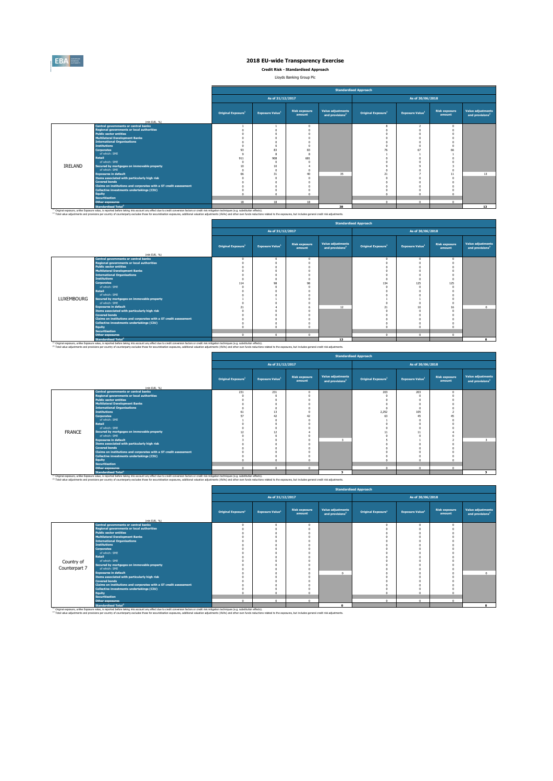

**Credit Risk - Standardised Approach**

Lloyds Banking Group Plc

|         |                                                                                                                                                                                                                                                                                                                                                                                                                                                 | <b>Standardised Approach</b>   |                        |                                |                                                  |                                |                                    |                                |                                                  |  |  |  |
|---------|-------------------------------------------------------------------------------------------------------------------------------------------------------------------------------------------------------------------------------------------------------------------------------------------------------------------------------------------------------------------------------------------------------------------------------------------------|--------------------------------|------------------------|--------------------------------|--------------------------------------------------|--------------------------------|------------------------------------|--------------------------------|--------------------------------------------------|--|--|--|
|         |                                                                                                                                                                                                                                                                                                                                                                                                                                                 |                                | As of 31/12/2017       |                                |                                                  | As of 30/06/2018               |                                    |                                |                                                  |  |  |  |
|         | (mln EUR. %)                                                                                                                                                                                                                                                                                                                                                                                                                                    | Original Exposure <sup>1</sup> | <b>Exposure Value1</b> | <b>Risk exposure</b><br>amount | Value adjustments<br>and provisions <sup>2</sup> | Original Exposure <sup>1</sup> | <b>Exposure Value</b> <sup>1</sup> | <b>Risk exposure</b><br>amount | Value adjustments<br>and provisions <sup>2</sup> |  |  |  |
|         | <b>Central governments or central banks</b>                                                                                                                                                                                                                                                                                                                                                                                                     |                                |                        |                                |                                                  |                                |                                    |                                |                                                  |  |  |  |
|         | <b>Regional governments or local authorities</b>                                                                                                                                                                                                                                                                                                                                                                                                |                                |                        |                                |                                                  |                                |                                    |                                |                                                  |  |  |  |
|         | <b>Public sector entities</b>                                                                                                                                                                                                                                                                                                                                                                                                                   |                                |                        |                                |                                                  |                                |                                    |                                |                                                  |  |  |  |
|         | <b>Multilateral Development Banks</b>                                                                                                                                                                                                                                                                                                                                                                                                           |                                |                        |                                |                                                  |                                |                                    |                                |                                                  |  |  |  |
|         | <b>International Organisations</b>                                                                                                                                                                                                                                                                                                                                                                                                              |                                |                        |                                |                                                  |                                |                                    |                                |                                                  |  |  |  |
|         | <b>Institutions</b>                                                                                                                                                                                                                                                                                                                                                                                                                             |                                |                        |                                |                                                  |                                |                                    |                                |                                                  |  |  |  |
|         | <b>Corporates</b>                                                                                                                                                                                                                                                                                                                                                                                                                               | 93                             | R3                     | 83                             |                                                  |                                | 67                                 |                                |                                                  |  |  |  |
|         | of which: SME                                                                                                                                                                                                                                                                                                                                                                                                                                   | $^{\circ}$                     | 8                      |                                |                                                  |                                |                                    |                                |                                                  |  |  |  |
|         | <b>Retail</b>                                                                                                                                                                                                                                                                                                                                                                                                                                   | 911                            | 908                    | 681                            |                                                  |                                |                                    |                                |                                                  |  |  |  |
|         | of which: SME                                                                                                                                                                                                                                                                                                                                                                                                                                   |                                |                        |                                |                                                  |                                |                                    |                                |                                                  |  |  |  |
| IRELAND | Secured by mortgages on immovable property                                                                                                                                                                                                                                                                                                                                                                                                      | 10                             | 10                     |                                |                                                  |                                |                                    |                                |                                                  |  |  |  |
|         | of which: SME                                                                                                                                                                                                                                                                                                                                                                                                                                   | $\sim$                         | n                      |                                |                                                  |                                |                                    |                                |                                                  |  |  |  |
|         | <b>Exposures in default</b>                                                                                                                                                                                                                                                                                                                                                                                                                     | 66                             | 31                     | 40                             | 35                                               | 21                             |                                    |                                | 13                                               |  |  |  |
|         | Items associated with particularly high risk                                                                                                                                                                                                                                                                                                                                                                                                    |                                |                        |                                |                                                  |                                |                                    |                                |                                                  |  |  |  |
|         | <b>Covered bonds</b>                                                                                                                                                                                                                                                                                                                                                                                                                            |                                |                        |                                |                                                  |                                |                                    |                                |                                                  |  |  |  |
|         | Claims on institutions and corporates with a ST credit assessment                                                                                                                                                                                                                                                                                                                                                                               |                                |                        |                                |                                                  |                                |                                    |                                |                                                  |  |  |  |
|         | Collective investments undertakings (CIU)                                                                                                                                                                                                                                                                                                                                                                                                       |                                |                        |                                |                                                  |                                |                                    |                                |                                                  |  |  |  |
|         | <b>Equity</b>                                                                                                                                                                                                                                                                                                                                                                                                                                   |                                | o                      |                                |                                                  |                                |                                    |                                |                                                  |  |  |  |
|         | <b>Securitisation</b>                                                                                                                                                                                                                                                                                                                                                                                                                           |                                |                        |                                |                                                  | $\sim$                         |                                    |                                |                                                  |  |  |  |
|         | <b>Other exposures</b>                                                                                                                                                                                                                                                                                                                                                                                                                          | 18                             | 18                     | 18                             |                                                  |                                | $\mathsf{n}$                       | $\Omega$                       |                                                  |  |  |  |
|         | <b>Standardised Total<sup>2</sup></b>                                                                                                                                                                                                                                                                                                                                                                                                           |                                |                        |                                | 38                                               |                                |                                    |                                | 13                                               |  |  |  |
|         | <sup>(4)</sup> Original exposure, unlike Exposure value, is reported before taking into account any effect due to credit conversion factors or credit risk mitigation techniques (e.g. substitution effects).<br>(2) Total value adjustments and provisions per country of counterparty excludes those for securistisation exposures, additional valuation adjustments (AVAs) and other own funds reductions related to the exposures, but incl |                                |                        |                                |                                                  |                                |                                    |                                |                                                  |  |  |  |

 $\overline{a}$ 

|            |                                                                   |                                |                        |                                |                                                         | <b>Standardised Approach</b>   |                                    |                                |                                                  |
|------------|-------------------------------------------------------------------|--------------------------------|------------------------|--------------------------------|---------------------------------------------------------|--------------------------------|------------------------------------|--------------------------------|--------------------------------------------------|
|            |                                                                   |                                | As of 31/12/2017       |                                |                                                         |                                | As of 30/06/2018                   |                                |                                                  |
|            | (mln EUR, 96)                                                     | Original Exposure <sup>1</sup> | <b>Exposure Value1</b> | <b>Risk exposure</b><br>amount | <b>Value adjustments</b><br>and provisions <sup>2</sup> | Original Exposure <sup>1</sup> | <b>Exposure Value</b> <sup>1</sup> | <b>Risk exposure</b><br>amount | Value adjustments<br>and provisions <sup>2</sup> |
|            | <b>Central governments or central banks</b>                       |                                |                        |                                |                                                         |                                |                                    |                                |                                                  |
|            | <b>Regional governments or local authorities</b>                  |                                |                        |                                |                                                         |                                |                                    |                                |                                                  |
|            | <b>Public sector entities</b>                                     |                                |                        |                                |                                                         |                                |                                    |                                |                                                  |
|            | <b>Multilateral Development Banks</b>                             |                                |                        |                                |                                                         |                                |                                    |                                |                                                  |
|            | <b>International Organisations</b>                                |                                |                        |                                |                                                         |                                |                                    |                                |                                                  |
|            | <b>Institutions</b>                                               |                                |                        |                                |                                                         |                                |                                    |                                |                                                  |
|            | <b>Corporates</b>                                                 | 114                            | 98                     | 98                             |                                                         | 134                            | 125                                | 125                            |                                                  |
|            | of which: SME                                                     |                                |                        |                                |                                                         |                                |                                    |                                |                                                  |
|            | <b>Retail</b>                                                     |                                |                        |                                |                                                         |                                |                                    |                                |                                                  |
|            | of which: SME                                                     |                                |                        |                                |                                                         |                                |                                    |                                |                                                  |
| LUXEMBOURG | Secured by mortgages on immovable property                        |                                |                        |                                |                                                         |                                |                                    |                                |                                                  |
|            | of which: SME                                                     |                                |                        |                                |                                                         |                                |                                    |                                |                                                  |
|            | <b>Exposures in default</b>                                       | 21                             |                        |                                | 12                                                      | 21                             | 10 <sup>1</sup>                    | 16                             |                                                  |
|            | Items associated with particularly high risk                      |                                |                        |                                |                                                         |                                |                                    |                                |                                                  |
|            | <b>Covered bonds</b>                                              |                                |                        |                                |                                                         |                                |                                    |                                |                                                  |
|            | Claims on institutions and corporates with a ST credit assessment |                                |                        |                                |                                                         |                                |                                    |                                |                                                  |
|            | Collective investments undertakings (CIU)                         |                                |                        |                                |                                                         |                                |                                    |                                |                                                  |
|            | Equity                                                            | $\sim$                         |                        |                                |                                                         |                                |                                    |                                |                                                  |
|            | <b>Securitisation</b>                                             |                                |                        |                                |                                                         |                                |                                    |                                |                                                  |
|            | <b>Other exposures</b><br>and the company of the company          | $\sim$                         | ×,                     | $\sim$                         |                                                         | $\sim$                         | $\sim$                             | $\sim$                         |                                                  |
|            |                                                                   |                                |                        |                                |                                                         |                                |                                    |                                |                                                  |

Standardieed Total\*<br>^^ Original exposure, unlike Exposed Superiation of the Counter of the Color of Content Comeraion factors or credit risk miligation techniques (e.g. substitution effects). Namely because that including

Í.

|               |                                                                   |                                |                                    |                                |                                                         | <b>Standardised Approach</b>   |                                    |                                |                                                  |
|---------------|-------------------------------------------------------------------|--------------------------------|------------------------------------|--------------------------------|---------------------------------------------------------|--------------------------------|------------------------------------|--------------------------------|--------------------------------------------------|
|               |                                                                   |                                | As of 31/12/2017                   |                                |                                                         |                                | As of 30/06/2018                   |                                |                                                  |
|               | (mln EUR. %)                                                      | Original Exposure <sup>1</sup> | <b>Exposure Value</b> <sup>1</sup> | <b>Risk exposure</b><br>amount | <b>Value adjustments</b><br>and provisions <sup>2</sup> | Original Exposure <sup>1</sup> | <b>Exposure Value</b> <sup>1</sup> | <b>Risk exposure</b><br>amount | Value adjustments<br>and provisions <sup>2</sup> |
|               | <b>Central governments or central banks</b>                       | 231                            | 231                                | $\Omega$                       |                                                         | 203                            | 203                                |                                |                                                  |
|               | <b>Regional governments or local authorities</b>                  |                                |                                    |                                |                                                         |                                |                                    |                                |                                                  |
|               | <b>Public sector entities</b>                                     |                                |                                    |                                |                                                         |                                |                                    |                                |                                                  |
|               | <b>Multilateral Development Banks</b>                             |                                |                                    |                                |                                                         |                                |                                    |                                |                                                  |
|               | <b>International Organisations</b>                                |                                |                                    |                                |                                                         | n                              |                                    |                                |                                                  |
|               | <b>Institutions</b>                                               | 61                             | 13                                 |                                |                                                         | 2.252                          | 105                                |                                |                                                  |
|               | <b>Corporates</b>                                                 | 57                             | 42                                 | 42                             |                                                         | 63                             | 45                                 |                                |                                                  |
|               | of which: SME                                                     |                                |                                    |                                |                                                         |                                |                                    |                                |                                                  |
|               | Retail                                                            |                                |                                    |                                |                                                         |                                |                                    |                                |                                                  |
|               | of which: SME                                                     |                                |                                    |                                |                                                         |                                |                                    |                                |                                                  |
| <b>FRANCE</b> | Secured by mortgages on immovable property                        | 12                             | 12                                 |                                |                                                         | $11\,$                         | 11                                 |                                |                                                  |
|               | of which: SME                                                     |                                |                                    |                                |                                                         |                                |                                    |                                |                                                  |
|               | <b>Exposures in default</b>                                       |                                |                                    | $\Omega$                       |                                                         |                                |                                    |                                |                                                  |
|               | Items associated with particularly high risk                      |                                |                                    |                                |                                                         |                                |                                    |                                |                                                  |
|               | <b>Covered bonds</b>                                              |                                |                                    |                                |                                                         |                                |                                    |                                |                                                  |
|               | Claims on institutions and corporates with a ST credit assessment |                                |                                    |                                |                                                         |                                |                                    |                                |                                                  |
|               | Collective investments undertakings (CIU)                         |                                |                                    |                                |                                                         | $\Omega$                       |                                    |                                |                                                  |
|               | <b>Equity</b><br><b>Securitisation</b>                            |                                |                                    |                                |                                                         |                                |                                    |                                |                                                  |
|               | <b>Other exposures</b>                                            | $\Omega$                       | $\Omega$                           | $\Omega$                       |                                                         | $\Omega$                       | $\Omega$                           | $\Omega$                       |                                                  |
|               |                                                                   |                                |                                    |                                |                                                         |                                |                                    |                                |                                                  |
|               | <b>Standardised Total<sup>2</sup></b>                             |                                |                                    |                                | $\overline{\mathbf{a}}$                                 |                                |                                    |                                |                                                  |

**Standardised Total<sup>2</sup><br>
re value is reported before taking into** (1) Original exposure, unlike Exposure value, is reported before taking into account any effect due to credit conversion factors or credit risk<br>(1) Original exposure, unlike Exposure value, is reported before taking into a <sup>(2)</sup> Total value adjustments and provisions per country of counterparty excludes those for securistisation exposures. additional valuation adjustments (AVAs) and other own funds reductions related to the exposures. but in

|               |                                                                   |                                |                        |                                |                                                  | <b>Standardised Approach</b>   |                        |                                |                                                  |
|---------------|-------------------------------------------------------------------|--------------------------------|------------------------|--------------------------------|--------------------------------------------------|--------------------------------|------------------------|--------------------------------|--------------------------------------------------|
|               |                                                                   |                                | As of 31/12/2017       |                                |                                                  |                                | As of 30/06/2018       |                                |                                                  |
|               |                                                                   | Original Exposure <sup>1</sup> | <b>Exposure Value1</b> | <b>Risk exposure</b><br>amount | Value adjustments<br>and provisions <sup>2</sup> | Original Exposure <sup>1</sup> | <b>Exposure Value1</b> | <b>Risk exposure</b><br>amount | Value adjustments<br>and provisions <sup>2</sup> |
|               | (mln EUR, %)                                                      |                                |                        |                                |                                                  |                                |                        |                                |                                                  |
|               | <b>Central governments or central banks</b>                       |                                | n                      |                                |                                                  |                                | n                      |                                |                                                  |
|               | <b>Regional governments or local authorities</b>                  |                                |                        |                                |                                                  |                                |                        |                                |                                                  |
|               | <b>Public sector entities</b>                                     |                                |                        |                                |                                                  |                                |                        |                                |                                                  |
|               | <b>Multilateral Development Banks</b>                             |                                |                        |                                |                                                  |                                |                        |                                |                                                  |
|               | <b>International Organisations</b><br><b>Institutions</b>         |                                |                        |                                |                                                  |                                |                        |                                |                                                  |
|               | <b>Corporates</b>                                                 |                                |                        |                                |                                                  |                                |                        |                                |                                                  |
|               | of which: SME                                                     |                                |                        |                                |                                                  |                                |                        |                                |                                                  |
|               | Retail                                                            |                                |                        |                                |                                                  |                                |                        |                                |                                                  |
|               | of which: SME                                                     |                                |                        |                                |                                                  |                                |                        |                                |                                                  |
| Country of    | Secured by mortgages on immovable property                        |                                |                        |                                |                                                  |                                |                        |                                |                                                  |
| Counterpart 7 | of which: SME                                                     |                                |                        |                                |                                                  |                                |                        |                                |                                                  |
|               | <b>Exposures in default</b>                                       |                                |                        |                                | $\Omega$                                         |                                |                        |                                | $\Omega$                                         |
|               | Items associated with particularly high risk                      |                                |                        |                                |                                                  |                                |                        |                                |                                                  |
|               | <b>Covered bonds</b>                                              |                                |                        |                                |                                                  |                                |                        |                                |                                                  |
|               | Claims on institutions and corporates with a ST credit assessment |                                |                        |                                |                                                  |                                |                        |                                |                                                  |
|               | Collective investments undertakings (CIU)                         |                                |                        |                                |                                                  |                                |                        |                                |                                                  |
|               | <b>Equity</b>                                                     |                                | $\Omega$               |                                |                                                  |                                |                        |                                |                                                  |
|               | <b>Securitisation</b>                                             |                                |                        |                                |                                                  |                                |                        |                                |                                                  |
|               | <b>Other exposures</b>                                            | $\Omega$                       | $\Omega$               | $\Omega$                       |                                                  | $\Omega$                       | $\Omega$               | $\sim$                         |                                                  |
|               | <b>Standardised Total<sup>2</sup></b>                             |                                |                        |                                | $\sqrt{2}$                                       |                                |                        |                                |                                                  |

Standardised Total<sup>2</sup><br>Thinle exposure, unlike Exposite or control delet baling into account any effect due to credit conversion factors or credit niti milioation techniques (e.e. substitution effects).<br><sup>23</sup> Total value adj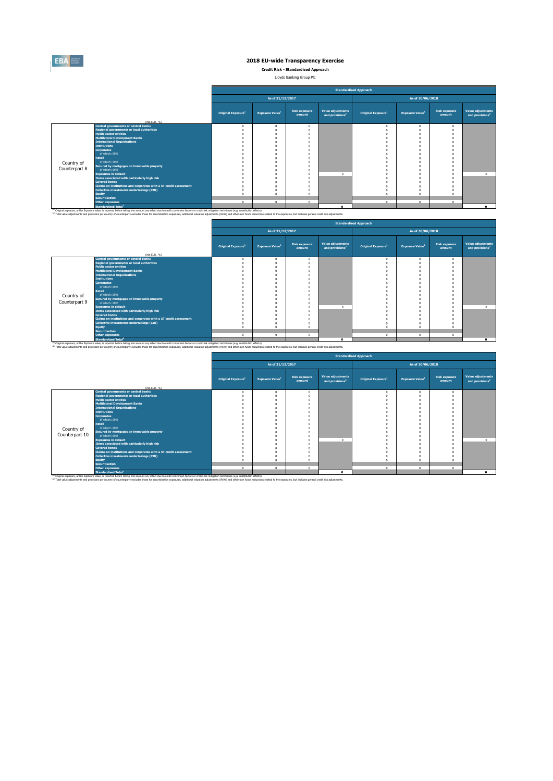

**Credit Risk - Standardised Approach**

Lloyds Banking Group Plc 

|               |                                                                                                                                                                                                                                                                                                                                                                                                                                                 |                                |                             |                                |                                                         | <b>Standardised Approach</b>   |                                    |                                |                                                  |
|---------------|-------------------------------------------------------------------------------------------------------------------------------------------------------------------------------------------------------------------------------------------------------------------------------------------------------------------------------------------------------------------------------------------------------------------------------------------------|--------------------------------|-----------------------------|--------------------------------|---------------------------------------------------------|--------------------------------|------------------------------------|--------------------------------|--------------------------------------------------|
|               |                                                                                                                                                                                                                                                                                                                                                                                                                                                 |                                | As of 31/12/2017            |                                |                                                         |                                | As of 30/06/2018                   |                                |                                                  |
|               | (mln EUR. %)                                                                                                                                                                                                                                                                                                                                                                                                                                    | Original Exposure <sup>1</sup> | Exposure Value <sup>1</sup> | <b>Risk exposure</b><br>amount | <b>Value adjustments</b><br>and provisions <sup>2</sup> | Original Exposure <sup>1</sup> | <b>Exposure Value</b> <sup>1</sup> | <b>Risk exposure</b><br>amount | Value adjustments<br>and provisions <sup>2</sup> |
|               | <b>Central governments or central banks</b>                                                                                                                                                                                                                                                                                                                                                                                                     |                                |                             |                                |                                                         | $\Omega$                       |                                    |                                |                                                  |
|               | <b>Regional governments or local authorities</b>                                                                                                                                                                                                                                                                                                                                                                                                |                                |                             |                                |                                                         |                                |                                    |                                |                                                  |
|               | <b>Public sector entities</b>                                                                                                                                                                                                                                                                                                                                                                                                                   |                                |                             |                                |                                                         |                                |                                    |                                |                                                  |
|               | <b>Multilateral Development Banks</b>                                                                                                                                                                                                                                                                                                                                                                                                           |                                |                             |                                |                                                         |                                |                                    |                                |                                                  |
|               | <b>International Organisations</b>                                                                                                                                                                                                                                                                                                                                                                                                              |                                |                             |                                |                                                         |                                |                                    |                                |                                                  |
|               | <b>Institutions</b>                                                                                                                                                                                                                                                                                                                                                                                                                             |                                |                             |                                |                                                         |                                |                                    |                                |                                                  |
|               | <b>Corporates</b>                                                                                                                                                                                                                                                                                                                                                                                                                               |                                |                             |                                |                                                         |                                |                                    |                                |                                                  |
|               | of which: SME                                                                                                                                                                                                                                                                                                                                                                                                                                   |                                |                             |                                |                                                         |                                |                                    |                                |                                                  |
|               | <b>Retail</b>                                                                                                                                                                                                                                                                                                                                                                                                                                   |                                |                             |                                |                                                         |                                |                                    |                                |                                                  |
| Country of    | of which: SME                                                                                                                                                                                                                                                                                                                                                                                                                                   |                                |                             |                                |                                                         |                                |                                    |                                |                                                  |
| Counterpart 8 | Secured by mortgages on immovable property                                                                                                                                                                                                                                                                                                                                                                                                      |                                |                             |                                |                                                         |                                |                                    |                                |                                                  |
|               | of which: SME                                                                                                                                                                                                                                                                                                                                                                                                                                   |                                |                             |                                |                                                         |                                |                                    |                                |                                                  |
|               | <b>Exposures in default</b>                                                                                                                                                                                                                                                                                                                                                                                                                     |                                |                             |                                | $\Omega$                                                |                                |                                    |                                | $\Omega$                                         |
|               | Items associated with particularly high risk                                                                                                                                                                                                                                                                                                                                                                                                    |                                |                             |                                |                                                         |                                |                                    |                                |                                                  |
|               | <b>Covered bonds</b>                                                                                                                                                                                                                                                                                                                                                                                                                            |                                |                             |                                |                                                         |                                |                                    |                                |                                                  |
|               | Claims on institutions and corporates with a ST credit assessment                                                                                                                                                                                                                                                                                                                                                                               |                                |                             |                                |                                                         |                                |                                    |                                |                                                  |
|               | Collective investments undertakings (CIU)                                                                                                                                                                                                                                                                                                                                                                                                       |                                |                             |                                |                                                         |                                |                                    |                                |                                                  |
|               | <b>Equity</b>                                                                                                                                                                                                                                                                                                                                                                                                                                   |                                |                             |                                |                                                         | $\sqrt{2}$                     |                                    |                                |                                                  |
|               | <b>Securitisation</b>                                                                                                                                                                                                                                                                                                                                                                                                                           | $\sim$                         | $\mathbf{a}$                |                                |                                                         |                                | $\sim$                             | ø                              |                                                  |
|               | <b>Other exposures</b>                                                                                                                                                                                                                                                                                                                                                                                                                          |                                |                             | $\Omega$                       |                                                         | $\Omega$                       |                                    |                                |                                                  |
|               | <b>Standardised Total<sup>2</sup></b>                                                                                                                                                                                                                                                                                                                                                                                                           |                                |                             |                                | $\sim$                                                  |                                |                                    |                                |                                                  |
|               | <sup>(4)</sup> Original exposure, unlike Exposure value, is reported before taking into account any effect due to credit conversion factors or credit risk mitigation techniques (e.g. substitution effects).<br>(2) Total value adjustments and provisions per country of counterparty excludes those for securistisation exposures, additional valuation adjustments (AVAs) and other own funds reductions related to the exposures, but incl |                                |                             |                                |                                                         |                                |                                    |                                |                                                  |

 $\blacksquare$ 

|               |                                                                      |                                |                                    |                                |                                                         | <b>Standardised Approach</b>   |                                    |                                |                                                  |
|---------------|----------------------------------------------------------------------|--------------------------------|------------------------------------|--------------------------------|---------------------------------------------------------|--------------------------------|------------------------------------|--------------------------------|--------------------------------------------------|
|               |                                                                      |                                | As of 31/12/2017                   |                                |                                                         |                                | As of 30/06/2018                   |                                |                                                  |
|               | (mln EUR, 96)                                                        | Original Exposure <sup>1</sup> | <b>Exposure Value</b> <sup>1</sup> | <b>Risk exposure</b><br>amount | <b>Value adjustments</b><br>and provisions <sup>2</sup> | Original Exposure <sup>1</sup> | <b>Exposure Value</b> <sup>1</sup> | <b>Risk exposure</b><br>amount | Value adjustments<br>and provisions <sup>2</sup> |
|               | <b>Central governments or central banks</b>                          |                                |                                    |                                |                                                         |                                |                                    |                                |                                                  |
|               | <b>Regional governments or local authorities</b>                     |                                |                                    |                                |                                                         |                                |                                    |                                |                                                  |
|               | <b>Public sector entities</b>                                        |                                |                                    |                                |                                                         |                                |                                    |                                |                                                  |
|               | <b>Multilateral Development Banks</b>                                |                                |                                    |                                |                                                         |                                |                                    |                                |                                                  |
|               | <b>International Organisations</b>                                   |                                |                                    |                                |                                                         |                                |                                    |                                |                                                  |
|               | <b>Institutions</b>                                                  |                                |                                    |                                |                                                         |                                |                                    |                                |                                                  |
|               | <b>Corporates</b>                                                    |                                |                                    |                                |                                                         |                                |                                    |                                |                                                  |
|               | of which: SME                                                        |                                |                                    |                                |                                                         |                                |                                    |                                |                                                  |
|               | <b>Retail</b>                                                        |                                |                                    |                                |                                                         |                                |                                    |                                |                                                  |
| Country of    | of which: SME                                                        |                                |                                    |                                |                                                         |                                |                                    |                                |                                                  |
| Counterpart 9 | Secured by mortgages on immovable property<br>of which: SME          |                                |                                    |                                |                                                         |                                |                                    |                                |                                                  |
|               |                                                                      |                                |                                    |                                | $\sim$                                                  |                                |                                    |                                |                                                  |
|               | <b>Exposures in default</b>                                          |                                |                                    |                                |                                                         |                                |                                    |                                |                                                  |
|               | Items associated with particularly high risk<br><b>Covered bonds</b> |                                |                                    |                                |                                                         |                                |                                    |                                |                                                  |
|               | Claims on institutions and corporates with a ST credit assessment    |                                |                                    |                                |                                                         |                                |                                    |                                |                                                  |
|               | <b>Collective investments undertakings (CIU)</b>                     |                                |                                    |                                |                                                         |                                |                                    |                                |                                                  |
|               | Equity                                                               |                                |                                    |                                |                                                         |                                |                                    |                                |                                                  |
|               | <b>Securitisation</b>                                                |                                |                                    |                                |                                                         |                                |                                    |                                |                                                  |
|               | <b>Other exposures</b>                                               | $\sim$                         | $\sim$                             | $\sim$                         |                                                         | $\sim$                         | $\sqrt{2}$                         | $\Omega$                       |                                                  |
|               | the contract of the contract of the                                  |                                |                                    |                                |                                                         |                                |                                    |                                |                                                  |

Standardieed Total\*<br>^^ Original exposure, unlike Exposed Subsequent of the Standardien and of the Collection of the Standardien exposure of the information and the militarium clean and include the analysis in the Collectio

|                |                                                                   |                                |                        |                                |                                                         | <b>Standardised Approach</b>   |                                    |                                |                                                  |
|----------------|-------------------------------------------------------------------|--------------------------------|------------------------|--------------------------------|---------------------------------------------------------|--------------------------------|------------------------------------|--------------------------------|--------------------------------------------------|
|                |                                                                   |                                | As of 31/12/2017       |                                |                                                         |                                | As of 30/06/2018                   |                                |                                                  |
|                | (mln EUR, %)                                                      | Original Exposure <sup>1</sup> | <b>Exposure Value1</b> | <b>Risk exposure</b><br>amount | <b>Value adjustments</b><br>and provisions <sup>2</sup> | Original Exposure <sup>1</sup> | <b>Exposure Value</b> <sup>1</sup> | <b>Risk exposure</b><br>amount | Value adjustments<br>and provisions <sup>2</sup> |
|                | <b>Central governments or central banks</b>                       |                                | $\Omega$               |                                |                                                         |                                | $\Omega$                           |                                |                                                  |
|                | <b>Regional governments or local authorities</b>                  |                                |                        |                                |                                                         |                                |                                    |                                |                                                  |
|                | <b>Public sector entities</b>                                     |                                |                        |                                |                                                         |                                |                                    |                                |                                                  |
|                | <b>Multilateral Development Banks</b>                             |                                |                        |                                |                                                         |                                |                                    |                                |                                                  |
|                | <b>International Organisations</b>                                |                                |                        |                                |                                                         |                                |                                    |                                |                                                  |
|                | <b>Institutions</b>                                               |                                |                        |                                |                                                         |                                |                                    |                                |                                                  |
|                | <b>Corporates</b>                                                 |                                |                        |                                |                                                         |                                |                                    |                                |                                                  |
|                | of which: SME                                                     |                                |                        |                                |                                                         |                                |                                    |                                |                                                  |
|                | <b>Retail</b><br>of which: SME                                    |                                |                        |                                |                                                         |                                |                                    |                                |                                                  |
| Country of     |                                                                   |                                |                        |                                |                                                         |                                |                                    |                                |                                                  |
| Counterpart 10 | Secured by mortgages on immovable property<br>of which: SME       |                                |                        |                                |                                                         |                                |                                    |                                |                                                  |
|                | <b>Exposures in default</b>                                       |                                |                        |                                | $\mathbf{a}$                                            |                                |                                    |                                | $\mathbf{a}$                                     |
|                | Items associated with particularly high risk                      |                                |                        |                                |                                                         |                                |                                    |                                |                                                  |
|                | <b>Covered bonds</b>                                              |                                |                        |                                |                                                         |                                |                                    |                                |                                                  |
|                | Claims on institutions and corporates with a ST credit assessment |                                |                        |                                |                                                         |                                |                                    |                                |                                                  |
|                | <b>Collective investments undertakings (CIU)</b>                  |                                |                        |                                |                                                         |                                |                                    |                                |                                                  |
|                | <b>Equity</b>                                                     |                                |                        |                                |                                                         |                                |                                    |                                |                                                  |
|                | <b>Securitisation</b>                                             |                                |                        |                                |                                                         |                                |                                    |                                |                                                  |
|                | <b>Other exposures</b>                                            | $\sqrt{2}$                     | $\Omega$               | $\mathbf{0}$                   | $\Omega$                                                | $\Omega$                       | $\Omega$                           |                                |                                                  |
|                | <b>Standardised Total<sup>2</sup></b>                             |                                |                        |                                | $\Omega$                                                |                                |                                    |                                |                                                  |

Standardised Total<sup>2</sup><br>This income, unlike Expose basis, and to be the bing into account any effect due to credit conversion factors or credit nitingation techniques (e.g. substitution effects).<br>This value adjustments and c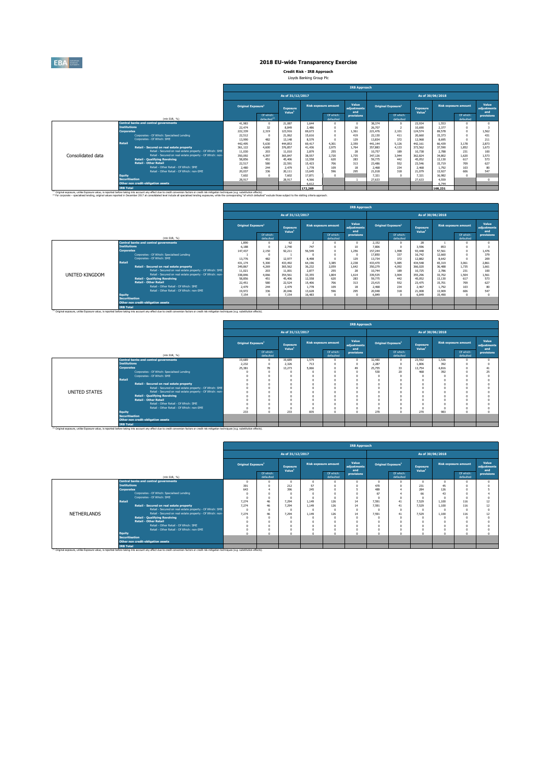

**Credit Risk - IRB Approach** Lloyds Banking Group Plc

|  | Lloyds Banking Group PIC |  |
|--|--------------------------|--|
|  |                          |  |

|                   |                                                                                                                                                                                                                                                                                                                                                                                                                                                |                                |                                       |                                       |         |                             | <b>IRB Approach</b>         |         |                                |                                |                  |                             |                             |
|-------------------|------------------------------------------------------------------------------------------------------------------------------------------------------------------------------------------------------------------------------------------------------------------------------------------------------------------------------------------------------------------------------------------------------------------------------------------------|--------------------------------|---------------------------------------|---------------------------------------|---------|-----------------------------|-----------------------------|---------|--------------------------------|--------------------------------|------------------|-----------------------------|-----------------------------|
|                   |                                                                                                                                                                                                                                                                                                                                                                                                                                                |                                |                                       | As of 31/12/2017                      |         |                             |                             |         |                                |                                | As of 30/06/2018 |                             |                             |
|                   |                                                                                                                                                                                                                                                                                                                                                                                                                                                | Original Exposure <sup>1</sup> |                                       | <b>Exposure</b><br>Value <sup>1</sup> |         | <b>Risk exposure amount</b> | Value<br>adiustments<br>and |         | Original Exposure <sup>1</sup> | Exposure<br>Value <sup>1</sup> |                  | <b>Risk exposure amount</b> | Value<br>adiustments<br>and |
|                   | (mln EUR, %)                                                                                                                                                                                                                                                                                                                                                                                                                                   |                                | Of which:<br>defaulted <sup>(2)</sup> |                                       |         | Of which:<br>defaulted      | provisions                  |         | Of which:<br>defaulted         |                                |                  | Of which:<br>defaulted      | provisions                  |
|                   | <b>Central banks and central governments</b>                                                                                                                                                                                                                                                                                                                                                                                                   | 41.983                         | $\Omega$                              | 21.087                                | 1.644   | $\Omega$                    |                             | 38.374  | $\Omega$                       | 23.934                         | 1.553            |                             |                             |
|                   | <b>Tnstitutions</b>                                                                                                                                                                                                                                                                                                                                                                                                                            | 22.474                         | 32                                    | 8,849                                 | 2.486   |                             | 16                          | 26,707  | $\overline{z}$                 | 10,690                         | 2.377            |                             |                             |
|                   | <b>Corporates</b>                                                                                                                                                                                                                                                                                                                                                                                                                              | 222.339                        | 2,319                                 | 123.916                               | 69.673  | $\sqrt{2}$                  | 1.361                       | 221.476 | 2.101                          | 124,574                        | 69.578           |                             | 1.562                       |
|                   | Corporates - Of Which: Specialised Lending                                                                                                                                                                                                                                                                                                                                                                                                     | 22.512                         | $^{\circ}$                            | 21.062                                | 15.616  |                             | 419                         | 22,130  | 411                            | 20,660                         | 15.373           |                             | 431                         |
|                   | Comorates - Of Which: SME                                                                                                                                                                                                                                                                                                                                                                                                                      | 13,990                         | 482                                   | 13.148                                | 8.579   |                             | 129                         | 13.834  | 372                            | 12.958                         | 8.695            |                             | 211                         |
|                   | <b>Retail</b>                                                                                                                                                                                                                                                                                                                                                                                                                                  | 442.495                        | 5.630                                 | 444,853                               | 69.417  | 4.301                       | 2.359                       | 441.144 | 5.126                          | 442.161                        | 66,439           | 3.178                       | 2.873                       |
|                   | Retail - Secured on real estate property                                                                                                                                                                                                                                                                                                                                                                                                       | 361.122                        | 4,600                                 | 376.857                               | 41.436  | 2.975                       | 1.764                       | 357.883 | 4.133                          | 373.562                        | 37.590           | 1.852                       | 1.673                       |
|                   | Retail - Secured on real estate property - Of Which: SME                                                                                                                                                                                                                                                                                                                                                                                       | 11.030                         | 203                                   | 11,010                                | 2.879   | 255                         | 28                          | 10.757  | 189                            | 10.738                         | 2.788            | 231                         | 100                         |
| Consolidated data | Retail - Secured on real estate property - Of Which: non                                                                                                                                                                                                                                                                                                                                                                                       | 350,092                        | 4.397                                 | 365.847                               | 38.557  | 2,720                       | 1.735                       | 347.126 | 3.944                          | 362.824                        | 34,802           | 1.620                       | 1.573                       |
|                   | <b>Retail - Qualifying Revolving</b>                                                                                                                                                                                                                                                                                                                                                                                                           | 58,856                         | 451                                   | 45,406                                | 12.558  | 620                         | 283                         | 59,775  | 442                            | 45.052                         | 13,130           | 617                         | 573                         |
|                   | <b>Retail - Other Retail</b><br>Retail - Other Retail - Of Which: SME                                                                                                                                                                                                                                                                                                                                                                          | 22.517                         | 580                                   | 22.591                                | 15.423  | 706                         | 313                         | 23,486  | 552                            | 23.546                         | 15.719           | 709                         | 627                         |
|                   |                                                                                                                                                                                                                                                                                                                                                                                                                                                | 2,480                          | 244                                   | 2.479                                 | 1.778   | 109                         | 18                          | 2.468   | 234                            | 2.468                          | 1.792            | 103                         | 80                          |
|                   | Retail - Other Retail - Of Which: non-SME                                                                                                                                                                                                                                                                                                                                                                                                      | 20.037                         | 336                                   | 20.111                                | 13.645  | 596                         | 295                         | 21,018  | 318                            | 21.079                         | 13.927           | 606                         | 547                         |
|                   | <b>Equity</b>                                                                                                                                                                                                                                                                                                                                                                                                                                  | 7.602                          | $\Omega$                              | 7.602                                 | 17.871  | $\Omega$                    |                             | 7.321   | $\Omega$                       | 7.321                          | 16,982           |                             |                             |
|                   | <b>Securitisation</b><br>Other non credit-obligation assets                                                                                                                                                                                                                                                                                                                                                                                    | 28.917                         |                                       | 28.917                                | 4.566   |                             |                             | 27,633  |                                | 27,633                         | 4.559            |                             |                             |
|                   |                                                                                                                                                                                                                                                                                                                                                                                                                                                |                                |                                       |                                       | 6.612   |                             |                             |         |                                |                                | 6.744            |                             |                             |
|                   | <b>IRB Total</b>                                                                                                                                                                                                                                                                                                                                                                                                                               |                                |                                       |                                       | 172,269 |                             |                             |         |                                |                                | 168,231          |                             |                             |
|                   | <sup>(1)</sup> Original exposure, unlike Exposure value, is reported before taking into account any effect due to credit conversion factors or credit risk mitigation techniques (e.g. substitution effects).<br>(2) For corporate - specialised lending, original values reported in December 2017 at consolidated level include all specialised lending exposures, while the corresponding "of which defaulted" exclude those subject to the |                                |                                       |                                       |         |                             |                             |         |                                |                                |                  |                             |                             |

|                |                                                                                                                                                                                                               |                                                                     |                        |                                       |                 | <b>IRB Approach</b>         |                             |                 |                                |                          |                  |                             |                             |  |  |  |
|----------------|---------------------------------------------------------------------------------------------------------------------------------------------------------------------------------------------------------------|---------------------------------------------------------------------|------------------------|---------------------------------------|-----------------|-----------------------------|-----------------------------|-----------------|--------------------------------|--------------------------|------------------|-----------------------------|-----------------------------|--|--|--|
|                |                                                                                                                                                                                                               |                                                                     |                        | As of 31/12/2017                      |                 |                             |                             |                 |                                |                          | As of 30/06/2018 |                             |                             |  |  |  |
|                |                                                                                                                                                                                                               | Original Exposure <sup>1</sup>                                      |                        | <b>Exposure</b><br>Value <sup>1</sup> |                 | <b>Risk exposure amount</b> | Value<br>adjustments<br>and |                 | Original Exposure <sup>1</sup> | <b>Exposure</b><br>Value |                  | <b>Risk exposure amount</b> | Value<br>adiustments<br>and |  |  |  |
|                | (mln EUR, %)                                                                                                                                                                                                  |                                                                     | Of which:<br>defaulted |                                       |                 | Of which:<br>defaulted      | provisions                  |                 | Of which:<br>defaulted         |                          |                  | Of which:<br>defaulted      | provisions                  |  |  |  |
|                | <b>Central banks and central governments</b>                                                                                                                                                                  | 1.890                                                               |                        | 62                                    |                 |                             | $\sqrt{2}$                  | 2.152           |                                | 28                       |                  |                             |                             |  |  |  |
|                | <b>Institutions</b>                                                                                                                                                                                           | 6.188                                                               |                        | 2.740                                 | 747             |                             | 10 <sub>10</sub>            | 7.806           |                                | 3.596                    | 853              |                             |                             |  |  |  |
|                | <b>Corporates</b>                                                                                                                                                                                             | 147.437                                                             | 2.150                  | 92.211                                | 56,549          |                             | 1.256                       | 157.244         | 1.998                          | 93.448                   | 57.561           |                             | 1.476                       |  |  |  |
|                | Corporates - Of Which: Specialised Lending                                                                                                                                                                    |                                                                     |                        |                                       |                 |                             | 17,850                      | 337             | 16,742                         | 12.660                   |                  | 379                         |                             |  |  |  |
|                | Corporates - Of Which: SME                                                                                                                                                                                    | 13.776                                                              | 482                    | 12.977                                | 8.498           |                             | 129                         | 13,734          | 372                            | 12,882                   | 8.642            |                             | 209                         |  |  |  |
|                | <b>Retail</b>                                                                                                                                                                                                 | 431.174                                                             | 5,300                  | 433,492                               | 64.196          | 3.385                       | 2.238                       | 433.470         | 5.085                          | 434,548                  | 65.319           | 3.061                       | 2.861                       |  |  |  |
|                | Retail - Secured on real estate property                                                                                                                                                                      | 349.867                                                             | 4.269                  | 365.562                               | 36.232          | 2.059                       | 1.642                       | 350.279         | 4.092                          | 366.020                  | 36,488           | 1.735                       | 1.661                       |  |  |  |
|                | Retail - Secured on real estate property - Of Which: SME                                                                                                                                                      | 11.021                                                              | 203                    | 11.001                                | 2.877           | 255                         | 28                          | 10.744          | 189                            | 10.725                   | 2,786            | 231                         | 100                         |  |  |  |
| UNITED KINGDOM | Retail - Secured on real estate property - Of Which: non                                                                                                                                                      | 338,846                                                             | 4.066                  | 354,561                               | 33.355          | 1.804                       | 1.614                       | 339,535         | 3.904                          | 355.296                  | 33,702           | 1.504                       | 1.561                       |  |  |  |
|                | <b>Retail - Qualifying Revolving</b>                                                                                                                                                                          | 58,856                                                              | 451                    | 45,406                                | 12.558          | 620                         | 283                         | 59,775          | 442                            | 45.052                   | 13,130           | 617                         | 573                         |  |  |  |
|                | <b>Retail - Other Retail</b><br>Retail - Other Retail - Of Which: SME                                                                                                                                         | 22.451                                                              | 580                    | 22.524<br>2.479                       | 15.406          | 706<br>109                  | 313<br>18                   | 23,415<br>2.468 | 552                            | 23,475                   | 15,701<br>1.792  | 709<br>103                  | 627                         |  |  |  |
|                |                                                                                                                                                                                                               | 2.479                                                               | 244                    | 20.046                                | 1.778<br>13.628 | 596                         | 295                         | 20.948          | 234<br>318                     | 2.467                    |                  |                             | 80                          |  |  |  |
|                | Retail - Other Retail - Of Which: non-SME                                                                                                                                                                     | 336<br>19.972<br>7.154<br>- O<br>16,483<br>6,849<br>7.154<br>$\sim$ |                        |                                       |                 |                             |                             |                 |                                | 21,008                   | 13,909           | 606<br>$\sim$               | 547                         |  |  |  |
|                | Equity<br><b>Securitisation</b>                                                                                                                                                                               |                                                                     |                        |                                       |                 |                             |                             |                 | $\sqrt{2}$                     | 6,849                    | 15,490           |                             |                             |  |  |  |
|                | Other non credit-obligation assets                                                                                                                                                                            |                                                                     |                        |                                       |                 |                             |                             |                 |                                |                          |                  |                             |                             |  |  |  |
|                | <b>IRB Total</b>                                                                                                                                                                                              |                                                                     |                        |                                       |                 |                             |                             |                 |                                |                          |                  |                             |                             |  |  |  |
|                | <sup>(3)</sup> Original exposure, unlike Exposure value, is reported before taking into account any effect due to credit conversion factors or credit risk mitigation techniques (e.g. substitution effects). |                                                                     |                        |                                       |                 |                             |                             |                 |                                |                          |                  |                             |                             |  |  |  |

 $\sim$ 

|                  | <b>IRB Approach</b>                                                                                                                                                                                                                                                                                                                                                                                                                                                                                                                                                                        |                                    |                                                                                                                                                                                                                                                                                                                         |                                              |                                         |                                       |           |                               |                                                                    |                                                     |                                                |                                       |
|------------------|--------------------------------------------------------------------------------------------------------------------------------------------------------------------------------------------------------------------------------------------------------------------------------------------------------------------------------------------------------------------------------------------------------------------------------------------------------------------------------------------------------------------------------------------------------------------------------------------|------------------------------------|-------------------------------------------------------------------------------------------------------------------------------------------------------------------------------------------------------------------------------------------------------------------------------------------------------------------------|----------------------------------------------|-----------------------------------------|---------------------------------------|-----------|-------------------------------|--------------------------------------------------------------------|-----------------------------------------------------|------------------------------------------------|---------------------------------------|
|                  |                                                                                                                                                                                                                                                                                                                                                                                                                                                                                                                                                                                            |                                    |                                                                                                                                                                                                                                                                                                                         |                                              |                                         |                                       |           |                               |                                                                    |                                                     |                                                |                                       |
|                  |                                                                                                                                                                                                                                                                                                                                                                                                                                                                                                                                                                                            |                                    | Exposure                                                                                                                                                                                                                                                                                                                |                                              |                                         | Value<br>adjustments                  |           |                               | Exposure                                                           |                                                     |                                                | Value<br>adjustments<br>and           |
| (mln EUR, %)     |                                                                                                                                                                                                                                                                                                                                                                                                                                                                                                                                                                                            | Of which:<br>defaulted             |                                                                                                                                                                                                                                                                                                                         |                                              | Of which:<br>defaulted                  | provisions                            |           | Of which:<br>defaulted        |                                                                    |                                                     | Of which:<br>defaulted                         | provisions                            |
|                  | 19,689                                                                                                                                                                                                                                                                                                                                                                                                                                                                                                                                                                                     | $\Omega$                           | 19,689                                                                                                                                                                                                                                                                                                                  | 1.579                                        | n                                       |                                       | 32,480    | $\Omega$                      | 23,592                                                             | 1.536                                               |                                                |                                       |
|                  |                                                                                                                                                                                                                                                                                                                                                                                                                                                                                                                                                                                            |                                    |                                                                                                                                                                                                                                                                                                                         |                                              |                                         |                                       |           | $\Omega$                      |                                                                    |                                                     |                                                |                                       |
|                  |                                                                                                                                                                                                                                                                                                                                                                                                                                                                                                                                                                                            |                                    |                                                                                                                                                                                                                                                                                                                         |                                              |                                         |                                       |           |                               |                                                                    |                                                     |                                                | 41                                    |
|                  |                                                                                                                                                                                                                                                                                                                                                                                                                                                                                                                                                                                            | $\Omega$                           |                                                                                                                                                                                                                                                                                                                         |                                              |                                         |                                       |           |                               |                                                                    |                                                     |                                                | 25                                    |
|                  |                                                                                                                                                                                                                                                                                                                                                                                                                                                                                                                                                                                            | $\Omega$                           |                                                                                                                                                                                                                                                                                                                         |                                              |                                         |                                       |           | $\Omega$                      |                                                                    |                                                     |                                                |                                       |
|                  |                                                                                                                                                                                                                                                                                                                                                                                                                                                                                                                                                                                            |                                    |                                                                                                                                                                                                                                                                                                                         |                                              |                                         |                                       |           |                               |                                                                    |                                                     |                                                |                                       |
|                  |                                                                                                                                                                                                                                                                                                                                                                                                                                                                                                                                                                                            |                                    |                                                                                                                                                                                                                                                                                                                         |                                              |                                         |                                       |           |                               |                                                                    |                                                     |                                                |                                       |
|                  |                                                                                                                                                                                                                                                                                                                                                                                                                                                                                                                                                                                            |                                    |                                                                                                                                                                                                                                                                                                                         |                                              |                                         |                                       |           |                               |                                                                    |                                                     |                                                |                                       |
|                  |                                                                                                                                                                                                                                                                                                                                                                                                                                                                                                                                                                                            | $\Omega$                           |                                                                                                                                                                                                                                                                                                                         |                                              |                                         |                                       |           |                               |                                                                    |                                                     |                                                |                                       |
|                  |                                                                                                                                                                                                                                                                                                                                                                                                                                                                                                                                                                                            |                                    |                                                                                                                                                                                                                                                                                                                         |                                              |                                         |                                       |           |                               |                                                                    |                                                     |                                                |                                       |
|                  |                                                                                                                                                                                                                                                                                                                                                                                                                                                                                                                                                                                            |                                    |                                                                                                                                                                                                                                                                                                                         |                                              |                                         |                                       |           |                               |                                                                    |                                                     |                                                |                                       |
|                  |                                                                                                                                                                                                                                                                                                                                                                                                                                                                                                                                                                                            |                                    |                                                                                                                                                                                                                                                                                                                         |                                              |                                         |                                       |           |                               |                                                                    |                                                     |                                                |                                       |
|                  |                                                                                                                                                                                                                                                                                                                                                                                                                                                                                                                                                                                            |                                    |                                                                                                                                                                                                                                                                                                                         |                                              |                                         |                                       |           |                               |                                                                    |                                                     |                                                |                                       |
|                  |                                                                                                                                                                                                                                                                                                                                                                                                                                                                                                                                                                                            |                                    |                                                                                                                                                                                                                                                                                                                         |                                              |                                         |                                       |           |                               |                                                                    |                                                     |                                                |                                       |
|                  |                                                                                                                                                                                                                                                                                                                                                                                                                                                                                                                                                                                            |                                    |                                                                                                                                                                                                                                                                                                                         |                                              |                                         |                                       |           |                               |                                                                    |                                                     |                                                |                                       |
|                  |                                                                                                                                                                                                                                                                                                                                                                                                                                                                                                                                                                                            |                                    |                                                                                                                                                                                                                                                                                                                         |                                              |                                         |                                       |           |                               |                                                                    |                                                     |                                                |                                       |
| Retail<br>Equity | <b>Central banks and central governments</b><br><b>Institutions</b><br><b>Corporates</b><br>Corporates - Of Which: Specialised Lending<br>Corporates - Of Which: SME<br>Retail - Secured on real estate property<br>Retail - Secured on real estate property - Of Which: SME<br>Retail - Secured on real estate property - Of Which: non-<br><b>Retail - Qualifying Revolving</b><br><b>Retail - Other Retail</b><br>Retail - Other Retail - Of Which: SME<br>Retail - Other Retail - Of Which: non-SME<br><b>Securitisation</b><br>Other non credit-obligation assets<br><b>IRB Total</b> | 2.232<br>25.381<br>$\Omega$<br>233 | <b>Original Exposure</b> <sup>1</sup><br>$\circ$<br>78<br>$\Omega$<br>$\Omega$<br>$\Omega$<br>$\Omega$<br><sup>(1)</sup> Original exposure, unlike Exposure value, is reported before taking into account any effect due to credit conversion factors or credit risk mitigation techniques (e.g. substitution effects). | Value <sup>1</sup><br>2.326<br>13.273<br>233 | As of 31/12/2017<br>713<br>5.066<br>835 | <b>Risk exposure amount</b><br>$\sim$ | and<br>49 | 2.287<br>25.755<br>530<br>270 | Original Exposure <sup>1</sup><br>33<br>20<br>$\sqrt{2}$<br>$\sim$ | Value <sup>1</sup><br>1,806<br>13,754<br>468<br>270 | As of 30/06/2018<br>392<br>4,816<br>392<br>983 | <b>Risk exposure amount</b><br>$\sim$ |

|             |                                              |                                                                                                                                                                                                               |                                       |                        |                                |          |                             | <b>IRB Approach</b>         |            |                                |                                       |                  |                             |                             |
|-------------|----------------------------------------------|---------------------------------------------------------------------------------------------------------------------------------------------------------------------------------------------------------------|---------------------------------------|------------------------|--------------------------------|----------|-----------------------------|-----------------------------|------------|--------------------------------|---------------------------------------|------------------|-----------------------------|-----------------------------|
|             |                                              |                                                                                                                                                                                                               |                                       |                        | As of 31/12/2017               |          |                             |                             |            |                                |                                       | As of 30/06/2018 |                             |                             |
|             |                                              |                                                                                                                                                                                                               | Original Exposure <sup>1</sup>        |                        | Exposure<br>Value <sup>1</sup> |          | <b>Risk exposure amount</b> | Value<br>adjustments<br>and |            | Original Exposure <sup>1</sup> | <b>Exposure</b><br>Value <sup>1</sup> |                  | <b>Risk exposure amount</b> | Value<br>adjustments<br>and |
|             |                                              | (mln EUR, %)                                                                                                                                                                                                  |                                       | Of which:<br>defaulted |                                |          | Of which:<br>defaulted      | provisions                  |            | Of which:<br>defaulted         |                                       |                  | Of which:<br>defaulted      | provisions                  |
|             | <b>Central banks and central governments</b> |                                                                                                                                                                                                               | $\overline{0}$                        |                        |                                | $\Omega$ |                             |                             | $\Omega$   |                                |                                       |                  |                             |                             |
|             | <b>Institutions</b>                          |                                                                                                                                                                                                               | 391                                   |                        | 212                            | 57       |                             |                             | 470        | $\Omega$                       | 231                                   | 45               |                             |                             |
|             | <b>Corporates</b>                            |                                                                                                                                                                                                               | 643<br>245<br>396<br>489<br>284<br>66 |                        |                                |          |                             |                             |            |                                |                                       | 126              |                             |                             |
|             |                                              | Corporates - Of Which: Specialised Lending                                                                                                                                                                    | $\Omega$                              |                        |                                |          |                             |                             | 67         |                                |                                       | 43               |                             |                             |
|             |                                              | Corporates - Of Which: SME                                                                                                                                                                                    | $\Omega$                              |                        |                                |          |                             |                             | $\sqrt{2}$ | $\Omega$                       |                                       |                  |                             |                             |
|             | Retail                                       |                                                                                                                                                                                                               | 7.274                                 | 46                     | 7,294                          | 1.149    | 126                         | 14                          | 7.591      | 41                             | 7.529                                 | 1,100            | 116                         | 12                          |
|             |                                              | Retail - Secured on real estate property                                                                                                                                                                      | 7.274                                 | 46                     | 7,294                          | 1.149    | 126                         | 14                          | 7.591      | 41                             | 7.529                                 | 1,100            | 116                         | 12                          |
|             |                                              | Retail - Secured on real estate property - Of Which: SME                                                                                                                                                      | $\Omega$                              | $\sqrt{2}$             |                                |          |                             |                             | $\Omega$   | $\Omega$                       | £                                     |                  |                             |                             |
| NETHERLANDS |                                              | Retail - Secured on real estate property - Of Which: non-                                                                                                                                                     | 7,274                                 | 46                     | 7,294                          | 1.149    | 126                         | 14                          | 7.591      | 41                             | 7.529                                 | 1,100            | 116                         | 12                          |
|             |                                              | <b>Retail - Qualifying Revolving</b>                                                                                                                                                                          |                                       |                        |                                |          |                             |                             | $\sqrt{2}$ | $\Omega$                       |                                       |                  |                             |                             |
|             |                                              | Retail - Other Retail                                                                                                                                                                                         | $\Omega$                              |                        |                                |          |                             |                             | $\Omega$   | $\Omega$                       |                                       |                  |                             |                             |
|             |                                              | Retail - Other Retail - Of Which: SME                                                                                                                                                                         |                                       |                        |                                |          |                             |                             | $\Omega$   |                                |                                       |                  |                             |                             |
|             |                                              | Retail - Other Retail - Of Which: non-SME                                                                                                                                                                     |                                       |                        |                                |          |                             |                             | $\sqrt{2}$ |                                |                                       |                  |                             |                             |
|             | <b>Equity</b>                                |                                                                                                                                                                                                               | $\sqrt{2}$                            |                        |                                |          |                             |                             | $\Omega$   | $\sim$                         |                                       |                  |                             |                             |
|             | <b>Securitisation</b>                        |                                                                                                                                                                                                               |                                       |                        |                                |          |                             |                             |            |                                |                                       |                  |                             |                             |
|             | Other non credit-obligation assets           |                                                                                                                                                                                                               |                                       |                        |                                |          |                             |                             |            |                                |                                       |                  |                             |                             |
|             | <b>IRB Total</b>                             | <sup>(3)</sup> Original exposure, unlike Exposure value, is reported before taking into account any effect due to credit conversion factors or credit risk mitigation techniques (e.g. substitution effects). |                                       |                        |                                |          |                             |                             |            |                                |                                       |                  |                             |                             |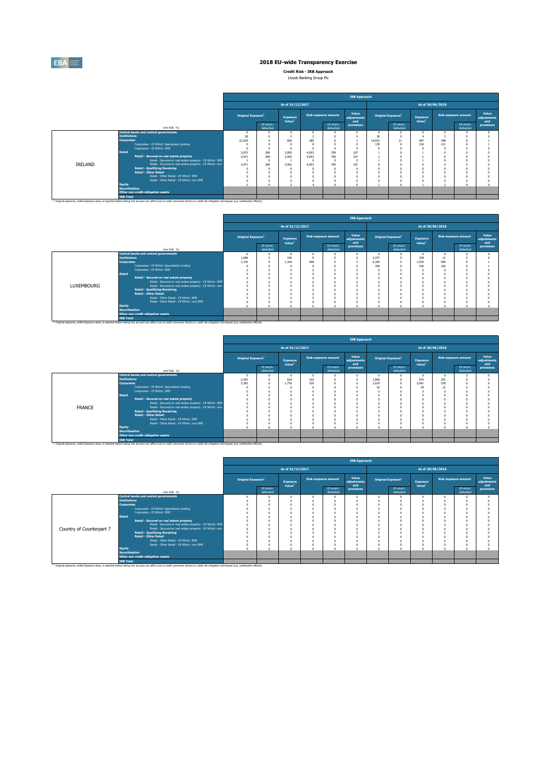

**Credit Risk - IRB Approach** Lloyds Banking Group Plc

|         |                                                                                                                                                                                                               |                                |                        |                                |            |                             | <b>IRB Approach</b>         |        |                                       |                                |                  |                             |                             |
|---------|---------------------------------------------------------------------------------------------------------------------------------------------------------------------------------------------------------------|--------------------------------|------------------------|--------------------------------|------------|-----------------------------|-----------------------------|--------|---------------------------------------|--------------------------------|------------------|-----------------------------|-----------------------------|
|         |                                                                                                                                                                                                               |                                |                        | As of 31/12/2017               |            |                             |                             |        |                                       |                                | As of 30/06/2018 |                             |                             |
|         |                                                                                                                                                                                                               | Original Exposure <sup>1</sup> |                        | Exposure<br>Value <sup>1</sup> |            | <b>Risk exposure amount</b> | Value<br>adjustments<br>and |        | <b>Original Exposure</b> <sup>1</sup> | Exposure<br>Value <sup>1</sup> |                  | <b>Risk exposure amount</b> | Value<br>adiustments<br>and |
|         | (min EUR, %)                                                                                                                                                                                                  |                                | Of which:<br>defaulted |                                |            | Of which:<br>defaulted      | provisions                  |        | Of which:<br>defaulted                |                                |                  | Of which:<br>defaulted      | provisions                  |
|         | <b>Central banks and central governments</b>                                                                                                                                                                  | $\Omega$                       |                        |                                |            |                             | n                           |        |                                       | $\Omega$                       |                  |                             |                             |
|         | <b>Institutions</b>                                                                                                                                                                                           | 28                             |                        |                                |            |                             |                             | 26     |                                       |                                |                  |                             |                             |
|         | <b>Corporates</b>                                                                                                                                                                                             | 22,629                         |                        | 606                            | 385        |                             |                             | 14.022 | 11                                    | 587                            | 308              |                             |                             |
|         | Corporates - Of Which: Specialised Lending                                                                                                                                                                    |                                | $\Omega$               |                                |            |                             |                             | 130    | $\Omega$                              | 126                            | 131              |                             |                             |
|         | Corporates - Of Which: SME                                                                                                                                                                                    | $\Omega$                       | $\Omega$               |                                |            |                             |                             |        |                                       | $\Omega$                       |                  |                             |                             |
|         | Retail                                                                                                                                                                                                        | 3.972                          | 284                    | 3,992                          | 4.053      | 790                         | 107                         |        |                                       |                                |                  |                             |                             |
|         | Retail - Secured on real estate property                                                                                                                                                                      | 3.971                          | 284                    | 3,992                          | 4.053      | 790                         | 107                         |        |                                       |                                |                  |                             |                             |
|         | Retail - Secured on real estate property - Of Which: SME                                                                                                                                                      |                                | $\Omega$               |                                | $\sqrt{2}$ |                             |                             |        |                                       |                                |                  |                             |                             |
| IRELAND | Retail - Secured on real estate property - Of Which: non-                                                                                                                                                     | 3.971                          | 284                    | 3.991                          | 4.053      | 790                         | 107                         |        |                                       | $\Omega$                       |                  |                             |                             |
|         | <b>Retail - Qualifying Revolving</b>                                                                                                                                                                          | $\Omega$                       | $\Omega$               |                                |            |                             |                             |        |                                       | n                              |                  |                             |                             |
|         | <b>Retail - Other Retail</b><br>Retail - Other Retail - Of Which: SME                                                                                                                                         | n                              | $\Omega$               |                                |            |                             |                             |        |                                       | $\Omega$                       |                  |                             |                             |
|         |                                                                                                                                                                                                               |                                | $\Omega$               |                                |            |                             |                             |        |                                       | $\Omega$                       |                  |                             |                             |
|         | Retail - Other Retail - Of Which: non-SME                                                                                                                                                                     | $\Omega$<br>٠                  | $\theta$<br>$\sqrt{2}$ |                                |            |                             |                             |        |                                       | $\Omega$                       |                  | $\sim$                      |                             |
|         | Equity<br><b>Securitisation</b>                                                                                                                                                                               |                                |                        |                                |            |                             |                             |        |                                       |                                |                  |                             |                             |
|         | Other non credit-obligation assets                                                                                                                                                                            |                                |                        |                                |            |                             |                             |        |                                       |                                |                  |                             |                             |
|         | <b>IRB Total</b>                                                                                                                                                                                              |                                |                        |                                |            |                             |                             |        |                                       |                                |                  |                             |                             |
|         | <sup>(3)</sup> Original exposure, unlike Exposure value, is reported before taking into account any effect due to credit conversion factors or credit risk mitigation techniques (e.g. substitution effects). |                                |                        |                                |            |                             |                             |        |                                       |                                |                  |                             |                             |

|                   |                       |                                                                                                                                                                                                               |                                |                        |                                       |     |                             | <b>IRB Approach</b>         |       |                                |                                |                  |                             |                             |
|-------------------|-----------------------|---------------------------------------------------------------------------------------------------------------------------------------------------------------------------------------------------------------|--------------------------------|------------------------|---------------------------------------|-----|-----------------------------|-----------------------------|-------|--------------------------------|--------------------------------|------------------|-----------------------------|-----------------------------|
|                   |                       |                                                                                                                                                                                                               |                                |                        | As of 31/12/2017                      |     |                             |                             |       |                                |                                | As of 30/06/2018 |                             |                             |
|                   |                       |                                                                                                                                                                                                               | Original Exposure <sup>1</sup> |                        | <b>Exposure</b><br>Value <sup>1</sup> |     | <b>Risk exposure amount</b> | Value<br>adjustments<br>and |       | Original Exposure <sup>1</sup> | Exposure<br>Value <sup>1</sup> |                  | <b>Risk exposure amount</b> | Value<br>adjustments<br>and |
|                   |                       | (mln EUR, %)                                                                                                                                                                                                  |                                | Of which:<br>defaulted |                                       |     | Of which:<br>defaulted      | provisions                  |       | Of which:<br>defaulted         |                                |                  | Of which:<br>defaulted      | provisions                  |
|                   |                       | <b>Central banks and central governments</b>                                                                                                                                                                  | $\Omega$                       |                        |                                       |     |                             |                             |       |                                | $\Omega$                       |                  |                             |                             |
|                   | <b>Institutions</b>   |                                                                                                                                                                                                               | 1.686                          |                        | 196                                   |     |                             | n                           | 2.277 | $\theta$                       | 228                            | 11               |                             |                             |
|                   | <b>Corporates</b>     | Corporates - Of Which: Specialised Lending                                                                                                                                                                    | 7.155                          | $\Omega$               | 1.344                                 | 596 |                             |                             | 6.346 | $\Omega$                       | 1.529                          | 599              |                             |                             |
|                   |                       | Corporates - Of Which: SME                                                                                                                                                                                    |                                |                        |                                       |     |                             |                             | 350   |                                | 336                            | 226              |                             |                             |
|                   | Retail                |                                                                                                                                                                                                               |                                |                        |                                       |     |                             |                             |       |                                | $\Omega$<br>n                  |                  |                             |                             |
|                   |                       | Retail - Secured on real estate property                                                                                                                                                                      |                                |                        |                                       |     |                             |                             |       |                                | $\Omega$                       |                  |                             |                             |
|                   |                       | Retail - Secured on real estate property - Of Which: SME                                                                                                                                                      |                                |                        |                                       |     |                             |                             |       |                                | $\Omega$                       |                  |                             |                             |
| <b>LUXEMBOURG</b> |                       | Retail - Secured on real estate property - Of Which: non-                                                                                                                                                     |                                |                        |                                       |     |                             |                             |       |                                | $\Omega$                       |                  |                             |                             |
|                   |                       | <b>Retail - Qualifying Revolving</b>                                                                                                                                                                          |                                |                        |                                       |     |                             |                             |       |                                | n                              |                  |                             |                             |
|                   |                       | <b>Retail - Other Retail</b>                                                                                                                                                                                  |                                |                        |                                       |     |                             |                             |       |                                | $\Omega$                       |                  |                             |                             |
|                   |                       | Retail - Other Retail - Of Which: SME                                                                                                                                                                         |                                |                        |                                       |     |                             |                             |       |                                | $\Omega$                       |                  |                             |                             |
|                   |                       | Retail - Other Retail - Of Which: non-SME                                                                                                                                                                     |                                |                        |                                       |     |                             |                             |       |                                | $\Omega$                       |                  |                             |                             |
|                   | <b>Equity</b>         |                                                                                                                                                                                                               | $\sqrt{2}$                     |                        |                                       |     |                             | $\sim$                      |       | $\sim$                         | $\sqrt{2}$                     |                  | £.                          |                             |
|                   | <b>Securitisation</b> | Other non credit-obligation assets                                                                                                                                                                            |                                |                        |                                       |     |                             |                             |       |                                |                                |                  |                             |                             |
|                   | <b>IRB Total</b>      |                                                                                                                                                                                                               |                                |                        |                                       |     |                             |                             |       |                                |                                |                  |                             |                             |
|                   |                       | <sup>(i)</sup> Original exposure, unlike Exposure value, is reported before taking into account any effect due to credit conversion factors or credit risk mitigation techniques (e.g. substitution effects). |                                |                        |                                       |     |                             |                             |       |                                |                                |                  |                             |                             |

|               |                                                                                                                                                                                                    | <b>IRB Approach</b>            |                        |                                |          |                             |                             |            |                                |                                |                  |                             |                             |
|---------------|----------------------------------------------------------------------------------------------------------------------------------------------------------------------------------------------------|--------------------------------|------------------------|--------------------------------|----------|-----------------------------|-----------------------------|------------|--------------------------------|--------------------------------|------------------|-----------------------------|-----------------------------|
|               |                                                                                                                                                                                                    |                                |                        | As of 31/12/2017               |          |                             |                             |            |                                |                                | As of 30/06/2018 |                             |                             |
|               |                                                                                                                                                                                                    | Original Exposure <sup>1</sup> |                        | Exposure<br>Value <sup>1</sup> |          | <b>Risk exposure amount</b> | Value<br>adjustments<br>and |            | Original Exposure <sup>1</sup> | Exposure<br>Value <sup>1</sup> |                  | <b>Risk exposure amount</b> | Value<br>adjustments<br>and |
|               | (min EUR, %)                                                                                                                                                                                       |                                | Of which:<br>defaulted |                                |          | Of which:<br>defaulted      | provisions                  |            | Of which:<br>defaulted         |                                |                  | Of which:<br>defaulted      | provisions                  |
|               | <b>Central banks and central governments</b>                                                                                                                                                       | $\Omega$                       | $\Omega$               | 0                              | $\Omega$ |                             |                             | $\Omega$   |                                | $\Omega$                       | $\Omega$         |                             |                             |
|               | <b>Institutions</b>                                                                                                                                                                                | 2,493                          | $\Omega$               | 624                            | 233      |                             |                             | 1.846      | $\Omega$                       | 675                            | 251              |                             |                             |
|               | <b>Corporates</b>                                                                                                                                                                                  | 2.381                          | $\Omega$               | 1.716                          | 529      |                             |                             | 2.619      | $\sim$                         | 2.041                          | 536              |                             |                             |
|               | Corporates - Of Which: Specialised Lending                                                                                                                                                         |                                |                        |                                |          |                             |                             | 52         |                                | 39                             | 21               |                             |                             |
|               | Corporates - Of Which: SME                                                                                                                                                                         |                                |                        |                                |          |                             |                             | $\Omega$   |                                |                                |                  |                             |                             |
|               | Retail                                                                                                                                                                                             |                                |                        |                                |          |                             |                             | $\sqrt{2}$ |                                | $\sim$                         | $\sim$           |                             |                             |
|               | Retail - Secured on real estate property                                                                                                                                                           |                                |                        |                                |          |                             |                             | $\sqrt{2}$ |                                |                                |                  |                             |                             |
|               | Retail - Secured on real estate property - Of Which: SME                                                                                                                                           |                                |                        |                                |          |                             |                             |            |                                |                                |                  |                             |                             |
| <b>FRANCE</b> | Retail - Secured on real estate property - Of Which: non-<br><b>Retail - Qualifying Revolving</b>                                                                                                  |                                |                        |                                |          |                             |                             | $\sqrt{2}$ |                                |                                | $\sim$           |                             |                             |
|               | <b>Retail - Other Retail</b>                                                                                                                                                                       |                                |                        |                                |          |                             |                             | $\sqrt{2}$ |                                |                                | $\sim$           |                             |                             |
|               | Retail - Other Retail - Of Which: SME                                                                                                                                                              |                                |                        |                                |          |                             |                             |            |                                |                                | n                |                             |                             |
|               | Retail - Other Retail - Of Which: non-SME                                                                                                                                                          |                                |                        |                                |          |                             |                             | $\Omega$   |                                |                                |                  |                             |                             |
|               | Equity                                                                                                                                                                                             |                                |                        | $\sim$                         |          |                             |                             | $\sim$     |                                | <b>CO</b>                      | <b>CO</b>        |                             |                             |
|               | <b>Securitisation</b>                                                                                                                                                                              |                                |                        |                                |          |                             |                             |            |                                |                                |                  |                             |                             |
|               | Other non credit-obligation assets                                                                                                                                                                 |                                |                        |                                |          |                             |                             |            |                                |                                |                  |                             |                             |
|               | <b>IRB Total</b>                                                                                                                                                                                   |                                |                        |                                |          |                             |                             |            |                                |                                |                  |                             |                             |
|               | (1) Original exposure, unlike Exposure value, is reported before taking into account any effect due to credit conversion factors or credit risk mitigation techniques (e.g. substitution effects). |                                |                        |                                |          |                             |                             |            |                                |                                |                  |                             |                             |

|                          |                       |                                                                                                                                                                                                               |                                |                        |                                |          |                             | <b>IRB Approach</b>         |            |                                |                                |                  |                             |                             |
|--------------------------|-----------------------|---------------------------------------------------------------------------------------------------------------------------------------------------------------------------------------------------------------|--------------------------------|------------------------|--------------------------------|----------|-----------------------------|-----------------------------|------------|--------------------------------|--------------------------------|------------------|-----------------------------|-----------------------------|
|                          |                       |                                                                                                                                                                                                               |                                |                        | As of 31/12/2017               |          |                             |                             |            |                                |                                | As of 30/06/2018 |                             |                             |
|                          |                       |                                                                                                                                                                                                               | Original Exposure <sup>1</sup> |                        | Exposure<br>Value <sup>1</sup> |          | <b>Risk exposure amount</b> | Value<br>adjustments<br>and |            | Original Exposure <sup>1</sup> | Exposure<br>Value <sup>1</sup> |                  | <b>Risk exposure amount</b> | Value<br>adjustments<br>and |
|                          |                       | (min EUR, %)                                                                                                                                                                                                  |                                | Of which:<br>defaulted |                                |          | Of which:<br>defaulted      | provisions                  |            | Of which:<br>defaulted         |                                |                  | Of which:<br>defaulted      | provisions                  |
|                          |                       | <b>Central banks and central governments</b>                                                                                                                                                                  |                                |                        |                                | $\Omega$ |                             |                             | $\Omega$   | $\Omega$                       |                                | n                |                             |                             |
|                          | <b>Institutions</b>   |                                                                                                                                                                                                               | n                              | $\Omega$               |                                | n        |                             |                             | $\sqrt{2}$ | $\Omega$                       |                                |                  |                             |                             |
|                          | <b>Corporates</b>     |                                                                                                                                                                                                               |                                | n                      |                                |          |                             |                             |            | $\Omega$                       |                                |                  |                             |                             |
|                          |                       | Corporates - Of Which: Specialised Lending                                                                                                                                                                    |                                |                        |                                |          |                             |                             |            | $\Omega$                       |                                |                  |                             |                             |
|                          |                       | Corporates - Of Which: SME                                                                                                                                                                                    |                                | $\Omega$               |                                |          |                             |                             |            | $\Omega$                       |                                |                  |                             |                             |
|                          | Retail                |                                                                                                                                                                                                               |                                | $\Omega$               |                                |          |                             |                             |            | $\Omega$                       |                                |                  |                             |                             |
|                          |                       | Retail - Secured on real estate property                                                                                                                                                                      | $\theta$                       | $^{\circ}$             |                                | ¢        |                             |                             | $\Omega$   | 0                              |                                |                  |                             |                             |
|                          |                       | Retail - Secured on real estate property - Of Which: SME                                                                                                                                                      | n                              | $\Omega$               |                                | n        |                             |                             |            | $\Omega$                       |                                |                  |                             |                             |
| Country of Counterpart 7 |                       | Retail - Secured on real estate property - Of Which: non-                                                                                                                                                     | n                              | n                      |                                |          |                             |                             |            | $\Omega$                       |                                |                  |                             |                             |
|                          |                       | <b>Retail - Qualifying Revolving</b>                                                                                                                                                                          |                                | $\Omega$               |                                |          |                             |                             |            | $\Omega$                       |                                |                  |                             |                             |
|                          |                       | <b>Retail - Other Retail</b>                                                                                                                                                                                  |                                | $\Omega$               |                                | $\theta$ |                             |                             |            | $\Omega$                       |                                |                  |                             |                             |
|                          |                       | Retail - Other Retail - Of Which: SME                                                                                                                                                                         |                                | $\Omega$               |                                | n        |                             |                             | $\Omega$   | $\Omega$                       |                                |                  |                             |                             |
|                          |                       | Retail - Other Retail - Of Which: non-SME                                                                                                                                                                     |                                | $\Omega$               |                                |          |                             |                             |            | $\Omega$                       |                                |                  |                             |                             |
|                          | Equity                |                                                                                                                                                                                                               |                                | $\sqrt{2}$             |                                | c        |                             |                             |            | n                              |                                |                  |                             |                             |
|                          | <b>Securitisation</b> |                                                                                                                                                                                                               |                                |                        |                                |          |                             |                             |            |                                |                                |                  |                             |                             |
|                          |                       | Other non credit-obligation assets                                                                                                                                                                            |                                |                        |                                |          |                             |                             |            |                                |                                |                  |                             |                             |
|                          | <b>IRB Total</b>      | <sup>(1)</sup> Original exposure, unlike Exposure value, is reported before taking into account any effect due to credit conversion factors or credit risk mitigation techniques (e.g. substitution effects). |                                |                        |                                |          |                             |                             |            |                                |                                |                  |                             |                             |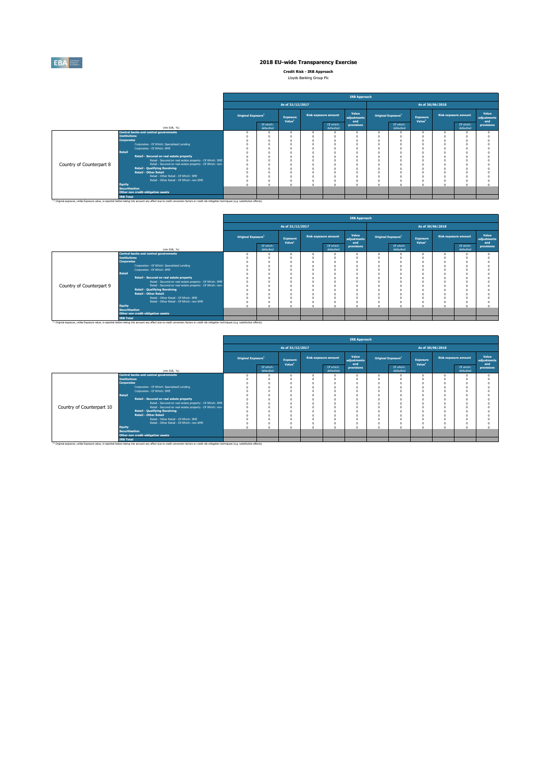

**Credit Risk - IRB Approach** Lloyds Banking Group Plc

|                          |                       |                                                                                                                                                                                                               | <b>IRB Approach</b>                   |                        |                                |  |                             |                             |  |                        |                                |                  |                             |                             |
|--------------------------|-----------------------|---------------------------------------------------------------------------------------------------------------------------------------------------------------------------------------------------------------|---------------------------------------|------------------------|--------------------------------|--|-----------------------------|-----------------------------|--|------------------------|--------------------------------|------------------|-----------------------------|-----------------------------|
|                          |                       |                                                                                                                                                                                                               |                                       |                        | As of 31/12/2017               |  |                             |                             |  |                        |                                | As of 30/06/2018 |                             |                             |
|                          |                       |                                                                                                                                                                                                               | <b>Original Exposure</b> <sup>1</sup> |                        | Exposure<br>Value <sup>1</sup> |  | <b>Risk exposure amount</b> | Value<br>adiustments<br>and |  | Original Exposure1     | Exposure<br>Value <sup>1</sup> |                  | <b>Risk exposure amount</b> | Value<br>adiustments<br>and |
|                          |                       | (mln EUR, %)                                                                                                                                                                                                  |                                       | Of which:<br>defaulted |                                |  | Of which:<br>defaulted      | provisions                  |  | Of which:<br>defaulted |                                |                  | Of which:<br>defaulted      | provisions                  |
|                          |                       | <b>Central banks and central governments</b>                                                                                                                                                                  |                                       |                        | $\Omega$                       |  |                             |                             |  |                        | n                              |                  |                             |                             |
|                          | <b>Institutions</b>   |                                                                                                                                                                                                               |                                       |                        |                                |  |                             |                             |  |                        |                                |                  |                             |                             |
|                          | <b>Corporates</b>     |                                                                                                                                                                                                               |                                       |                        |                                |  |                             |                             |  |                        | $\Omega$                       |                  |                             |                             |
|                          |                       | Corporates - Of Which: Specialised Lending                                                                                                                                                                    |                                       | n                      |                                |  |                             |                             |  |                        | $\Omega$                       |                  |                             |                             |
|                          |                       | Corporates - Of Which: SME                                                                                                                                                                                    |                                       | n                      |                                |  |                             |                             |  |                        |                                |                  |                             |                             |
|                          | Retail                |                                                                                                                                                                                                               |                                       |                        |                                |  |                             |                             |  |                        |                                |                  |                             |                             |
|                          |                       | Retail - Secured on real estate property                                                                                                                                                                      |                                       |                        |                                |  |                             |                             |  |                        |                                |                  |                             |                             |
|                          |                       | Retail - Secured on real estate property - Of Which: SME                                                                                                                                                      |                                       | n                      |                                |  |                             |                             |  |                        | $\Omega$                       |                  |                             |                             |
| Country of Counterpart 8 |                       | Retail - Secured on real estate property - Of Which: non-                                                                                                                                                     |                                       |                        |                                |  |                             |                             |  |                        |                                |                  |                             |                             |
|                          |                       | <b>Retail - Qualifying Revolving</b>                                                                                                                                                                          |                                       |                        |                                |  |                             |                             |  |                        |                                |                  |                             |                             |
|                          |                       | <b>Retail - Other Retail</b>                                                                                                                                                                                  |                                       |                        |                                |  |                             |                             |  |                        |                                |                  |                             |                             |
|                          |                       | Retail - Other Retail - Of Which: SME                                                                                                                                                                         |                                       | n                      |                                |  |                             |                             |  |                        | n                              |                  |                             |                             |
|                          |                       | Retail - Other Retail - Of Which: non-SME                                                                                                                                                                     |                                       | n                      |                                |  |                             |                             |  |                        | $\Omega$                       |                  |                             |                             |
|                          | Equity                |                                                                                                                                                                                                               |                                       | $\sqrt{2}$             |                                |  |                             |                             |  |                        | $\sim$                         |                  |                             |                             |
|                          | <b>Securitisation</b> |                                                                                                                                                                                                               |                                       |                        |                                |  |                             |                             |  |                        |                                |                  |                             |                             |
|                          |                       | Other non credit-obligation assets                                                                                                                                                                            |                                       |                        |                                |  |                             |                             |  |                        |                                |                  |                             |                             |
|                          | <b>IRB Total</b>      | <sup>(1)</sup> Original exposure, unlike Exposure value, is reported before taking into account any effect due to credit conversion factors or credit risk mitigation techniques (e.g. substitution effects). |                                       |                        |                                |  |                             |                             |  |                        |                                |                  |                             |                             |

|                          |                       |                                                                                                                                                                                                               |                                |                        |                                       |                             | <b>IRB Approach</b>         |                                |                                |                  |                             |                             |
|--------------------------|-----------------------|---------------------------------------------------------------------------------------------------------------------------------------------------------------------------------------------------------------|--------------------------------|------------------------|---------------------------------------|-----------------------------|-----------------------------|--------------------------------|--------------------------------|------------------|-----------------------------|-----------------------------|
|                          |                       |                                                                                                                                                                                                               |                                |                        | As of 31/12/2017                      |                             |                             |                                |                                | As of 30/06/2018 |                             |                             |
|                          |                       |                                                                                                                                                                                                               | Original Exposure <sup>1</sup> |                        | <b>Exposure</b><br>Value <sup>1</sup> | <b>Risk exposure amount</b> | Value<br>adjustments<br>and | Original Exposure <sup>1</sup> | Exposure<br>Value <sup>1</sup> |                  | <b>Risk exposure amount</b> | Value<br>adjustments<br>and |
|                          |                       | (min EUR, %)                                                                                                                                                                                                  |                                | Of which:<br>defaulted |                                       | Of which:<br>defaulted      | provisions                  | Of which:<br>defaulted         |                                |                  | Of which:<br>defaulted      | provisions                  |
|                          |                       | Central banks and central governments                                                                                                                                                                         |                                |                        |                                       |                             |                             |                                | $\Omega$                       |                  |                             |                             |
|                          | <b>Institutions</b>   |                                                                                                                                                                                                               |                                |                        |                                       |                             |                             |                                | n                              |                  |                             |                             |
|                          | <b>Corporates</b>     |                                                                                                                                                                                                               |                                |                        |                                       |                             |                             |                                | n                              |                  |                             |                             |
|                          |                       | Corporates - Of Which: Specialised Lending                                                                                                                                                                    |                                |                        |                                       |                             |                             |                                | $\Omega$                       |                  |                             |                             |
|                          |                       | Corporates - Of Which: SME                                                                                                                                                                                    |                                |                        |                                       |                             |                             |                                | $\Omega$                       |                  |                             |                             |
|                          | <b>Retail</b>         |                                                                                                                                                                                                               |                                |                        |                                       |                             |                             |                                |                                |                  |                             |                             |
|                          |                       | Retail - Secured on real estate property                                                                                                                                                                      |                                |                        |                                       |                             |                             |                                | $\Omega$                       |                  |                             |                             |
|                          |                       | Retail - Secured on real estate property - Of Which: SME                                                                                                                                                      |                                | o                      |                                       |                             |                             |                                | $\Omega$                       |                  |                             |                             |
| Country of Counterpart 9 |                       | Retail - Secured on real estate property - Of Which: non-                                                                                                                                                     |                                |                        |                                       |                             |                             |                                | $\Omega$                       |                  |                             |                             |
|                          |                       | <b>Retail - Qualifying Revolving</b>                                                                                                                                                                          |                                |                        |                                       |                             |                             |                                | n                              |                  |                             |                             |
|                          |                       | <b>Retail - Other Retail</b>                                                                                                                                                                                  |                                |                        |                                       |                             |                             |                                | n                              |                  |                             |                             |
|                          |                       | Retail - Other Retail - Of Which: SME                                                                                                                                                                         |                                |                        |                                       |                             |                             |                                | n                              |                  |                             |                             |
|                          |                       | Retail - Other Retail - Of Which: non-SME                                                                                                                                                                     |                                |                        |                                       |                             |                             |                                | $\Omega$                       |                  |                             |                             |
|                          | Equity                |                                                                                                                                                                                                               |                                |                        |                                       |                             |                             |                                | n                              |                  |                             |                             |
|                          | <b>Securitisation</b> | Other non credit-obligation assets                                                                                                                                                                            |                                |                        |                                       |                             |                             |                                |                                |                  |                             |                             |
|                          |                       |                                                                                                                                                                                                               |                                |                        |                                       |                             |                             |                                |                                |                  |                             |                             |
|                          | <b>IRB Total</b>      | <sup>(3)</sup> Original exposure, unlike Exposure value, is reported before taking into account any effect due to credit conversion factors or credit risk mitigation techniques (e.g. substitution effects). |                                |                        |                                       |                             |                             |                                |                                |                  |                             |                             |

|                           |                                                                                                                                                                                                               | <b>IRB Approach</b>            |                        |                                |  |                             |                             |                                |                        |                                |        |                             |                             |
|---------------------------|---------------------------------------------------------------------------------------------------------------------------------------------------------------------------------------------------------------|--------------------------------|------------------------|--------------------------------|--|-----------------------------|-----------------------------|--------------------------------|------------------------|--------------------------------|--------|-----------------------------|-----------------------------|
|                           |                                                                                                                                                                                                               |                                |                        | As of 31/12/2017               |  |                             |                             |                                |                        | As of 30/06/2018               |        |                             |                             |
|                           |                                                                                                                                                                                                               | Original Exposure <sup>1</sup> |                        | Exposure<br>Value <sup>1</sup> |  | <b>Risk exposure amount</b> | Value<br>adjustments<br>and | Original Exposure <sup>1</sup> |                        | Exposure<br>Value <sup>1</sup> |        | <b>Risk exposure amount</b> | Value<br>adjustments<br>and |
|                           | (mln EUR, %)                                                                                                                                                                                                  |                                | Of which:<br>defaulted |                                |  | Of which:<br>defaulted      | provisions                  |                                | Of which:<br>defaulted |                                |        | Of which:<br>defaulted      | provisions                  |
|                           | <b>Central banks and central governments</b>                                                                                                                                                                  |                                |                        |                                |  |                             |                             |                                |                        |                                |        |                             |                             |
|                           | <b>Institutions</b>                                                                                                                                                                                           |                                |                        |                                |  |                             |                             |                                |                        |                                |        |                             |                             |
|                           | <b>Corporates</b>                                                                                                                                                                                             |                                |                        |                                |  |                             |                             | $\Omega$                       |                        |                                |        |                             |                             |
|                           | Corporates - Of Which: Specialised Lending                                                                                                                                                                    |                                |                        |                                |  |                             |                             | $\Omega$                       |                        |                                |        |                             |                             |
|                           | Corporates - Of Which: SME                                                                                                                                                                                    |                                |                        |                                |  |                             |                             | $\Omega$                       |                        |                                |        |                             |                             |
|                           | Retail                                                                                                                                                                                                        |                                |                        |                                |  |                             |                             | n                              |                        |                                |        |                             |                             |
|                           | Retail - Secured on real estate property                                                                                                                                                                      |                                |                        |                                |  |                             |                             |                                |                        |                                |        |                             |                             |
|                           | Retail - Secured on real estate property - Of Which: SME                                                                                                                                                      |                                |                        |                                |  |                             |                             |                                |                        |                                |        |                             |                             |
| Country of Counterpart 10 | Retail - Secured on real estate property - Of Which: non-<br><b>Retail - Qualifying Revolving</b>                                                                                                             |                                |                        |                                |  |                             |                             | $\sqrt{2}$                     |                        |                                |        |                             |                             |
|                           | Retail - Other Retail                                                                                                                                                                                         |                                |                        |                                |  |                             |                             |                                |                        |                                |        |                             |                             |
|                           | Retail - Other Retail - Of Which: SME                                                                                                                                                                         |                                |                        |                                |  |                             |                             | $\Omega$<br>$\Omega$           |                        |                                |        |                             |                             |
|                           | Retail - Other Retail - Of Which: non-SME                                                                                                                                                                     |                                |                        |                                |  |                             |                             |                                |                        |                                |        |                             |                             |
|                           | Equity                                                                                                                                                                                                        | $\overline{a}$                 |                        |                                |  |                             |                             | $\sim$                         | $\sim$                 |                                | $\sim$ | $\sim$                      |                             |
|                           | <b>Securitisation</b>                                                                                                                                                                                         |                                |                        |                                |  |                             |                             |                                |                        |                                |        |                             |                             |
|                           | Other non credit-obligation assets                                                                                                                                                                            |                                |                        |                                |  |                             |                             |                                |                        |                                |        |                             |                             |
|                           | <b>IRB Total</b>                                                                                                                                                                                              |                                |                        |                                |  |                             |                             |                                |                        |                                |        |                             |                             |
|                           | <sup>(3)</sup> Original exposure, unlike Exposure value, is reported before taking into account any effect due to credit conversion factors or credit risk mitigation techniques (e.g. substitution effects). |                                |                        |                                |  |                             |                             |                                |                        |                                |        |                             |                             |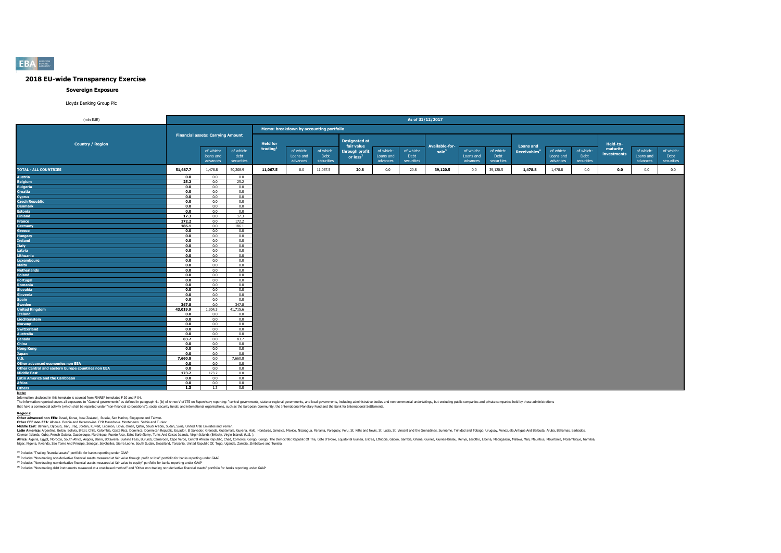

#### **Sovereign Exposure**

#### Lloyds Banking Group Plc

| (mln EUR)                                          |            |                                          |                   |                      |                                         |                   |                                        |                        | As of 31/12/2017  |                   |                        |                   |                          |                        |                   |                         |                        |                   |
|----------------------------------------------------|------------|------------------------------------------|-------------------|----------------------|-----------------------------------------|-------------------|----------------------------------------|------------------------|-------------------|-------------------|------------------------|-------------------|--------------------------|------------------------|-------------------|-------------------------|------------------------|-------------------|
|                                                    |            |                                          |                   |                      | Memo: breakdown by accounting portfolio |                   |                                        |                        |                   |                   |                        |                   |                          |                        |                   |                         |                        |                   |
|                                                    |            | <b>Financial assets: Carrying Amount</b> |                   |                      |                                         |                   | <b>Designated at</b>                   |                        |                   |                   |                        |                   |                          |                        |                   |                         |                        |                   |
| <b>Country / Region</b>                            |            |                                          |                   | <b>Held for</b>      |                                         |                   | fair value                             |                        |                   | Available-for-    |                        |                   | <b>Loans and</b>         |                        |                   | Held-to-                |                        |                   |
|                                                    |            | of which:<br>loans and                   | of which:<br>debt | trading <sup>1</sup> | of which:<br>Loans and                  | of which:<br>Debt | through profit<br>or loss <sup>2</sup> | of which:<br>Loans and | of which:<br>Debt | $\mathsf{safe}^3$ | of which:<br>Loans and | of which:<br>Debt | Receivables <sup>4</sup> | of which:<br>Loans and | of which:<br>Debt | maturity<br>investments | of which:<br>Loans and | of which:<br>Debt |
|                                                    |            | advances                                 | securities        |                      | advances                                | securities        |                                        | advances               | securities        |                   | advances               | securities        |                          | advances               | securities        |                         | advances               | securities        |
| <b>TOTAL - ALL COUNTRIES</b>                       | 51,687.7   | 1,478.8                                  | 50,208.9          | 11,067.5             | 0.0                                     | 11,067.5          | 20.8                                   | 0.0                    | 20.8              | 39,120.5          | 0.0                    | 39,120.5          | 1,478.8                  | 1,478.8                | 0.0               | 0.0                     | 0.0                    | 0.0               |
| <b>Austria</b>                                     | 0.0        | 0.0                                      | 0.0               |                      |                                         |                   |                                        |                        |                   |                   |                        |                   |                          |                        |                   |                         |                        |                   |
| <b>Belgium</b>                                     | 25.2       | 0.0                                      | 25.2              |                      |                                         |                   |                                        |                        |                   |                   |                        |                   |                          |                        |                   |                         |                        |                   |
| <b>Bulgaria</b>                                    | 0.0        | 0.0                                      | 0.0               |                      |                                         |                   |                                        |                        |                   |                   |                        |                   |                          |                        |                   |                         |                        |                   |
| Croatia                                            | 0.0        | 0.0                                      | 0.0               |                      |                                         |                   |                                        |                        |                   |                   |                        |                   |                          |                        |                   |                         |                        |                   |
| <b>Cyprus</b>                                      | 0.0        | 0.0                                      | 0.0               |                      |                                         |                   |                                        |                        |                   |                   |                        |                   |                          |                        |                   |                         |                        |                   |
| <b>Czech Republic</b>                              | 0.0        | 0.0                                      | 0.0               |                      |                                         |                   |                                        |                        |                   |                   |                        |                   |                          |                        |                   |                         |                        |                   |
| <b>Denmark</b>                                     | 0.0        | 0.0                                      | 0.0               |                      |                                         |                   |                                        |                        |                   |                   |                        |                   |                          |                        |                   |                         |                        |                   |
| <b>Estonia</b>                                     | 0.0        | 0.0                                      | 0.0               |                      |                                         |                   |                                        |                        |                   |                   |                        |                   |                          |                        |                   |                         |                        |                   |
| Finland                                            | 17.3       | 0.0                                      | 17.3              |                      |                                         |                   |                                        |                        |                   |                   |                        |                   |                          |                        |                   |                         |                        |                   |
| France                                             | 172.2      | 0.0                                      | 172.2             |                      |                                         |                   |                                        |                        |                   |                   |                        |                   |                          |                        |                   |                         |                        |                   |
| Germany                                            | 186.1      | 0.0                                      | 186.1             |                      |                                         |                   |                                        |                        |                   |                   |                        |                   |                          |                        |                   |                         |                        |                   |
| Greece                                             | 0.0        | 0.0                                      | 0.0               |                      |                                         |                   |                                        |                        |                   |                   |                        |                   |                          |                        |                   |                         |                        |                   |
| <b>Hungary</b>                                     | 0.0        | 0.0                                      | 0.0               |                      |                                         |                   |                                        |                        |                   |                   |                        |                   |                          |                        |                   |                         |                        |                   |
| <b>Ireland</b><br>Italy                            | 0.0<br>0.0 | 0.0                                      | 0.0               |                      |                                         |                   |                                        |                        |                   |                   |                        |                   |                          |                        |                   |                         |                        |                   |
| Latvia                                             | 0.0        | 0.0<br>0.0                               | 0.0<br>0.0        |                      |                                         |                   |                                        |                        |                   |                   |                        |                   |                          |                        |                   |                         |                        |                   |
| Lithuania                                          | 0.0        | 0.0                                      | 0.0               |                      |                                         |                   |                                        |                        |                   |                   |                        |                   |                          |                        |                   |                         |                        |                   |
| Luxembourg                                         | 0.0        | 0.0                                      | 0.0               |                      |                                         |                   |                                        |                        |                   |                   |                        |                   |                          |                        |                   |                         |                        |                   |
| <b>Malta</b>                                       | 0.0        | 0.0                                      | 0.0               |                      |                                         |                   |                                        |                        |                   |                   |                        |                   |                          |                        |                   |                         |                        |                   |
| <b>Netherlands</b>                                 | 0.0        | 0.0                                      | 0.0               |                      |                                         |                   |                                        |                        |                   |                   |                        |                   |                          |                        |                   |                         |                        |                   |
| Poland                                             | 0.0        | 0.0                                      | 0.0               |                      |                                         |                   |                                        |                        |                   |                   |                        |                   |                          |                        |                   |                         |                        |                   |
| Portugal                                           | 0.0        | 0.0                                      | 0.0               |                      |                                         |                   |                                        |                        |                   |                   |                        |                   |                          |                        |                   |                         |                        |                   |
| <b>Romania</b>                                     | 0.0        | 0.0                                      | 0.0               |                      |                                         |                   |                                        |                        |                   |                   |                        |                   |                          |                        |                   |                         |                        |                   |
|                                                    | 0.0        | 0.0                                      | 0.0               |                      |                                         |                   |                                        |                        |                   |                   |                        |                   |                          |                        |                   |                         |                        |                   |
| Slovakia<br>Slovenia                               | 0.0        | 0.0                                      | 0.0               |                      |                                         |                   |                                        |                        |                   |                   |                        |                   |                          |                        |                   |                         |                        |                   |
| <b>Spain</b>                                       | 0.0        | 0.0                                      | 0.0               |                      |                                         |                   |                                        |                        |                   |                   |                        |                   |                          |                        |                   |                         |                        |                   |
| <b>Sweden</b>                                      | 347.8      | 0.0                                      | 347.8             |                      |                                         |                   |                                        |                        |                   |                   |                        |                   |                          |                        |                   |                         |                        |                   |
| <b>United Kingdom</b>                              | 43,019.9   | 1,304.3                                  | 41,715.6          |                      |                                         |                   |                                        |                        |                   |                   |                        |                   |                          |                        |                   |                         |                        |                   |
| <b>Iceland</b>                                     | 0.0        | 0.0                                      | 0.0               |                      |                                         |                   |                                        |                        |                   |                   |                        |                   |                          |                        |                   |                         |                        |                   |
| Liechtenstein                                      | 0.0        | 0.0                                      | 0.0               |                      |                                         |                   |                                        |                        |                   |                   |                        |                   |                          |                        |                   |                         |                        |                   |
| <b>Norway</b>                                      | 0.0        | 0.0                                      | 0.0               |                      |                                         |                   |                                        |                        |                   |                   |                        |                   |                          |                        |                   |                         |                        |                   |
| Switzerland                                        | 0.0        | 0.0                                      | 0.0               |                      |                                         |                   |                                        |                        |                   |                   |                        |                   |                          |                        |                   |                         |                        |                   |
| <b>Australia</b>                                   | 0.0        | 0.0                                      | 0.0               |                      |                                         |                   |                                        |                        |                   |                   |                        |                   |                          |                        |                   |                         |                        |                   |
| Canada                                             | 83.7       | 0.0                                      | 83.7              |                      |                                         |                   |                                        |                        |                   |                   |                        |                   |                          |                        |                   |                         |                        |                   |
| China                                              | 0.0        | 0.0                                      | 0.0               |                      |                                         |                   |                                        |                        |                   |                   |                        |                   |                          |                        |                   |                         |                        |                   |
| <b>Hong Kong</b>                                   | 0.0        | 0.0                                      | 0.0               |                      |                                         |                   |                                        |                        |                   |                   |                        |                   |                          |                        |                   |                         |                        |                   |
| <b>Japan</b>                                       | 0.0        | 0.0                                      | 0.0               |                      |                                         |                   |                                        |                        |                   |                   |                        |                   |                          |                        |                   |                         |                        |                   |
| <b>U.S.</b>                                        | 7,660.8    | 0.0                                      | 7,660.8           |                      |                                         |                   |                                        |                        |                   |                   |                        |                   |                          |                        |                   |                         |                        |                   |
| Other advanced economies non EEA                   | 0.0        | 0.0                                      | 0.0               |                      |                                         |                   |                                        |                        |                   |                   |                        |                   |                          |                        |                   |                         |                        |                   |
| Other Central and eastern Europe countries non EEA | 0.0        | 0.0                                      | 0.0               |                      |                                         |                   |                                        |                        |                   |                   |                        |                   |                          |                        |                   |                         |                        |                   |
| <b>Middle East</b>                                 | 173.2      | 173.2                                    | 0.0               |                      |                                         |                   |                                        |                        |                   |                   |                        |                   |                          |                        |                   |                         |                        |                   |
| <b>Latin America and the Caribbean</b>             | 0.0        | 0.0                                      | 0.0               |                      |                                         |                   |                                        |                        |                   |                   |                        |                   |                          |                        |                   |                         |                        |                   |
| <b>Africa</b>                                      | 0.0        | 0.0                                      | 0.0               |                      |                                         |                   |                                        |                        |                   |                   |                        |                   |                          |                        |                   |                         |                        |                   |
| <b>Others</b>                                      | 1.3        | 1.3                                      | 0.0               |                      |                                         |                   |                                        |                        |                   |                   |                        |                   |                          |                        |                   |                         |                        |                   |
| Note:                                              |            |                                          |                   |                      |                                         |                   |                                        |                        |                   |                   |                        |                   |                          |                        |                   |                         |                        |                   |

<mark>Mote</mark>s<br>The information disclosed in this template is sourced from FINREP templates F 20 and F 04.<br>The information reposual exposures are concept as defined in paragaph 41 (b) of Arnex V of ITS on Supervisory reporting: "c

Redions:<br>Other advanced non EEA: Israel, Korea, New Zealand, Russia, San Marino, Singapore and Taiwan.<br>Middle East: Bahrain, Dibouti, Iran, Jaca, Kowait, Lebanon, Libra, Osminican, Osminican Marino, Singapore and Taiwan, S

#### (1) Includes "Trading financial assets" portfolio for banks reporting under GAAP

<sup>01</sup> Includes "Non-trading non-derivative financial assets measured at fair value thor lost foor the lost of one of one of one of one of one of one of one of one of one of one of one of o<br><sup>03</sup> Includes "Non-trading oon-der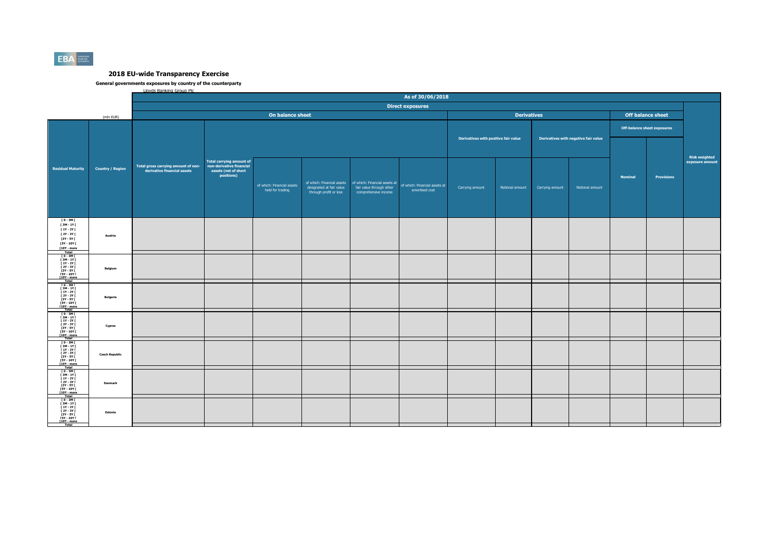

|  | <b>Lloyds Banking Group Plc</b> |  |
|--|---------------------------------|--|
|  |                                 |  |

|                                                                                                                                           |                         |                                                                    |                                                                                                   |                                                |                                                    |                                                                                                                | As of 30/06/2018                                |                                      |                    |                 |                                      |                |                                    |                                  |
|-------------------------------------------------------------------------------------------------------------------------------------------|-------------------------|--------------------------------------------------------------------|---------------------------------------------------------------------------------------------------|------------------------------------------------|----------------------------------------------------|----------------------------------------------------------------------------------------------------------------|-------------------------------------------------|--------------------------------------|--------------------|-----------------|--------------------------------------|----------------|------------------------------------|----------------------------------|
|                                                                                                                                           |                         |                                                                    |                                                                                                   |                                                |                                                    |                                                                                                                | <b>Direct exposures</b>                         |                                      |                    |                 |                                      |                |                                    |                                  |
|                                                                                                                                           | (mln EUR)               |                                                                    |                                                                                                   | On balance sheet                               |                                                    |                                                                                                                |                                                 |                                      | <b>Derivatives</b> |                 |                                      |                | <b>Off balance sheet</b>           |                                  |
|                                                                                                                                           |                         |                                                                    |                                                                                                   |                                                |                                                    |                                                                                                                |                                                 | Derivatives with positive fair value |                    |                 | Derivatives with negative fair value |                | <b>Off-balance sheet exposures</b> |                                  |
| <b>Residual Maturity</b>                                                                                                                  | <b>Country / Region</b> | Total gross carrying amount of non-<br>derivative financial assets | <b>Total carrying amount of</b><br>non-derivative financial<br>assets (net of short<br>positions) | of which: Financial assets<br>held for trading | designated at fair value<br>through profit or loss | of which: Financial assets   of which: Financial assets at<br>fair value through other<br>comprehensive income | of which: Financial assets at<br>amortised cost | Carrying amount                      | Notional amount    | Carrying amount | Notional amount                      | <b>Nominal</b> | Provisions                         | Risk weighted<br>exposure amount |
| $[0 - 3M]$<br>[3M-1Y]<br>[ 1Y - 2Y [<br>[ 2Y - 3Y [<br>[3Y - 5Y [<br>[5Y - 10Y [<br>$[10Y - more]$<br>Total                               | Austria                 |                                                                    |                                                                                                   |                                                |                                                    |                                                                                                                |                                                 |                                      |                    |                 |                                      |                |                                    |                                  |
| $[0 - 3M]$<br>$[3M - 1Y]$<br><b>F 1Y - 2Y F</b><br><b>F2Y - 3Y F</b><br>$[3Y - SY]$<br><b>FSY - 10Y F</b><br>[10Y - more                  | Belgium                 |                                                                    |                                                                                                   |                                                |                                                    |                                                                                                                |                                                 |                                      |                    |                 |                                      |                |                                    |                                  |
| Total<br>$10 - 3M1$<br>$13M - 1Y1$<br><b>F 1Y - 2Y F</b><br><b>F2Y - 3Y F</b><br>[3Y - 5Y  <br><b>FSY - 10Y F</b><br>[10Y - more<br>Total | <b>Bulgaria</b>         |                                                                    |                                                                                                   |                                                |                                                    |                                                                                                                |                                                 |                                      |                    |                 |                                      |                |                                    |                                  |
| 10-3MT<br>13M-1YT<br>11Y-2YT<br>12Y-3YT<br><b>13Y - 5Y F</b><br><b>FSY - 10Y F</b><br>[10Y - more<br>Total                                | Cyprus                  |                                                                    |                                                                                                   |                                                |                                                    |                                                                                                                |                                                 |                                      |                    |                 |                                      |                |                                    |                                  |
| T0-3MT<br>$[3M - 1Y]$<br>$11Y - 2YI$<br>[ 2Y - 3Y ]<br>[ 3Y - 5Y ]<br>[5Y - 10Y [<br>[10Y - more                                          | <b>Czech Republic</b>   |                                                                    |                                                                                                   |                                                |                                                    |                                                                                                                |                                                 |                                      |                    |                 |                                      |                |                                    |                                  |
| Total<br>TO-3MT<br>[ 3M - 1Y  <br>[ 1Y - 2Y  <br>  2Y - 3Y  <br>  3Y - 5Y  <br>  5Y - 10Y  <br>[10Y - more<br>Total                       | Denmark                 |                                                                    |                                                                                                   |                                                |                                                    |                                                                                                                |                                                 |                                      |                    |                 |                                      |                |                                    |                                  |
| $10 - 3M1$<br>[3M-1Y]<br><b>F 1Y - 2Y F</b><br><b>F2Y - 3Y F</b><br>[3Y - 5Y  <br><b>FSY - 10Y F</b><br><b>T10Y</b> - more<br>Total       | Estonia                 |                                                                    |                                                                                                   |                                                |                                                    |                                                                                                                |                                                 |                                      |                    |                 |                                      |                |                                    |                                  |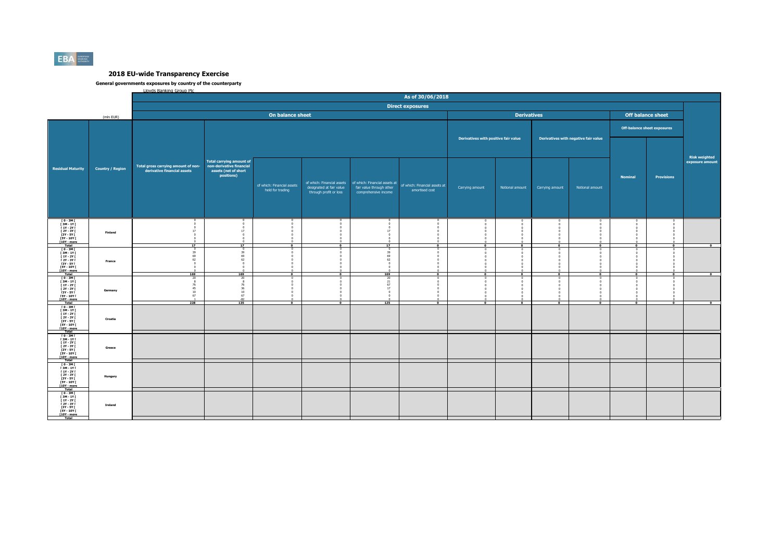

| Lloyds Banking Group Plc. |  |
|---------------------------|--|
|                           |  |

|                                                                                                                                               |                         |                                                                    |                                                                                                   |                                                |                                                                                  |                                                                                   | As of 30/06/2018                                |                                      |                    |                      |                                      |                                    |                                  |                                         |
|-----------------------------------------------------------------------------------------------------------------------------------------------|-------------------------|--------------------------------------------------------------------|---------------------------------------------------------------------------------------------------|------------------------------------------------|----------------------------------------------------------------------------------|-----------------------------------------------------------------------------------|-------------------------------------------------|--------------------------------------|--------------------|----------------------|--------------------------------------|------------------------------------|----------------------------------|-----------------------------------------|
|                                                                                                                                               |                         |                                                                    |                                                                                                   |                                                |                                                                                  |                                                                                   | <b>Direct exposures</b>                         |                                      |                    |                      |                                      |                                    |                                  |                                         |
|                                                                                                                                               | (mln EUR)               |                                                                    |                                                                                                   | On balance sheet                               |                                                                                  |                                                                                   |                                                 |                                      | <b>Derivatives</b> |                      |                                      | <b>Off balance sheet</b>           |                                  |                                         |
|                                                                                                                                               |                         |                                                                    |                                                                                                   |                                                |                                                                                  |                                                                                   |                                                 | Derivatives with positive fair value |                    |                      | Derivatives with negative fair value | <b>Off-balance sheet exposures</b> |                                  |                                         |
| <b>Residual Maturity</b>                                                                                                                      | <b>Country / Region</b> | Total gross carrying amount of non-<br>derivative financial assets | <b>Total carrying amount of</b><br>non-derivative financial<br>assets (net of short<br>positions) | of which: Financial assets<br>held for trading | of which: Financial assets<br>designated at fair value<br>through profit or loss | of which: Financial assets at<br>fair value through other<br>comprehensive income | of which: Financial assets at<br>amortised cost | Carrying amount                      | Notional amount    | Carrying amount      | Notional amount                      | <b>Nominal</b>                     | <b>Provisions</b>                | <b>Risk weighted</b><br>exposure amount |
| $\begin{array}{c} 10 - 3M1 \\ 13M - 1Y1 \end{array}$<br>$[1Y - 2Y]$<br>$12Y - 3Y$<br>[3Y - 5Y  <br><b>F5Y - 10Y F</b><br>[10Y - more<br>Total | Finland                 | $\Omega$<br>17<br>$\Omega$<br>$\Omega$<br>$\sim$<br>17             | 17<br>17                                                                                          | $\sqrt{2}$<br>$\overline{0}$                   | $\mathbf{r}$<br>$\overline{\bullet}$                                             | $\Omega$<br>17 <sup>7</sup><br>$\Omega$<br>$\sim$<br>17                           | $\sim$<br>$\overline{\bullet}$                  | $\overline{ }$                       | $^{\circ}$         | ī                    | $\overline{\bullet}$                 | n<br>$\overline{0}$                | $\overline{0}$                   | $\overline{\phantom{a}}$                |
| T 0 - 3M F<br><b>F3M-1YF</b><br><b>F 1Y - 2Y F</b><br><b>F2Y - 3Y F</b><br>[3Y - 5Y F<br><b>FSY - 10Y F</b><br><b>F10Y</b> - more             | France                  | $\overline{0}$<br>39<br>69<br>62<br>$^{\circ}$<br>$\theta$         | $\overline{0}$<br>39<br>69<br>62<br>$\sim$                                                        | $^{\circ}$<br>$\mathbf{r}$                     | $\circ$<br>$\overline{0}$                                                        | $\circ$<br>39<br>69<br>62<br>$\Omega$                                             | $\overline{0}$                                  |                                      |                    |                      | $\overline{0}$                       | $\Omega$<br>$\overline{0}$         | ō                                | $\overline{0}$                          |
| $10 - 3M1$<br>[3M-1Y]<br>$11Y - 2YI$<br><b>F2Y - 3Y F</b><br><b>13Y - 5Y F</b><br>[5Y - 10Y [<br>[10Y - more<br><b>Total</b>                  | Germany                 | 169<br>20<br>$\bf8$<br>76<br>45<br>10<br>67<br>228                 | 169<br>76<br>36<br>10<br>67<br>$-82$<br>135                                                       | $\bullet$                                      | $\bullet$                                                                        | 169<br>20<br>21<br>67<br>17<br>125                                                | $\overline{\phantom{a}}$                        | $\Omega$<br>$\bullet$                | $\bullet$          | $\overline{\bullet}$ | $\overline{\bullet}$                 | n<br>$\overline{\bullet}$          | $\Omega$<br>$\overline{\bullet}$ | $\overline{\phantom{a}}$                |
| $10 - 3M$<br><b>F3M-1YF</b><br><b>F 1Y - 2Y F</b><br><b>F2Y - 3Y F</b><br>$13Y - SYI$<br><b>FSY - 10Y F</b><br>[10Y - more<br>Total           | Croatia                 |                                                                    |                                                                                                   |                                                |                                                                                  |                                                                                   |                                                 |                                      |                    |                      |                                      |                                    |                                  |                                         |
| [ 0 - 3M [<br>[ 3M - 1Y [<br><b>F 1Y - 2Y F</b><br><b>F2Y - 3Y F</b><br>[3Y - 5Y [<br><b>F5Y - 10Y F</b><br>[10Y - more<br>Total              | Greece                  |                                                                    |                                                                                                   |                                                |                                                                                  |                                                                                   |                                                 |                                      |                    |                      |                                      |                                    |                                  |                                         |
| $10 - 3M1$<br>[ 3M - 1Y [<br>$[1Y - 2Y]$<br>$12Y - 3YI$<br>[3Y - 5Y  <br><b>FSY - 10Y F</b><br>[10Y - more                                    | Hungary                 |                                                                    |                                                                                                   |                                                |                                                                                  |                                                                                   |                                                 |                                      |                    |                      |                                      |                                    |                                  |                                         |
| $10 - 3M$<br>$\begin{array}{c} 13M - 1YI \\ 11Y - 2YI \end{array}$<br>[ 2Y - 3Y [<br>[3Y - 5Y F<br><b>ISY - 10Y F</b><br>[10Y - more<br>Total | Ireland                 |                                                                    |                                                                                                   |                                                |                                                                                  |                                                                                   |                                                 |                                      |                    |                      |                                      |                                    |                                  |                                         |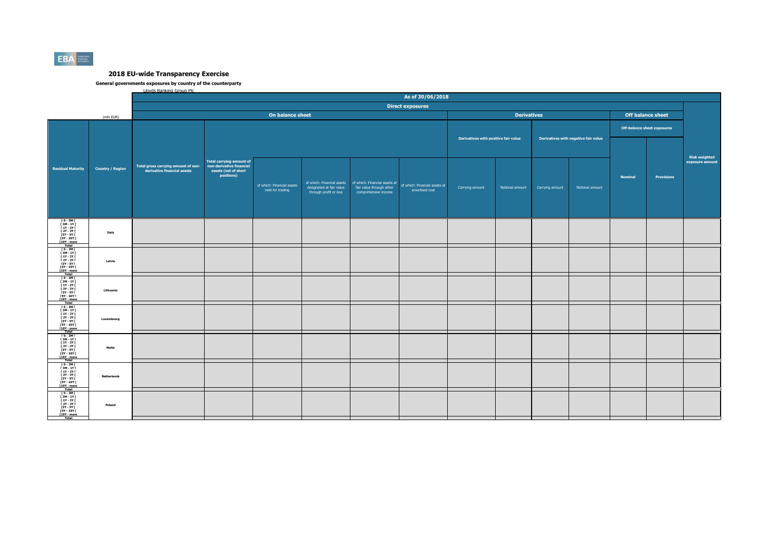

| Lloyds Banking Group Plc |
|--------------------------|
|--------------------------|

|                         | As of 30/06/2018                                                   |                                    |                                                |                                                                                  |                                                  |                                                 |                                                          |                 |                                      |                    |                |                   |                                                                |
|-------------------------|--------------------------------------------------------------------|------------------------------------|------------------------------------------------|----------------------------------------------------------------------------------|--------------------------------------------------|-------------------------------------------------|----------------------------------------------------------|-----------------|--------------------------------------|--------------------|----------------|-------------------|----------------------------------------------------------------|
|                         |                                                                    |                                    |                                                |                                                                                  |                                                  |                                                 |                                                          |                 |                                      |                    |                |                   |                                                                |
| (mln EUR)               |                                                                    |                                    |                                                |                                                                                  |                                                  |                                                 |                                                          |                 |                                      |                    |                |                   |                                                                |
|                         |                                                                    |                                    |                                                |                                                                                  | Derivatives with negative fair value             |                                                 |                                                          |                 |                                      |                    |                |                   |                                                                |
|                         | Total gross carrying amount of non-<br>derivative financial assets | <b>Total carrying amount of</b>    |                                                |                                                                                  |                                                  |                                                 |                                                          |                 |                                      |                    |                |                   | <b>Risk weighted</b><br>exposure amount                        |
| <b>Country / Region</b> |                                                                    | assets (net of short<br>positions) | of which: Financial assets<br>held for trading | of which: Financial assets<br>designated at fair value<br>through profit or loss | fair value through other<br>comprehensive income | of which: Financial assets at<br>amortised cost | Carrying amount                                          | Notional amount | Carrying amount                      | Notional amount    | <b>Nominal</b> | <b>Provisions</b> |                                                                |
| Italy                   |                                                                    |                                    |                                                |                                                                                  |                                                  |                                                 |                                                          |                 |                                      |                    |                |                   |                                                                |
| Latvia                  |                                                                    |                                    |                                                |                                                                                  |                                                  |                                                 |                                                          |                 |                                      |                    |                |                   |                                                                |
| Lithuania               |                                                                    |                                    |                                                |                                                                                  |                                                  |                                                 |                                                          |                 |                                      |                    |                |                   |                                                                |
| Luxembourg              |                                                                    |                                    |                                                |                                                                                  |                                                  |                                                 |                                                          |                 |                                      |                    |                |                   |                                                                |
| Malta                   |                                                                    |                                    |                                                |                                                                                  |                                                  |                                                 |                                                          |                 |                                      |                    |                |                   |                                                                |
| <b>Netherlands</b>      |                                                                    |                                    |                                                |                                                                                  |                                                  |                                                 |                                                          |                 |                                      |                    |                |                   |                                                                |
| Poland                  |                                                                    |                                    |                                                |                                                                                  |                                                  |                                                 |                                                          |                 |                                      |                    |                |                   |                                                                |
|                         |                                                                    |                                    | non-derivative financial                       |                                                                                  | On balance sheet                                 |                                                 | <b>Direct exposures</b><br>of which: Financial assets at |                 | Derivatives with positive fair value | <b>Derivatives</b> |                |                   | <b>Off balance sheet</b><br><b>Off-balance sheet exposures</b> |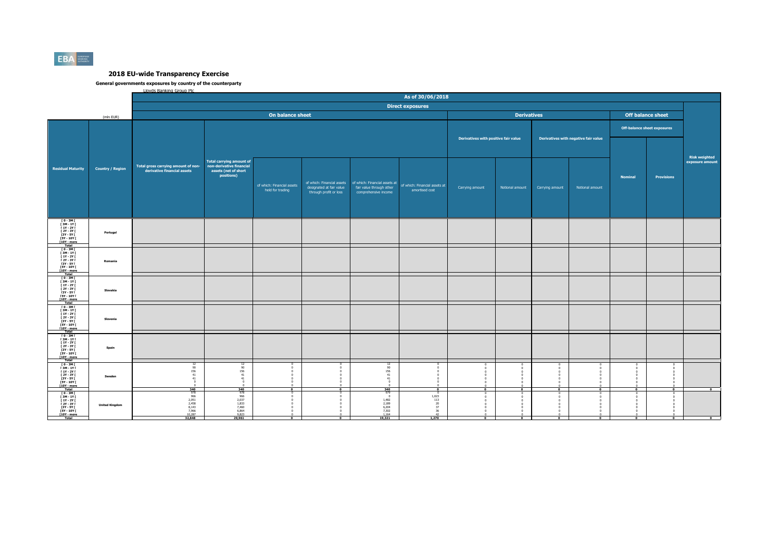

| Lloyds Banking Group Plc. |
|---------------------------|
|---------------------------|

| <b>Direct exposures</b><br><b>Derivatives</b><br>On balance sheet<br><b>Off balance sheet</b><br>(mln EUR)<br><b>Off-balance sheet exposures</b><br>Derivatives with positive fair value<br>Derivatives with negative fair value<br><b>Total carrying amount of</b><br>non-derivative financial<br>Total gross carrying amount of non-<br><b>Residual Maturity</b><br><b>Country / Region</b><br>derivative financial assets<br>assets (net of short<br>positions)<br><b>Nominal</b><br><b>Provisions</b><br>of which: Financial assets at<br>of which: Financial assets<br>of which: Financial assets<br>of which: Financial assets at<br>designated at fair value<br>fair value through other<br>Notional amount<br>Carrying amount<br>Notional amount<br>Carrying amount<br>held for trading<br>amortised cost<br>through profit or loss<br>comprehensive income<br>ГО-ЗМГ<br>ГЗМ-1ҮГ<br>[ 1Y - 2Y [ |                                                      |
|---------------------------------------------------------------------------------------------------------------------------------------------------------------------------------------------------------------------------------------------------------------------------------------------------------------------------------------------------------------------------------------------------------------------------------------------------------------------------------------------------------------------------------------------------------------------------------------------------------------------------------------------------------------------------------------------------------------------------------------------------------------------------------------------------------------------------------------------------------------------------------------------------------|------------------------------------------------------|
|                                                                                                                                                                                                                                                                                                                                                                                                                                                                                                                                                                                                                                                                                                                                                                                                                                                                                                         |                                                      |
|                                                                                                                                                                                                                                                                                                                                                                                                                                                                                                                                                                                                                                                                                                                                                                                                                                                                                                         |                                                      |
|                                                                                                                                                                                                                                                                                                                                                                                                                                                                                                                                                                                                                                                                                                                                                                                                                                                                                                         |                                                      |
|                                                                                                                                                                                                                                                                                                                                                                                                                                                                                                                                                                                                                                                                                                                                                                                                                                                                                                         | <b>Risk weighted</b><br>exposure amount              |
| <b>F2Y - 3Y F</b><br>Portugal<br><b>13Y - 5Y F</b><br><b>F5Y - 10Y F</b><br>[10Y - more                                                                                                                                                                                                                                                                                                                                                                                                                                                                                                                                                                                                                                                                                                                                                                                                                 |                                                      |
| $10 - 3M$<br><b>F3M-1YF</b><br>$11Y - 2YI$<br><b>F2Y - 3Y F</b><br>Romania<br>[3Y - 5Y  <br><b>FSY - 10Y F</b><br>[10Y - more<br>Total                                                                                                                                                                                                                                                                                                                                                                                                                                                                                                                                                                                                                                                                                                                                                                  |                                                      |
| $10 - 3M$<br>$[3M-1Y]$<br><b>F 1Y - 2Y F</b><br><b>F2Y - 3Y F</b><br>Slovakia<br><b>13Y - 5Y F</b><br>$[5Y - 10Y]$<br>[10Y - more<br>Total                                                                                                                                                                                                                                                                                                                                                                                                                                                                                                                                                                                                                                                                                                                                                              |                                                      |
| $10 - 3M1$<br>[ 3M - 1Y [<br><b>F 1Y - 2Y F</b><br><b>F2Y - 3Y F</b><br>Slovenia<br>[3Y - 5Y  <br><b>FSY - 10Y F</b><br>[10Y - more<br>Total                                                                                                                                                                                                                                                                                                                                                                                                                                                                                                                                                                                                                                                                                                                                                            |                                                      |
| $[0 - 3M]$<br><b>F3M-1YF</b><br>$11Y - 2YI$<br>$12Y - 3YI$<br>Spain<br>[3Y - 5Y [<br><b>FSY - 10Y F</b><br>[10Y - more<br>Total                                                                                                                                                                                                                                                                                                                                                                                                                                                                                                                                                                                                                                                                                                                                                                         |                                                      |
| $10 - 3M1$<br>$\frac{12}{90}$<br>90<br>90<br><b>F3M-1YF</b><br>$[1Y - 2Y]$<br>156<br>156<br>156<br>$\Omega$<br>$\mathbf{0}$<br>41<br>41<br><b>F2Y - 3Y F</b><br>41<br>$\Omega$<br>Sweden<br>41<br>[3Y - 5Y  <br>41<br>41<br><b>FSY - 10Y F</b><br>$\Omega$<br>[10Y - more<br>340<br>340<br>340<br><b>Total</b><br>$\overline{a}$<br>$\overline{\phantom{a}}$<br>$\overline{ }$<br>$\overline{0}$<br>$\Omega$<br>$\sqrt{2}$<br>$\mathbf{a}$                                                                                                                                                                                                                                                                                                                                                                                                                                                              |                                                      |
| 978<br>$978$<br>$966$<br>$2,037$<br>$1,833$<br>979<br>[0-3M]<br>[3M-1Y]<br>$\overline{0}$<br>$\Omega$<br>-0<br>966<br>$1,023$<br>$113$<br>$\mathbf{r}$<br>2,051<br>2,458<br>8,143<br>1,482<br>2,189<br><b>F 1Y - 2Y F</b><br>$[2Y - 3Y]$<br>20<br><b>United Kingdom</b><br>7,460<br>6,864<br>9,823<br>$6,204$<br>$7,302$<br>$1,164$<br>37<br>[3Y - 5Y  <br>7,966<br>10,287<br><b>F5Y - 10Y F</b><br>$\frac{36}{42}$<br><u>For - more</u><br>19,321<br>1,270<br>32,848<br>29,961<br>$^{\circ}$<br>$\overline{0}$<br>$\overline{0}$                                                                                                                                                                                                                                                                                                                                                                       | $\overline{\phantom{0}}$<br>$\overline{\phantom{a}}$ |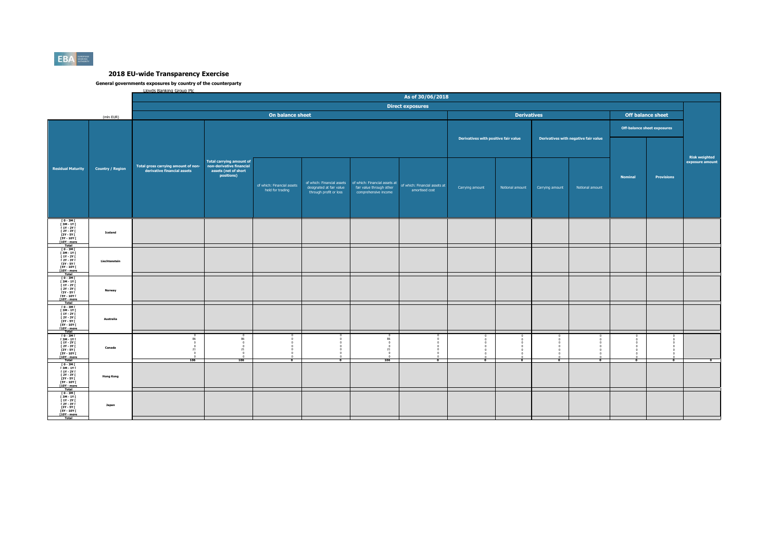

| Lloyds Banking Group Plc. |
|---------------------------|
|---------------------------|

|                                                                                                                                              |                         | As of 30/06/2018                                                      |                                                                                                   |                                                |                                                    |                                                                                                                |                                                 |                          |                                      |                 |                          |                                    |                          |                                         |
|----------------------------------------------------------------------------------------------------------------------------------------------|-------------------------|-----------------------------------------------------------------------|---------------------------------------------------------------------------------------------------|------------------------------------------------|----------------------------------------------------|----------------------------------------------------------------------------------------------------------------|-------------------------------------------------|--------------------------|--------------------------------------|-----------------|--------------------------|------------------------------------|--------------------------|-----------------------------------------|
|                                                                                                                                              |                         |                                                                       |                                                                                                   |                                                |                                                    |                                                                                                                | <b>Direct exposures</b>                         |                          |                                      |                 |                          |                                    |                          |                                         |
|                                                                                                                                              | (mln EUR)               |                                                                       |                                                                                                   | On balance sheet                               |                                                    |                                                                                                                |                                                 |                          | <b>Derivatives</b>                   |                 |                          |                                    | <b>Off balance sheet</b> |                                         |
|                                                                                                                                              |                         | Total gross carrying amount of non-<br>derivative financial assets    |                                                                                                   |                                                |                                                    |                                                                                                                | Derivatives with positive fair value            |                          | Derivatives with negative fair value |                 |                          | <b>Off-balance sheet exposures</b> |                          |                                         |
| <b>Residual Maturity</b>                                                                                                                     | <b>Country / Region</b> |                                                                       | <b>Total carrying amount of</b><br>non-derivative financial<br>assets (net of short<br>positions) | of which: Financial assets<br>held for trading | designated at fair value<br>through profit or loss | of which: Financial assets   of which: Financial assets at<br>fair value through other<br>comprehensive income | of which: Financial assets at<br>amortised cost | Carrying amount          | Notional amount                      | Carrying amount | Notional amount          | <b>Nominal</b>                     | Provisions               | <b>Risk weighted</b><br>exposure amount |
| ГО-ЗМГ<br>ГЗМ-1ҮГ<br>[ 1Y - 2Y [<br><b>F2Y - 3Y F</b><br>[3Y - 5Y  <br><b>F5Y - 10Y F</b><br>[10Y - more                                     | Iceland                 |                                                                       |                                                                                                   |                                                |                                                    |                                                                                                                |                                                 |                          |                                      |                 |                          |                                    |                          |                                         |
| $10 - 3M$<br>$13M - 1YI$<br>$11Y - 2YI$<br><b>F2Y - 3Y F</b><br><b>13Y - 5Y F</b><br><b>FSY - 10Y F</b><br>[10Y - more<br>Total              | Liechtenstein           |                                                                       |                                                                                                   |                                                |                                                    |                                                                                                                |                                                 |                          |                                      |                 |                          |                                    |                          |                                         |
| $I$ 0 - 3M $I$<br>$[3M-1Y]$<br><b>F 1Y - 2Y F</b><br><b>F2Y - 3Y F</b><br><b>13Y - 5Y F</b><br>$[5Y - 10Y]$<br>[10Y - more<br>Total          | Norway                  |                                                                       |                                                                                                   |                                                |                                                    |                                                                                                                |                                                 |                          |                                      |                 |                          |                                    |                          |                                         |
| $10 - 3M$<br>[3M-1Y]<br><b>F 1Y - 2Y F</b><br><b>F2Y - 3Y F</b><br>[3Y - 5Y  <br><b>FSY - 10Y F</b><br>[10Y - more<br>Total                  | Australia               |                                                                       |                                                                                                   |                                                |                                                    |                                                                                                                |                                                 |                          |                                      |                 |                          |                                    |                          |                                         |
| $[0-3M]$<br><b>F3M-1YF</b><br>$11Y - 2YI$<br>$12Y - 3YI$<br>[3Y - 5Y [<br><b>FSY - 10Y F</b><br>[10Y - more<br>Total                         | Canada                  | 86<br>$\overline{0}$<br>$\overline{0}$<br>21<br>$\overline{0}$<br>106 | - 01<br>21<br>106                                                                                 | $\Omega$<br>$\bullet$                          | $\Omega$<br>$\overline{\phantom{a}}$               | $\Omega$<br>$^{\circ}$<br>21<br>106                                                                            | $\Omega$<br>0<br>$\bullet$                      | $\overline{\phantom{a}}$ | $\Omega$                             | $\Omega$        | $\overline{\phantom{a}}$ | $\overline{\phantom{a}}$           | $\bullet$                | $\overline{\phantom{a}}$                |
| $10 - 3M$<br><b>F3M-1YF</b><br>$[1Y - 2Y]$<br><b>F2Y - 3Y F</b><br><b>13Y - 5Y F</b><br><b>FSY - 10Y F</b><br>$[10Y - more]$<br><b>Total</b> | <b>Hong Kong</b>        |                                                                       |                                                                                                   |                                                |                                                    |                                                                                                                |                                                 |                          |                                      |                 |                          |                                    |                          |                                         |
| $10 - 3M1$<br>$13M - 1Y1$<br><b>F 1Y - 2Y F</b><br>$[2Y - 3Y]$<br><b>13Y - 5Y F</b><br><b>F5Y - 10Y F</b><br><u>For - more</u>               | Japan                   |                                                                       |                                                                                                   |                                                |                                                    |                                                                                                                |                                                 |                          |                                      |                 |                          |                                    |                          |                                         |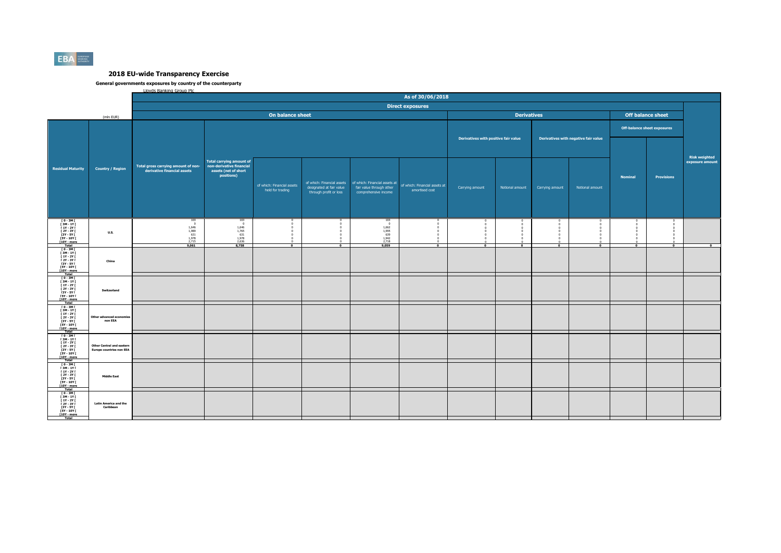

| <b>Lloyds Banking Group Plc.</b> |  |
|----------------------------------|--|
|                                  |  |

|                                                                                                                                            |                                                                     | As of 30/06/2018                                                             |                                                                                                   |                                                |                                                                                  |                                                                                   |                                                 |                          |                    |                                      |                                    |                           |                          |                                         |  |
|--------------------------------------------------------------------------------------------------------------------------------------------|---------------------------------------------------------------------|------------------------------------------------------------------------------|---------------------------------------------------------------------------------------------------|------------------------------------------------|----------------------------------------------------------------------------------|-----------------------------------------------------------------------------------|-------------------------------------------------|--------------------------|--------------------|--------------------------------------|------------------------------------|---------------------------|--------------------------|-----------------------------------------|--|
|                                                                                                                                            |                                                                     |                                                                              |                                                                                                   |                                                |                                                                                  |                                                                                   | <b>Direct exposures</b>                         |                          |                    |                                      |                                    |                           |                          |                                         |  |
|                                                                                                                                            | (mln EUR)                                                           |                                                                              |                                                                                                   | On balance sheet                               |                                                                                  |                                                                                   |                                                 |                          | <b>Derivatives</b> |                                      |                                    |                           | <b>Off balance sheet</b> |                                         |  |
|                                                                                                                                            |                                                                     |                                                                              |                                                                                                   |                                                |                                                                                  |                                                                                   | Derivatives with positive fair value            |                          |                    | Derivatives with negative fair value | <b>Off-balance sheet exposures</b> |                           |                          |                                         |  |
| <b>Residual Maturity</b>                                                                                                                   | <b>Country / Region</b>                                             | Total gross carrying amount of non-<br>derivative financial assets           | <b>Total carrying amount of</b><br>non-derivative financial<br>assets (net of short<br>positions) | of which: Financial assets<br>held for trading | of which: Financial assets<br>designated at fair value<br>through profit or loss | of which: Financial assets at<br>fair value through other<br>comprehensive income | of which: Financial assets at<br>amortised cost | Carrying amount          | Notional amount    | Carrying amount                      | Notional amount                    | <b>Nominal</b>            | <b>Provisions</b>        | <b>Risk weighted</b><br>exposure amount |  |
| ГО-ЗМГ<br>ГЗМ-1ҮГ<br>$[1Y - 2Y]$<br>1<br>12Y - 3Y I<br>13Y - 5Y I<br><b>F5Y - 10Y F</b><br>[10Y - more<br>Total                            | <b>U.S.</b>                                                         | 103<br>$\sqrt{2}$<br>1,646<br>1,989<br>631<br>$\frac{1,978}{2,715}$<br>9,061 | $\frac{103}{0}$<br>1,646<br>1,765<br>631<br>1,978<br>2,636<br>8,758                               | $\overline{0}$                                 | $\overline{\phantom{a}}$                                                         | 103<br>$\Omega$<br>$1,662$<br>$1,995$<br>$639$<br>1,942<br>2,718<br>9,059         | $\overline{\bullet}$                            | $\overline{\phantom{a}}$ | $^{\circ}$         | $\overline{0}$                       | $\overline{0}$                     | n<br>$\overline{\bullet}$ | $\overline{0}$           | $\overline{\bullet}$                    |  |
| $10 - 3M$<br><b>F3M-1YF</b><br><b>F 1Y - 2Y F</b><br><b>F2Y - 3Y F</b><br>[3Y - 5Y  <br><b>FSY - 10Y F</b><br>[10Y - more                  | China                                                               |                                                                              |                                                                                                   |                                                |                                                                                  |                                                                                   |                                                 |                          |                    |                                      |                                    |                           |                          |                                         |  |
| Total<br>$10 - 3M$<br>$[3M - 1Y]$<br>$[1Y - 2Y]$<br><b>F2Y - 3Y F</b><br><b>13Y - 5Y F</b><br>[5Y - 10Y [<br>[10Y - more<br>Total          | Switzerland                                                         |                                                                              |                                                                                                   |                                                |                                                                                  |                                                                                   |                                                 |                          |                    |                                      |                                    |                           |                          |                                         |  |
| $10 - 3M1$<br>$13M - 1Y1$<br><b>F 1Y - 2Y F</b><br>12Y - 3Y I<br>13Y - 5Y I<br><b>F5Y - 10Y F</b><br>[10Y - more<br>Total                  | Other advanced economie<br>non EEA                                  |                                                                              |                                                                                                   |                                                |                                                                                  |                                                                                   |                                                 |                          |                    |                                      |                                    |                           |                          |                                         |  |
| [0-3M]<br><b>F3M-1YF</b><br><b>F 1Y - 2Y F</b><br>$12Y - 3YI$<br>[3Y - 5Y [<br><b>FSY - 10Y F</b><br>[10Y - more<br>Total                  | <b>Other Central and eastern</b><br><b>Europe countries non EEA</b> |                                                                              |                                                                                                   |                                                |                                                                                  |                                                                                   |                                                 |                          |                    |                                      |                                    |                           |                          |                                         |  |
| $10 - 3M1$<br><b>F3M-1YF</b><br>$[1Y - 2Y]$<br><b>F2Y - 3Y F</b><br><b>13Y - 5Y F</b><br><b>FSY - 10Y F</b><br>[10Y - more<br><b>Total</b> | <b>Middle East</b>                                                  |                                                                              |                                                                                                   |                                                |                                                                                  |                                                                                   |                                                 |                          |                    |                                      |                                    |                           |                          |                                         |  |
| $10 - 3M1$<br>$13M - 1Y1$<br><b>F 1Y - 2Y F</b><br>$[2Y - 3Y]$<br>[3Y - 5Y  <br><b>F5Y - 10Y F</b><br><u>For - more</u>                    | Latin America and the<br>Caribbean                                  |                                                                              |                                                                                                   |                                                |                                                                                  |                                                                                   |                                                 |                          |                    |                                      |                                    |                           |                          |                                         |  |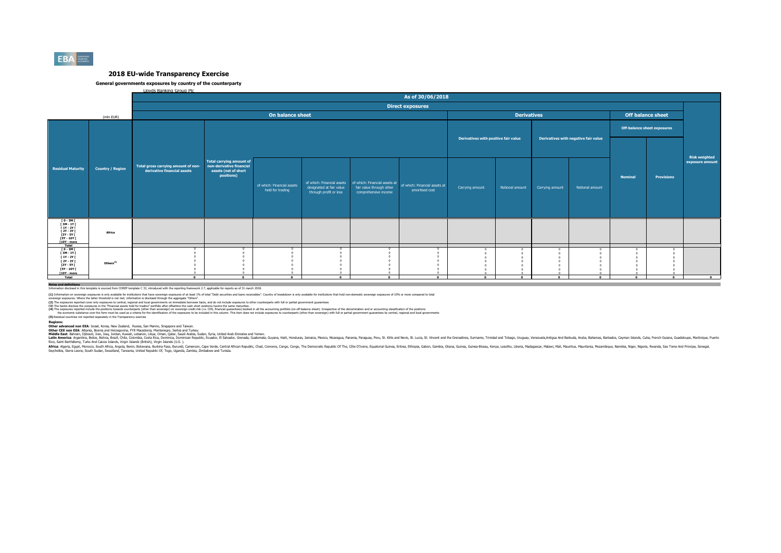

#### **General governments exposures by country of the counterparty**

Lloyds Banking Group Plc

|                                                                                                                   |                         | As of 30/06/2018                                                   |                                                                                                   |                                                |                                                    |                                                  |                                                                                                          |                                      |                    |                                      |                 |                                    |                          |                                         |
|-------------------------------------------------------------------------------------------------------------------|-------------------------|--------------------------------------------------------------------|---------------------------------------------------------------------------------------------------|------------------------------------------------|----------------------------------------------------|--------------------------------------------------|----------------------------------------------------------------------------------------------------------|--------------------------------------|--------------------|--------------------------------------|-----------------|------------------------------------|--------------------------|-----------------------------------------|
|                                                                                                                   |                         |                                                                    |                                                                                                   |                                                |                                                    |                                                  | <b>Direct exposures</b>                                                                                  |                                      |                    |                                      |                 |                                    |                          |                                         |
|                                                                                                                   | (mln EUR)               |                                                                    |                                                                                                   | On balance sheet                               |                                                    |                                                  |                                                                                                          |                                      | <b>Derivatives</b> |                                      |                 |                                    | <b>Off balance sheet</b> |                                         |
|                                                                                                                   |                         |                                                                    |                                                                                                   |                                                |                                                    |                                                  |                                                                                                          |                                      |                    |                                      |                 | <b>Off-balance sheet exposures</b> |                          |                                         |
|                                                                                                                   |                         |                                                                    |                                                                                                   |                                                |                                                    |                                                  |                                                                                                          | Derivatives with positive fair value |                    | Derivatives with negative fair value |                 |                                    |                          |                                         |
| <b>Residual Maturity</b>                                                                                          | <b>Country / Region</b> | Total gross carrying amount of non-<br>derivative financial assets | <b>Total carrying amount of</b><br>non-derivative financial<br>assets (net of short<br>positions) | of which: Financial assets<br>held for trading | designated at fair value<br>through profit or loss | fair value through other<br>comprehensive income | of which: Financial assets of which: Financial assets at of which: Financial assets at<br>amortised cost | Carrying amount                      | Notional amount    | Carrying amount                      | Notional amount | <b>Nominal</b>                     | <b>Provisions</b>        | <b>Risk weighted</b><br>exposure amount |
| ГО-ЗМГ<br>ГЗМ-1ҮГ<br>$[1Y - 2Y]$<br><b>F2Y - 3Y F</b><br>[3Y - 5Y F<br><b>FSY - 10Y F</b><br>[10Y - more<br>Total | Africa                  |                                                                    |                                                                                                   |                                                |                                                    |                                                  |                                                                                                          |                                      |                    |                                      |                 |                                    |                          |                                         |
| [0-3M]<br>[3M-1Y]<br>$[1Y - 2Y]$<br>[ 2Y - 3Y [<br>[3Y - 5Y [<br><b>F5Y - 10Y F</b><br>$[10Y - more]$<br>Total    | Others <sup>(5)</sup>   | $\sim$                                                             | $\sqrt{2}$                                                                                        | $\Omega$                                       | $\Omega$                                           | $\Omega$                                         | $\Omega$                                                                                                 | $\Omega$                             | $\sim$             | $\sim$                               | $\Omega$        | $\Omega$                           | $\sqrt{2}$               | $\overline{\phantom{a}}$                |
| Notes and definitions                                                                                             |                         |                                                                    |                                                                                                   |                                                |                                                    |                                                  |                                                                                                          |                                      |                    |                                      |                 |                                    |                          |                                         |

**Notes and definitions** Information disclosed in this template is sourced from COREP template C 33, introduced with the reporting framework 2.7, applicable for reports as of 31 march 2018.

(1) Information on soverign exposures is only andiable for institutions that base overled exposures of a least 19h of total "Debt securities and bans receivables". Country of breakdown is only available for instutions that

(2) The zonsures records the consures in the Financial assts held for bading overnomis on the record and to be distance to the counterparts with full or partial comment customers in the consumers and the consumers and the

**(5)** Residual countries not reported separately in the Transparency exercise

Redions:<br>Other advanced non EEA: Israel. Korea. New Zealand. Russia. San Marino. Sinzacore and Taiwan.<br>Middle East: Bahrain, Discolic Responsit Proposition Scheen Archives, Seria and Taiwan, Seria Taiwan, Seria Taiwan, Ser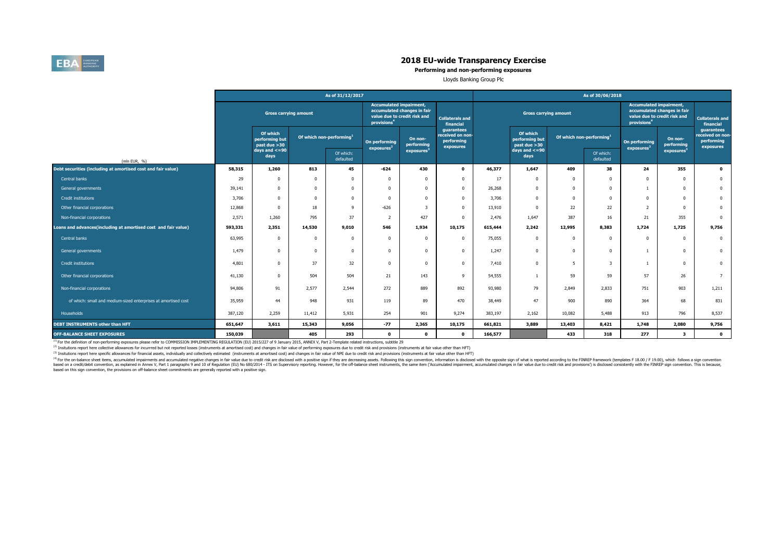

**Performing and non-performing exposures**

Lloyds Banking Group Plc

|                                                                |                              |                                            |                                      | As of 31/12/2017       |                                         |                                                                                                                                      |                                                           |         |                                            |                                      |                        | As of 30/06/2018                                                                                                         |                         |                                                           |  |  |
|----------------------------------------------------------------|------------------------------|--------------------------------------------|--------------------------------------|------------------------|-----------------------------------------|--------------------------------------------------------------------------------------------------------------------------------------|-----------------------------------------------------------|---------|--------------------------------------------|--------------------------------------|------------------------|--------------------------------------------------------------------------------------------------------------------------|-------------------------|-----------------------------------------------------------|--|--|
|                                                                | <b>Gross carrying amount</b> |                                            |                                      |                        | provisions <sup>4</sup>                 | <b>Accumulated impairment,</b><br>accumulated changes in fair<br>value due to credit risk and<br><b>Collaterals and</b><br>financial |                                                           |         | <b>Gross carrying amount</b>               |                                      |                        | <b>Accumulated impairment,</b><br>accumulated changes in fair<br>value due to credit risk and<br>provisions <sup>4</sup> |                         | <b>Collaterals and</b><br>financial                       |  |  |
|                                                                |                              | Of which<br>performing but<br>past due >30 | Of which non-performing <sup>1</sup> |                        | On performing<br>exposures <sup>2</sup> | On non-<br>performing                                                                                                                | guarantees<br>received on non-<br>performing<br>exposures |         | Of which<br>performing but<br>past due >30 | Of which non-performing <sup>1</sup> |                        | On performing<br>exposure <sup>2</sup>                                                                                   | On non-<br>performing   | guarantees<br>received on non-<br>performing<br>exposures |  |  |
| (mln EUR, %)                                                   |                              | days and $\lt$ =90<br>days                 |                                      | Of which:<br>defaulted |                                         | exposures                                                                                                                            |                                                           |         | days and $\lt$ =90<br>days                 |                                      | Of which:<br>defaulted |                                                                                                                          | exposures               |                                                           |  |  |
| Debt securities (including at amortised cost and fair value)   | 58,315                       | 1,260                                      | 813                                  | 45                     | $-624$                                  | 430                                                                                                                                  | $\mathbf 0$                                               | 46,377  | 1,647                                      | 409                                  | 38                     | 24                                                                                                                       | 355                     | $\bullet$                                                 |  |  |
| Central banks                                                  | 29                           | $\Omega$                                   | $\Omega$                             | $^{\circ}$             | $\Omega$                                | $\Omega$                                                                                                                             | $\mathbf 0$                                               | 17      | $\mathbf 0$                                | 0                                    | $\Omega$               | $\Omega$                                                                                                                 | $\Omega$                | $\bf{0}$                                                  |  |  |
| General governments                                            | 39,141                       | $\mathbf{0}$                               | $\Omega$                             | $\Omega$               | $\Omega$                                | $\Omega$                                                                                                                             | $^{\circ}$                                                | 26,268  | $\Omega$                                   | $\Omega$                             | $\Omega$               | $\overline{1}$                                                                                                           | $\overline{0}$          | $\bf{0}$                                                  |  |  |
| Credit institutions                                            | 3,706                        | $\Omega$                                   | $\Omega$                             | $\Omega$               | $\Omega$                                | $\Omega$                                                                                                                             | $^{\circ}$                                                | 3,706   | $\Omega$                                   | $\Omega$                             | $\Omega$               | $\Omega$                                                                                                                 | $\Omega$                | $\bf{0}$                                                  |  |  |
| Other financial corporations                                   | 12,868                       |                                            | 18                                   | $\mathsf{Q}$           | $-626$                                  | $\overline{\mathbf{3}}$                                                                                                              | $\Omega$                                                  | 13,910  | $\Omega$                                   | 22                                   | 22                     | $\overline{2}$                                                                                                           | $\Omega$                | $\bf{0}$                                                  |  |  |
| Non-financial corporations                                     | 2,571                        | 1,260                                      | 795                                  | 37                     | $\overline{\phantom{0}}$                | 427                                                                                                                                  | $\Omega$                                                  | 2,476   | 1,647                                      | 387                                  | 16                     | 21                                                                                                                       | 355                     | $\overline{0}$                                            |  |  |
| Loans and advances(including at amortised cost and fair value) | 593,331                      | 2,351                                      | 14,530                               | 9,010                  | 546                                     | 1,934                                                                                                                                | 10,175                                                    | 615,444 | 2,242                                      | 12,995                               | 8,383                  | 1,724                                                                                                                    | 1,725                   | 9,756                                                     |  |  |
| Central banks                                                  | 63,995                       | $\mathbf 0$                                | 0                                    | 0                      | $\Omega$                                | $\Omega$                                                                                                                             | $\mathbf{0}$                                              | 75,055  | $^{\circ}$                                 | 0                                    | $^{\circ}$             | $^{\circ}$                                                                                                               | $\overline{0}$          | $\overline{0}$                                            |  |  |
| General governments                                            | 1,479                        | $\Omega$                                   | $\Omega$                             | $\mathbf 0$            | $\Omega$                                | $\Omega$                                                                                                                             | $\mathbf 0$                                               | 1,247   | $^{\circ}$                                 | 0                                    | $^{\circ}$             |                                                                                                                          | $\overline{0}$          | $\bf{0}$                                                  |  |  |
| <b>Credit institutions</b>                                     | 4,801                        | $\Omega$                                   | 37                                   | 32                     | $\Omega$                                | $\Omega$                                                                                                                             | $\mathbf 0$                                               | 7,410   | $\mathbf 0$                                | 5                                    | 3                      | $\overline{1}$                                                                                                           | $\overline{0}$          | $\bf{0}$                                                  |  |  |
| Other financial corporations                                   | 41,130                       | $\Omega$                                   | 504                                  | 504                    | 21                                      | 143                                                                                                                                  | 9                                                         | 54,555  |                                            | 59                                   | 59                     | 57                                                                                                                       | 26                      | $7^{\circ}$                                               |  |  |
| Non-financial corporations                                     | 94,806                       | 91                                         | 2,577                                | 2,544                  | 272                                     | 889                                                                                                                                  | 892                                                       | 93,980  | 79                                         | 2,849                                | 2.833                  | 751                                                                                                                      | 903                     | 1,211                                                     |  |  |
| of which: small and medium-sized enterprises at amortised cost | 35,959                       | 44                                         | 948                                  | 931                    | 119                                     | 89                                                                                                                                   | 470                                                       | 38,449  | 47                                         | 900                                  | 890                    | 364                                                                                                                      | 68                      | 831                                                       |  |  |
| Households                                                     | 387,120                      | 2,259                                      | 11,412                               | 5,931                  | 254                                     | 901                                                                                                                                  | 9,274                                                     | 383,197 | 2,162                                      | 10,082                               | 5,488                  | 913                                                                                                                      | 796                     | 8,537                                                     |  |  |
| DEBT INSTRUMENTS other than HFT                                | 651,647                      | 3,611                                      | 15,343                               | 9,056                  | $-77$                                   | 2,365                                                                                                                                | 10,175                                                    | 661,821 | 3,889                                      | 13,403                               | 8,421                  | 1,748                                                                                                                    | 2,080                   | 9,756                                                     |  |  |
| <b>OFF-BALANCE SHEET EXPOSURES</b>                             | 150,039                      |                                            | 405                                  | 293                    | $\mathbf 0$                             | $\mathbf 0$                                                                                                                          | $\mathbf 0$                                               | 166,577 |                                            | 433                                  | 318                    | 277                                                                                                                      | $\overline{\mathbf{3}}$ | $\bullet$                                                 |  |  |

<sup>(1)</sup> For the definition of non-performing exposures please refer to COMMISSION IMPLEMENTING REGULATION (EU) 2015/227 of 9 January 2015, ANNEX V, Part 2-Template related instructions, subtitle 29

<sup>(2)</sup> Insitutions report here collective allowances for incurrred but not reported losses (instruments at amortised cost) and changes in fair value of performing exposures due to credit risk and provisions (instruments at

(3) Insitutions report here specific allowances for financial assets, individually and collectively estimated (instruments at amortised cost) and changes in fair value of NPE due to credit risk and provisions (instruments

<sup>(9)</sup> for the or-balance sheet items, accumulated impliments and accumulated negative changes in fair value due to reduct of the spectrosing assets. Following this spectrom in the oposition (EU) No 680/2014 - ITS on Superv based on this sign convention, the provisions on off-balance sheet commitments are generally reported with a positive sign.